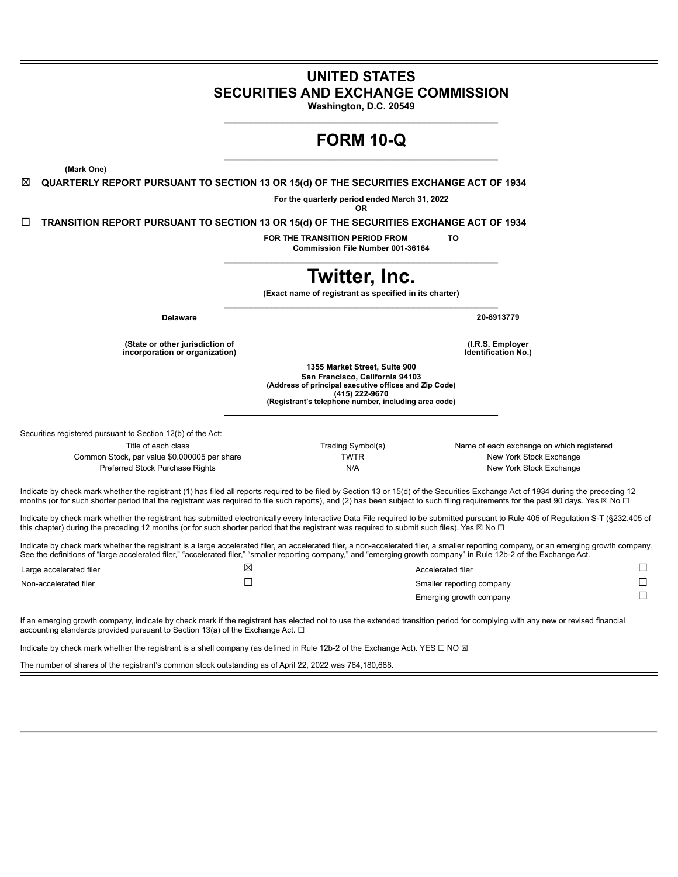## **UNITED STATES SECURITIES AND EXCHANGE COMMISSION**

**Washington, D.C. 20549 \_\_\_\_\_\_\_\_\_\_\_\_\_\_\_\_\_\_\_\_\_\_\_\_\_\_\_\_\_\_\_\_\_\_\_\_\_\_\_\_\_\_\_\_\_\_\_\_\_\_\_\_**

## **FORM 10-Q \_\_\_\_\_\_\_\_\_\_\_\_\_\_\_\_\_\_\_\_\_\_\_\_\_\_\_\_\_\_\_\_\_\_\_\_\_\_\_\_\_\_\_\_\_\_\_\_\_\_\_\_**

**(Mark One)**

☒ **QUARTERLY REPORT PURSUANT TO SECTION 13 OR 15(d) OF THE SECURITIES EXCHANGE ACT OF 1934**

**For the quarterly period ended March 31, 2022**

**OR**

☐ **TRANSITION REPORT PURSUANT TO SECTION 13 OR 15(d) OF THE SECURITIES EXCHANGE ACT OF 1934**

**FOR THE TRANSITION PERIOD FROM TO**

**Commission File Number 001-36164 \_\_\_\_\_\_\_\_\_\_\_\_\_\_\_\_\_\_\_\_\_\_\_\_\_\_\_\_\_\_\_\_\_\_\_\_\_\_\_\_\_\_\_\_\_\_\_\_\_\_\_\_**

# **Twitter, Inc.**

**(Exact name of registrant as specified in its charter) \_\_\_\_\_\_\_\_\_\_\_\_\_\_\_\_\_\_\_\_\_\_\_\_\_\_\_\_\_\_\_\_\_\_\_\_\_\_\_\_\_\_\_\_\_\_\_\_\_\_\_\_**

**(State or other jurisdiction of incorporation or organization)**

**Delaware 20-8913779**

**(I.R.S. Employer Identification No.)**

**1355 Market Street, Suite 900 San Francisco, California 94103 (Address of principal executive offices and Zip Code) (415) 222-9670 (Registrant's telephone number, including area code) \_\_\_\_\_\_\_\_\_\_\_\_\_\_\_\_\_\_\_\_\_\_\_\_\_\_\_\_\_\_\_\_\_\_\_\_\_\_\_\_\_\_\_\_\_\_\_\_\_\_\_\_**

Securities registered pursuant to Section 12(b) of the Act:

| Title of each class                          | Trading Symbol(s) | Name of each exchange on which registered |
|----------------------------------------------|-------------------|-------------------------------------------|
| Common Stock, par value \$0.000005 per share | TWTR              | New York Stock Exchange                   |
| Preferred Stock Purchase Rights              | N/A               | New York Stock Exchange                   |

Indicate by check mark whether the registrant (1) has filed all reports required to be filed by Section 13 or 15(d) of the Securities Exchange Act of 1934 during the preceding 12 months (or for such shorter period that the registrant was required to file such reports), and (2) has been subject to such filing requirements for the past 90 days. Yes ⊠ No □

Indicate by check mark whether the registrant has submitted electronically every Interactive Data File required to be submitted pursuant to Rule 405 of Regulation S-T (§232.405 of this chapter) during the preceding 12 months (or for such shorter period that the registrant was required to submit such files). Yes ⊠ No □

Indicate by check mark whether the registrant is a large accelerated filer, an accelerated filer, a non-accelerated filer, a smaller reporting company, or an emerging growth company. See the definitions of "large accelerated filer," "accelerated filer," "smaller reporting company," and "emerging growth company" in Rule 12b-2 of the Exchange Act.

| Large accelerated filer | $\boxtimes$ | Accelerated filer         |  |
|-------------------------|-------------|---------------------------|--|
| Non-accelerated filer   |             | Smaller reporting company |  |
|                         |             | Emerging growth company   |  |

If an emerging growth company, indicate by check mark if the registrant has elected not to use the extended transition period for complying with any new or revised financial accounting standards provided pursuant to Section 13(a) of the Exchange Act.  $\Box$ 

Indicate by check mark whether the registrant is a shell company (as defined in Rule 12b-2 of the Exchange Act). YES  $\Box$  NO  $\boxtimes$ 

The number of shares of the registrant's common stock outstanding as of April 22, 2022 was 764,180,688.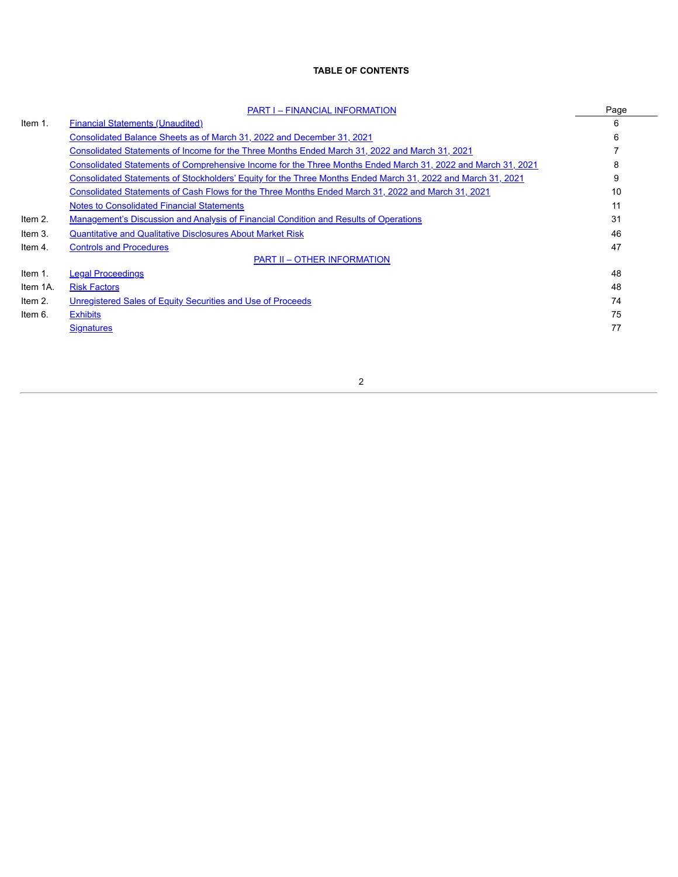## **TABLE OF CONTENTS**

|          | <b>PART I - FINANCIAL INFORMATION</b>                                                                        | Page |
|----------|--------------------------------------------------------------------------------------------------------------|------|
| Item 1.  | <b>Financial Statements (Unaudited)</b>                                                                      | 6    |
|          | Consolidated Balance Sheets as of March 31, 2022 and December 31, 2021                                       | 6    |
|          | Consolidated Statements of Income for the Three Months Ended March 31, 2022 and March 31, 2021               |      |
|          | Consolidated Statements of Comprehensive Income for the Three Months Ended March 31, 2022 and March 31, 2021 | 8    |
|          | Consolidated Statements of Stockholders' Equity for the Three Months Ended March 31, 2022 and March 31, 2021 | 9    |
|          | Consolidated Statements of Cash Flows for the Three Months Ended March 31, 2022 and March 31, 2021           | 10   |
|          | <b>Notes to Consolidated Financial Statements</b>                                                            | 11   |
| Item 2.  | Management's Discussion and Analysis of Financial Condition and Results of Operations                        | 31   |
| Item 3.  | <b>Quantitative and Qualitative Disclosures About Market Risk</b>                                            | 46   |
| Item 4.  | <b>Controls and Procedures</b>                                                                               | 47   |
|          | <b>PART II - OTHER INFORMATION</b>                                                                           |      |
| Item 1.  | <b>Legal Proceedings</b>                                                                                     | 48   |
| Item 1A. | <b>Risk Factors</b>                                                                                          | 48   |
| Item 2.  | Unregistered Sales of Equity Securities and Use of Proceeds                                                  | 74   |
| Item 6.  | <b>Exhibits</b>                                                                                              | 75   |
|          | <b>Signatures</b>                                                                                            | 77   |
|          |                                                                                                              |      |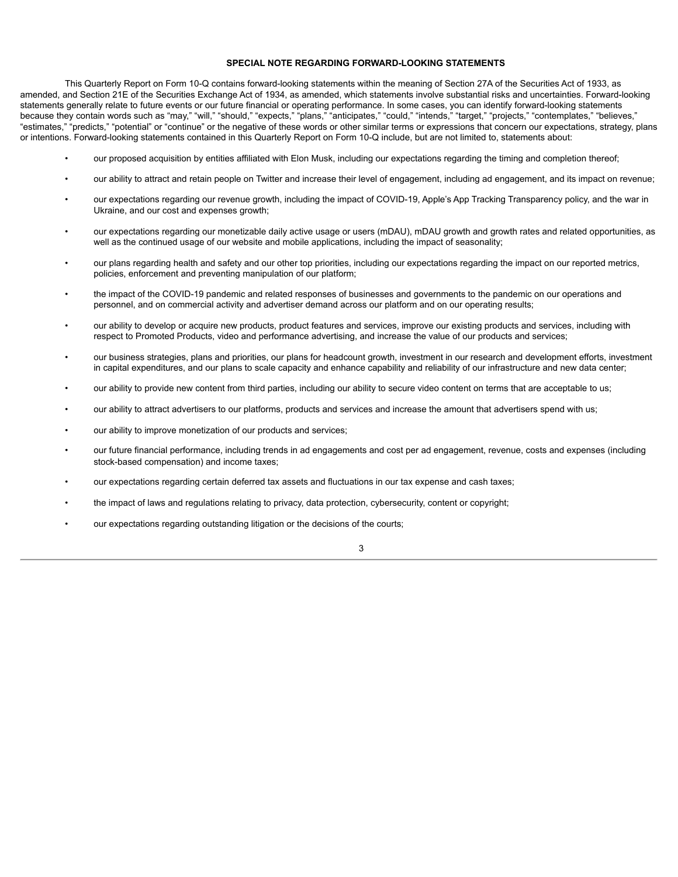#### **SPECIAL NOTE REGARDING FORWARD-LOOKING STATEMENTS**

This Quarterly Report on Form 10-Q contains forward-looking statements within the meaning of Section 27A of the Securities Act of 1933, as amended, and Section 21E of the Securities Exchange Act of 1934, as amended, which statements involve substantial risks and uncertainties. Forward-looking statements generally relate to future events or our future financial or operating performance. In some cases, you can identify forward-looking statements because they contain words such as "may," "will," "should," "expects," "plans," "anticipates," "colld," "intends," "target," "projects," "contemplates," "believes," "estimates," "predicts," "potential" or "continue" or the negative of these words or other similar terms or expressions that concern our expectations, strategy, plans or intentions. Forward-looking statements contained in this Quarterly Report on Form 10-Q include, but are not limited to, statements about:

- our proposed acquisition by entities affiliated with Elon Musk, including our expectations regarding the timing and completion thereof;
- our ability to attract and retain people on Twitter and increase their level of engagement, including ad engagement, and its impact on revenue;
- our expectations regarding our revenue growth, including the impact of COVID-19, Apple's App Tracking Transparency policy, and the war in Ukraine, and our cost and expenses growth;
- our expectations regarding our monetizable daily active usage or users (mDAU), mDAU growth and growth rates and related opportunities, as well as the continued usage of our website and mobile applications, including the impact of seasonality;
- our plans regarding health and safety and our other top priorities, including our expectations regarding the impact on our reported metrics, policies, enforcement and preventing manipulation of our platform;
- the impact of the COVID-19 pandemic and related responses of businesses and governments to the pandemic on our operations and personnel, and on commercial activity and advertiser demand across our platform and on our operating results;
- our ability to develop or acquire new products, product features and services, improve our existing products and services, including with respect to Promoted Products, video and performance advertising, and increase the value of our products and services;
- our business strategies, plans and priorities, our plans for headcount growth, investment in our research and development efforts, investment in capital expenditures, and our plans to scale capacity and enhance capability and reliability of our infrastructure and new data center;
- our ability to provide new content from third parties, including our ability to secure video content on terms that are acceptable to us;
- our ability to attract advertisers to our platforms, products and services and increase the amount that advertisers spend with us;
- our ability to improve monetization of our products and services;
- our future financial performance, including trends in ad engagements and cost per ad engagement, revenue, costs and expenses (including stock-based compensation) and income taxes;
- our expectations regarding certain deferred tax assets and fluctuations in our tax expense and cash taxes;
- the impact of laws and regulations relating to privacy, data protection, cybersecurity, content or copyright;
- our expectations regarding outstanding litigation or the decisions of the courts;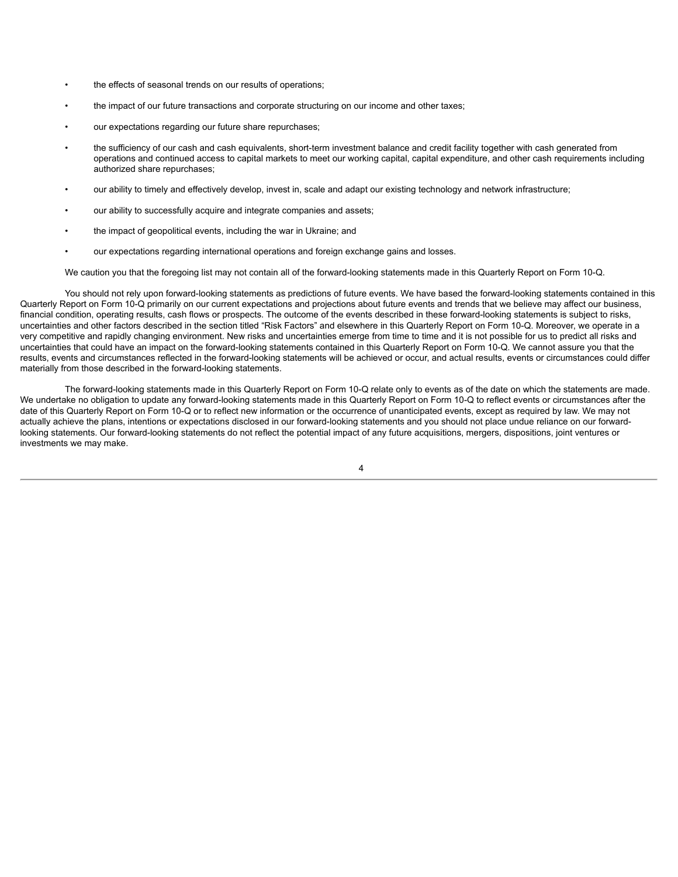- the effects of seasonal trends on our results of operations;
- the impact of our future transactions and corporate structuring on our income and other taxes;
- our expectations regarding our future share repurchases;
- the sufficiency of our cash and cash equivalents, short-term investment balance and credit facility together with cash generated from operations and continued access to capital markets to meet our working capital, capital expenditure, and other cash requirements including authorized share repurchases;
- our ability to timely and effectively develop, invest in, scale and adapt our existing technology and network infrastructure;
- our ability to successfully acquire and integrate companies and assets;
- the impact of geopolitical events, including the war in Ukraine; and
- our expectations regarding international operations and foreign exchange gains and losses.

We caution you that the foregoing list may not contain all of the forward-looking statements made in this Quarterly Report on Form 10-Q.

You should not rely upon forward-looking statements as predictions of future events. We have based the forward-looking statements contained in this Quarterly Report on Form 10-Q primarily on our current expectations and projections about future events and trends that we believe may affect our business, financial condition, operating results, cash flows or prospects. The outcome of the events described in these forward-looking statements is subject to risks, uncertainties and other factors described in the section titled "Risk Factors" and elsewhere in this Quarterly Report on Form 10-Q. Moreover, we operate in a very competitive and rapidly changing environment. New risks and uncertainties emerge from time to time and it is not possible for us to predict all risks and uncertainties that could have an impact on the forward-looking statements contained in this Quarterly Report on Form 10-Q. We cannot assure you that the results, events and circumstances reflected in the forward-looking statements will be achieved or occur, and actual results, events or circumstances could differ materially from those described in the forward-looking statements.

The forward-looking statements made in this Quarterly Report on Form 10-Q relate only to events as of the date on which the statements are made. We undertake no obligation to update any forward-looking statements made in this Quarterly Report on Form 10-Q to reflect events or circumstances after the date of this Quarterly Report on Form 10-Q or to reflect new information or the occurrence of unanticipated events, except as required by law. We may not actually achieve the plans, intentions or expectations disclosed in our forward-looking statements and you should not place undue reliance on our forwardlooking statements. Our forward-looking statements do not reflect the potential impact of any future acquisitions, mergers, dispositions, joint ventures or investments we may make.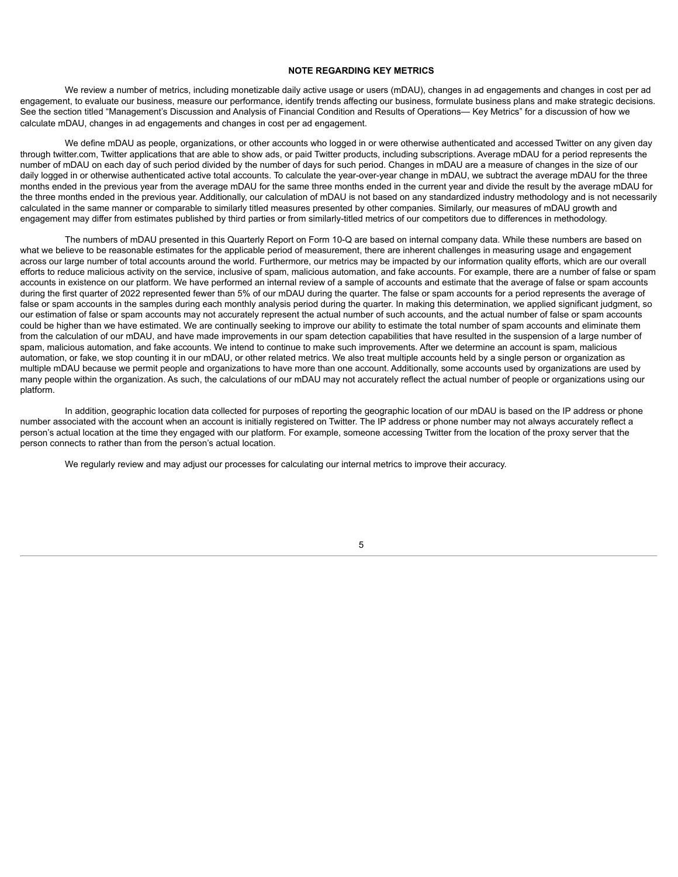#### **NOTE REGARDING KEY METRICS**

We review a number of metrics, including monetizable daily active usage or users (mDAU), changes in ad engagements and changes in cost per ad engagement, to evaluate our business, measure our performance, identify trends affecting our business, formulate business plans and make strategic decisions. See the section titled "Management's Discussion and Analysis of Financial Condition and Results of Operations— Key Metrics" for a discussion of how we calculate mDAU, changes in ad engagements and changes in cost per ad engagement.

We define mDAU as people, organizations, or other accounts who logged in or were otherwise authenticated and accessed Twitter on any given day through twitter.com, Twitter applications that are able to show ads, or paid Twitter products, including subscriptions. Average mDAU for a period represents the number of mDAU on each day of such period divided by the number of days for such period. Changes in mDAU are a measure of changes in the size of our daily logged in or otherwise authenticated active total accounts. To calculate the year-over-year change in mDAU, we subtract the average mDAU for the three months ended in the previous year from the average mDAU for the same three months ended in the current year and divide the result by the average mDAU for the three months ended in the previous year. Additionally, our calculation of mDAU is not based on any standardized industry methodology and is not necessarily calculated in the same manner or comparable to similarly titled measures presented by other companies. Similarly, our measures of mDAU growth and engagement may differ from estimates published by third parties or from similarly-titled metrics of our competitors due to differences in methodology.

The numbers of mDAU presented in this Quarterly Report on Form 10-Q are based on internal company data. While these numbers are based on what we believe to be reasonable estimates for the applicable period of measurement, there are inherent challenges in measuring usage and engagement across our large number of total accounts around the world. Furthermore, our metrics may be impacted by our information quality efforts, which are our overall efforts to reduce malicious activity on the service, inclusive of spam, malicious automation, and fake accounts. For example, there are a number of false or spam accounts in existence on our platform. We have performed an internal review of a sample of accounts and estimate that the average of false or spam accounts during the first quarter of 2022 represented fewer than 5% of our mDAU during the quarter. The false or spam accounts for a period represents the average of false or spam accounts in the samples during each monthly analysis period during the quarter. In making this determination, we applied significant judgment, so our estimation of false or spam accounts may not accurately represent the actual number of such accounts, and the actual number of false or spam accounts could be higher than we have estimated. We are continually seeking to improve our ability to estimate the total number of spam accounts and eliminate them from the calculation of our mDAU, and have made improvements in our spam detection capabilities that have resulted in the suspension of a large number of spam, malicious automation, and fake accounts. We intend to continue to make such improvements. After we determine an account is spam, malicious automation, or fake, we stop counting it in our mDAU, or other related metrics. We also treat multiple accounts held by a single person or organization as multiple mDAU because we permit people and organizations to have more than one account. Additionally, some accounts used by organizations are used by many people within the organization. As such, the calculations of our mDAU may not accurately reflect the actual number of people or organizations using our platform.

In addition, geographic location data collected for purposes of reporting the geographic location of our mDAU is based on the IP address or phone number associated with the account when an account is initially registered on Twitter. The IP address or phone number may not always accurately reflect a person's actual location at the time they engaged with our platform. For example, someone accessing Twitter from the location of the proxy server that the person connects to rather than from the person's actual location.

<span id="page-4-0"></span>We regularly review and may adjust our processes for calculating our internal metrics to improve their accuracy.

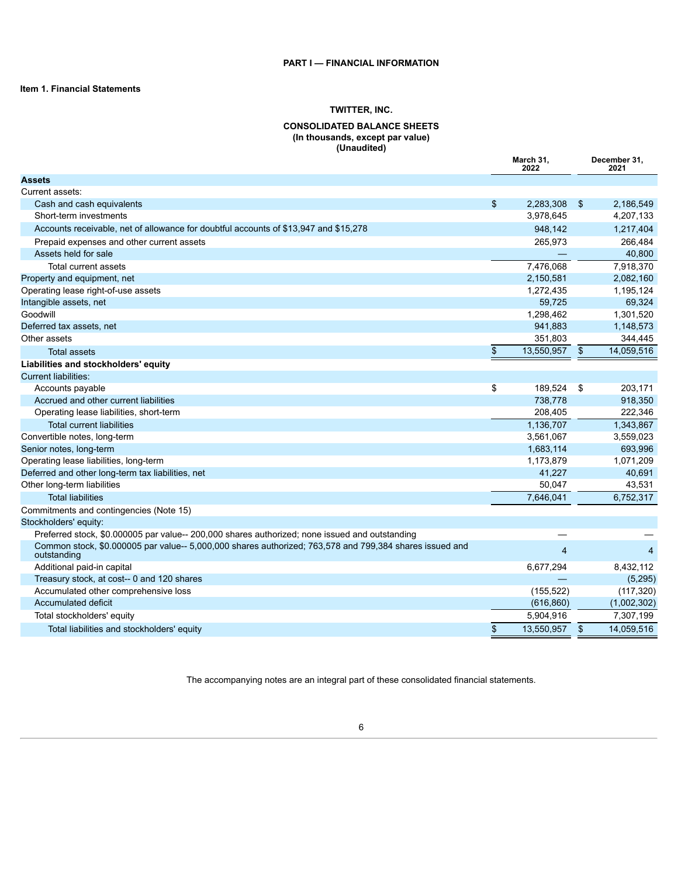## **PART I — FINANCIAL INFORMATION**

## <span id="page-5-1"></span><span id="page-5-0"></span>**Item 1. Financial Statements**

## **TWITTER, INC.**

#### **CONSOLIDATED BALANCE SHEETS (In thousands, except par value) (Unaudited)**

|                                                                                                                        |               | March 31,<br>2022 |                | December 31,<br>2021 |
|------------------------------------------------------------------------------------------------------------------------|---------------|-------------------|----------------|----------------------|
| <b>Assets</b>                                                                                                          |               |                   |                |                      |
| Current assets:                                                                                                        |               |                   |                |                      |
| Cash and cash equivalents                                                                                              | \$            | 2,283,308         | $\mathbf{\$}$  | 2,186,549            |
| Short-term investments                                                                                                 |               | 3,978,645         |                | 4,207,133            |
| Accounts receivable, net of allowance for doubtful accounts of \$13,947 and \$15,278                                   |               | 948.142           |                | 1,217,404            |
| Prepaid expenses and other current assets                                                                              |               | 265,973           |                | 266,484              |
| Assets held for sale                                                                                                   |               |                   |                | 40,800               |
| Total current assets                                                                                                   |               | 7,476,068         |                | 7,918,370            |
| Property and equipment, net                                                                                            |               | 2,150,581         |                | 2,082,160            |
| Operating lease right-of-use assets                                                                                    |               | 1,272,435         |                | 1,195,124            |
| Intangible assets, net                                                                                                 |               | 59,725            |                | 69,324               |
| Goodwill                                                                                                               |               | 1,298,462         |                | 1,301,520            |
| Deferred tax assets, net                                                                                               |               | 941,883           |                | 1,148,573            |
| Other assets                                                                                                           |               | 351,803           |                | 344,445              |
| <b>Total assets</b>                                                                                                    | $\frac{1}{2}$ | 13,550,957        | $\mathfrak{F}$ | 14.059.516           |
| Liabilities and stockholders' equity                                                                                   |               |                   |                |                      |
| <b>Current liabilities:</b>                                                                                            |               |                   |                |                      |
| Accounts payable                                                                                                       | \$            | 189,524           | - \$           | 203,171              |
| Accrued and other current liabilities                                                                                  |               | 738,778           |                | 918,350              |
| Operating lease liabilities, short-term                                                                                |               | 208,405           |                | 222,346              |
| <b>Total current liabilities</b>                                                                                       |               | 1,136,707         |                | 1,343,867            |
| Convertible notes, long-term                                                                                           |               | 3,561,067         |                | 3,559,023            |
| Senior notes, long-term                                                                                                |               | 1,683,114         |                | 693,996              |
| Operating lease liabilities, long-term                                                                                 |               | 1,173,879         |                | 1,071,209            |
| Deferred and other long-term tax liabilities, net                                                                      |               | 41,227            |                | 40,691               |
| Other long-term liabilities                                                                                            |               | 50,047            |                | 43,531               |
| <b>Total liabilities</b>                                                                                               |               | 7,646,041         |                | 6,752,317            |
| Commitments and contingencies (Note 15)                                                                                |               |                   |                |                      |
| Stockholders' equity:                                                                                                  |               |                   |                |                      |
| Preferred stock, \$0.000005 par value-- 200,000 shares authorized; none issued and outstanding                         |               |                   |                |                      |
| Common stock, \$0.000005 par value-- 5,000,000 shares authorized; 763,578 and 799,384 shares issued and<br>outstanding |               | 4                 |                | 4                    |
| Additional paid-in capital                                                                                             |               | 6,677,294         |                | 8,432,112            |
| Treasury stock, at cost-- 0 and 120 shares                                                                             |               |                   |                | (5,295)              |
| Accumulated other comprehensive loss                                                                                   |               | (155, 522)        |                | (117, 320)           |
| <b>Accumulated deficit</b>                                                                                             |               | (616, 860)        |                | (1,002,302)          |
| Total stockholders' equity                                                                                             |               | 5,904,916         |                | 7,307,199            |
| Total liabilities and stockholders' equity                                                                             | \$            | 13,550,957        | $\mathfrak{s}$ | 14,059,516           |

<span id="page-5-2"></span>The accompanying notes are an integral part of these consolidated financial statements.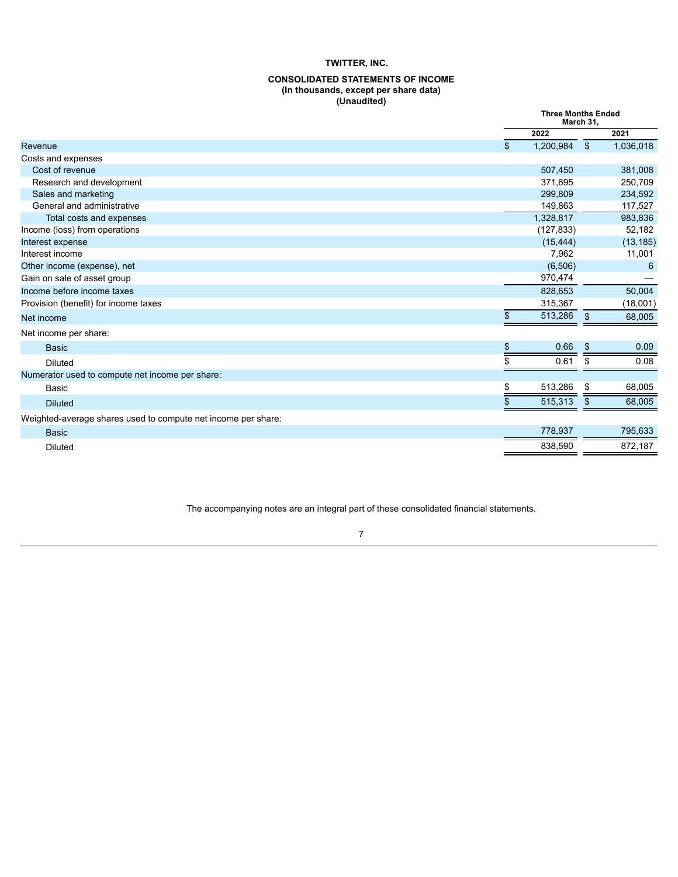#### **CONSOLIDATED STATEMENTS OF INCOME (In thousands, except per share data) (Unaudited)**

|                                                               | <b>Three Months Ended</b><br>March 31, |            |                |           |
|---------------------------------------------------------------|----------------------------------------|------------|----------------|-----------|
|                                                               |                                        | 2022       |                | 2021      |
| Revenue                                                       | \$                                     | 1,200,984  | $\mathfrak{S}$ | 1,036,018 |
| Costs and expenses                                            |                                        |            |                |           |
| Cost of revenue                                               |                                        | 507,450    |                | 381,008   |
| Research and development                                      |                                        | 371,695    |                | 250,709   |
| Sales and marketing                                           |                                        | 299.809    |                | 234,592   |
| General and administrative                                    |                                        | 149,863    |                | 117,527   |
| Total costs and expenses                                      |                                        | 1,328,817  |                | 983,836   |
| Income (loss) from operations                                 |                                        | (127, 833) |                | 52,182    |
| Interest expense                                              |                                        | (15, 444)  |                | (13, 185) |
| Interest income                                               |                                        | 7,962      |                | 11,001    |
| Other income (expense), net                                   |                                        | (6,506)    |                | 6         |
| Gain on sale of asset group                                   |                                        | 970,474    |                |           |
| Income before income taxes                                    |                                        | 828,653    |                | 50.004    |
| Provision (benefit) for income taxes                          |                                        | 315,367    |                | (18,001)  |
| Net income                                                    | \$                                     | 513,286    | $\mathfrak{s}$ | 68,005    |
| Net income per share:                                         |                                        |            |                |           |
| <b>Basic</b>                                                  | \$                                     | 0.66       | \$             | 0.09      |
| <b>Diluted</b>                                                |                                        | 0.61       | \$             | 0.08      |
| Numerator used to compute net income per share:               |                                        |            |                |           |
| Basic                                                         | \$                                     | 513,286    | \$             | 68,005    |
| <b>Diluted</b>                                                | \$                                     | 515,313    | \$             | 68,005    |
| Weighted-average shares used to compute net income per share: |                                        |            |                |           |
| <b>Basic</b>                                                  |                                        | 778,937    |                | 795,633   |
| <b>Diluted</b>                                                |                                        | 838,590    |                | 872,187   |

<span id="page-6-0"></span>The accompanying notes are an integral part of these consolidated financial statements.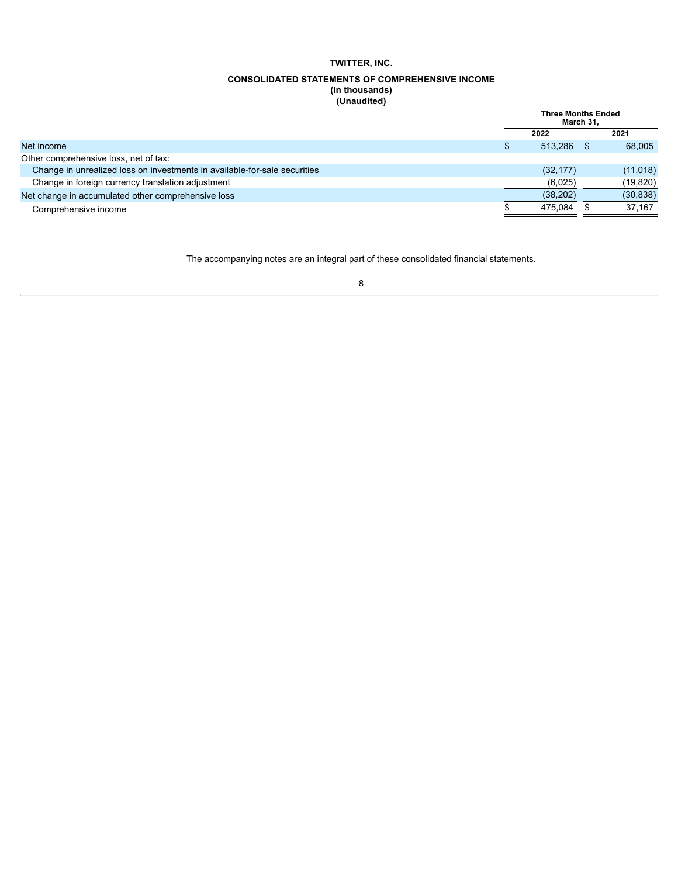#### **CONSOLIDATED STATEMENTS OF COMPREHENSIVE INCOME (In thousands)**

**(Unaudited)**

|                                                                           | <b>Three Months Ended</b><br>March 31. |           |
|---------------------------------------------------------------------------|----------------------------------------|-----------|
|                                                                           | 2022                                   | 2021      |
| Net income                                                                | 513.286                                | 68.005    |
| Other comprehensive loss, net of tax:                                     |                                        |           |
| Change in unrealized loss on investments in available-for-sale securities | (32, 177)                              | (11, 018) |
| Change in foreign currency translation adjustment                         | (6,025)                                | (19, 820) |
| Net change in accumulated other comprehensive loss                        | (38, 202)                              | (30, 838) |
| Comprehensive income                                                      | 475.084                                | 37.167    |
|                                                                           |                                        |           |

<span id="page-7-0"></span>The accompanying notes are an integral part of these consolidated financial statements.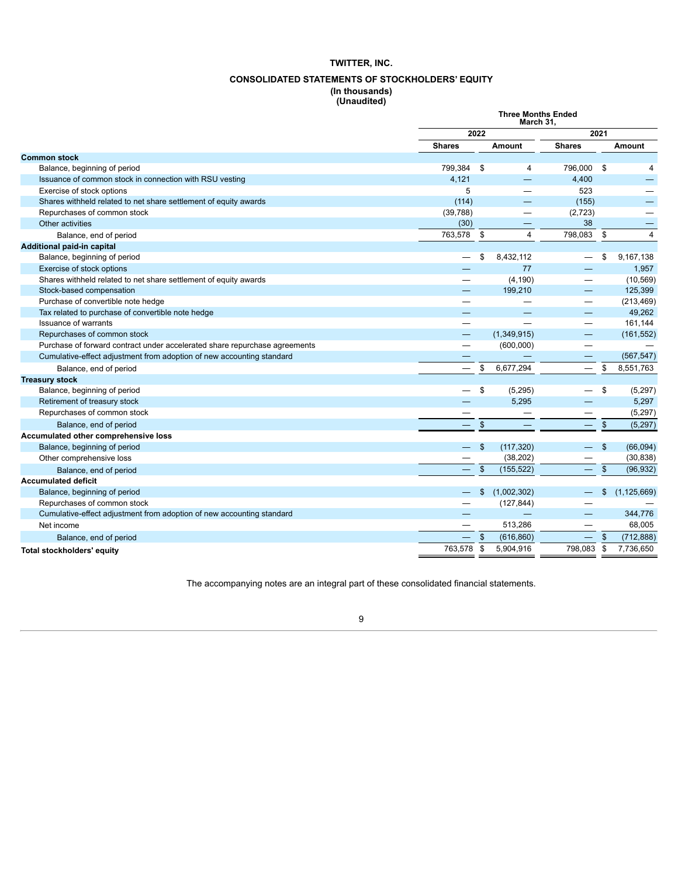## **CONSOLIDATED STATEMENTS OF STOCKHOLDERS' EQUITY**

**(In thousands) (Unaudited)**

|                                                                            | <b>Three Months Ended</b><br>March 31. |                |                |                   |                |                |
|----------------------------------------------------------------------------|----------------------------------------|----------------|----------------|-------------------|----------------|----------------|
|                                                                            |                                        | 2022           |                |                   | 2021           |                |
|                                                                            | <b>Shares</b>                          |                | Amount         | <b>Shares</b>     |                | Amount         |
| <b>Common stock</b>                                                        |                                        |                |                |                   |                |                |
| Balance, beginning of period                                               | 799,384                                | \$             | 4              | 796,000           | \$             | 4              |
| Issuance of common stock in connection with RSU vesting                    | 4,121                                  |                |                | 4,400             |                |                |
| Exercise of stock options                                                  | 5                                      |                | —              | 523               |                |                |
| Shares withheld related to net share settlement of equity awards           | (114)                                  |                |                | (155)             |                |                |
| Repurchases of common stock                                                | (39, 788)                              |                |                | (2,723)           |                |                |
| Other activities                                                           | (30)                                   |                |                | 38                |                |                |
| Balance, end of period                                                     | 763,578                                | $\mathfrak s$  | $\overline{4}$ | 798,083           | \$             | $\overline{4}$ |
| <b>Additional paid-in capital</b>                                          |                                        |                |                |                   |                |                |
| Balance, beginning of period                                               |                                        | \$             | 8,432,112      |                   | \$             | 9,167,138      |
| Exercise of stock options                                                  |                                        |                | 77             |                   |                | 1,957          |
| Shares withheld related to net share settlement of equity awards           |                                        |                | (4, 190)       |                   |                | (10, 569)      |
| Stock-based compensation                                                   |                                        |                | 199,210        |                   |                | 125,399        |
| Purchase of convertible note hedge                                         |                                        |                |                | -                 |                | (213, 469)     |
| Tax related to purchase of convertible note hedge                          |                                        |                |                |                   |                | 49.262         |
| Issuance of warrants                                                       |                                        |                |                | —                 |                | 161,144        |
| Repurchases of common stock                                                |                                        |                | (1,349,915)    |                   |                | (161, 552)     |
| Purchase of forward contract under accelerated share repurchase agreements |                                        |                | (600, 000)     | —                 |                |                |
| Cumulative-effect adjustment from adoption of new accounting standard      |                                        |                |                |                   |                | (567, 547)     |
| Balance, end of period                                                     | $\qquad \qquad$                        | \$             | 6,677,294      | —                 | \$             | 8,551,763      |
| <b>Treasury stock</b>                                                      |                                        |                |                |                   |                |                |
| Balance, beginning of period                                               |                                        | \$             | (5, 295)       |                   | \$             | (5, 297)       |
| Retirement of treasury stock                                               |                                        |                | 5,295          |                   |                | 5,297          |
| Repurchases of common stock                                                |                                        |                |                |                   |                | (5, 297)       |
| Balance, end of period                                                     |                                        | $\mathsf{\$}$  |                |                   | \$             | (5, 297)       |
| Accumulated other comprehensive loss                                       |                                        |                |                |                   |                |                |
| Balance, beginning of period                                               |                                        | $\mathfrak{s}$ | (117, 320)     | $\qquad \qquad -$ | $\mathfrak{S}$ | (66,094)       |
| Other comprehensive loss                                                   |                                        |                | (38, 202)      |                   |                | (30, 838)      |
| Balance, end of period                                                     | —                                      | $\mathbb{S}$   | (155, 522)     | $\qquad \qquad -$ | $\mathfrak{S}$ | (96, 932)      |
| <b>Accumulated deficit</b>                                                 |                                        |                |                |                   |                |                |
| Balance, beginning of period                                               |                                        | $\mathfrak{s}$ | (1,002,302)    |                   | \$             | (1, 125, 669)  |
| Repurchases of common stock                                                |                                        |                | (127, 844)     |                   |                |                |
| Cumulative-effect adjustment from adoption of new accounting standard      |                                        |                |                |                   |                | 344,776        |
| Net income                                                                 |                                        |                | 513,286        |                   |                | 68,005         |
| Balance, end of period                                                     |                                        | $\mathfrak{S}$ | (616, 860)     |                   | \$             | (712, 888)     |
| <b>Total stockholders' equity</b>                                          | 763,578                                | \$             | 5,904,916      | 798,083           | \$             | 7,736,650      |

<span id="page-8-0"></span>The accompanying notes are an integral part of these consolidated financial statements.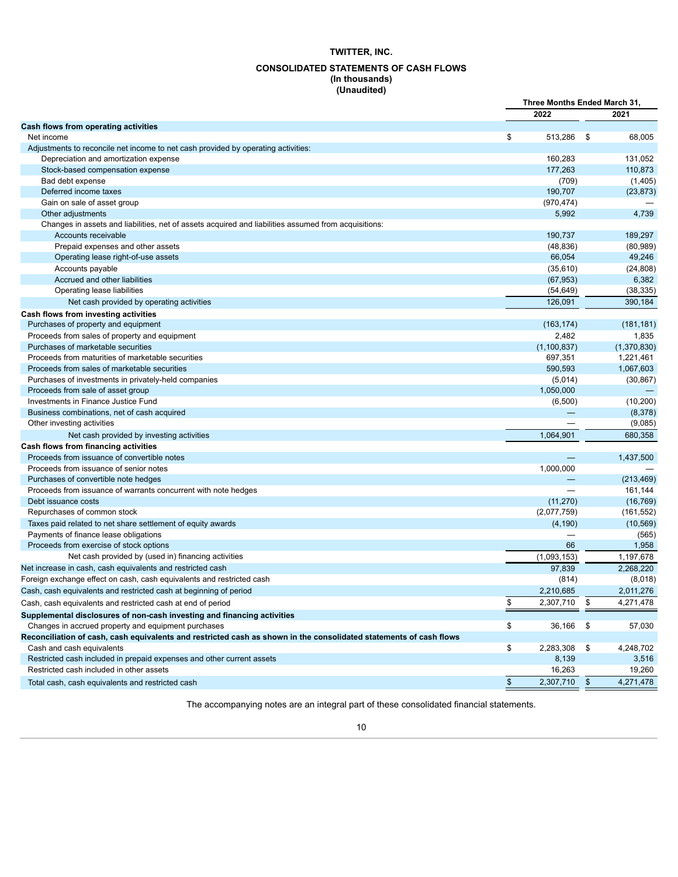## **CONSOLIDATED STATEMENTS OF CASH FLOWS**

**(In thousands)**

**(Unaudited)**

|                                                                                                                    | Three Months Ended March 31, |               |      |             |  |  |
|--------------------------------------------------------------------------------------------------------------------|------------------------------|---------------|------|-------------|--|--|
|                                                                                                                    |                              | 2022          |      | 2021        |  |  |
| Cash flows from operating activities                                                                               |                              |               |      |             |  |  |
| Net income                                                                                                         | \$                           | 513,286       | - \$ | 68,005      |  |  |
| Adjustments to reconcile net income to net cash provided by operating activities:                                  |                              |               |      |             |  |  |
| Depreciation and amortization expense                                                                              |                              | 160,283       |      | 131,052     |  |  |
| Stock-based compensation expense                                                                                   |                              | 177,263       |      | 110,873     |  |  |
| Bad debt expense                                                                                                   |                              | (709)         |      | (1,405)     |  |  |
| Deferred income taxes                                                                                              |                              | 190,707       |      | (23, 873)   |  |  |
| Gain on sale of asset group                                                                                        |                              | (970, 474)    |      |             |  |  |
| Other adjustments                                                                                                  |                              | 5,992         |      | 4,739       |  |  |
| Changes in assets and liabilities, net of assets acquired and liabilities assumed from acquisitions:               |                              |               |      |             |  |  |
| Accounts receivable                                                                                                |                              | 190,737       |      | 189,297     |  |  |
| Prepaid expenses and other assets                                                                                  |                              | (48, 836)     |      | (80, 989)   |  |  |
| Operating lease right-of-use assets                                                                                |                              | 66,054        |      | 49,246      |  |  |
| Accounts payable                                                                                                   |                              | (35,610)      |      | (24, 808)   |  |  |
| Accrued and other liabilities                                                                                      |                              | (67, 953)     |      | 6,382       |  |  |
| Operating lease liabilities                                                                                        |                              | (54, 649)     |      | (38, 335)   |  |  |
| Net cash provided by operating activities                                                                          |                              | 126,091       |      | 390,184     |  |  |
| Cash flows from investing activities                                                                               |                              |               |      |             |  |  |
| Purchases of property and equipment                                                                                |                              | (163, 174)    |      | (181, 181)  |  |  |
| Proceeds from sales of property and equipment                                                                      |                              | 2,482         |      | 1,835       |  |  |
| Purchases of marketable securities                                                                                 |                              | (1, 100, 837) |      | (1,370,830) |  |  |
| Proceeds from maturities of marketable securities                                                                  |                              | 697,351       |      | 1,221,461   |  |  |
| Proceeds from sales of marketable securities                                                                       |                              | 590,593       |      | 1,067,603   |  |  |
| Purchases of investments in privately-held companies                                                               |                              | (5,014)       |      | (30, 867)   |  |  |
| Proceeds from sale of asset group                                                                                  |                              | 1,050,000     |      |             |  |  |
| Investments in Finance Justice Fund                                                                                |                              | (6,500)       |      | (10, 200)   |  |  |
| Business combinations, net of cash acquired                                                                        |                              |               |      | (8,378)     |  |  |
| Other investing activities                                                                                         |                              |               |      | (9,085)     |  |  |
| Net cash provided by investing activities                                                                          |                              | 1,064,901     |      | 680,358     |  |  |
| Cash flows from financing activities                                                                               |                              |               |      |             |  |  |
| Proceeds from issuance of convertible notes                                                                        |                              |               |      | 1,437,500   |  |  |
| Proceeds from issuance of senior notes                                                                             |                              | 1,000,000     |      |             |  |  |
| Purchases of convertible note hedges                                                                               |                              |               |      | (213, 469)  |  |  |
| Proceeds from issuance of warrants concurrent with note hedges                                                     |                              |               |      | 161,144     |  |  |
| Debt issuance costs                                                                                                |                              | (11, 270)     |      | (16, 769)   |  |  |
| Repurchases of common stock                                                                                        |                              | (2,077,759)   |      | (161, 552)  |  |  |
| Taxes paid related to net share settlement of equity awards                                                        |                              | (4, 190)      |      | (10, 569)   |  |  |
| Payments of finance lease obligations                                                                              |                              |               |      | (565)       |  |  |
| Proceeds from exercise of stock options                                                                            |                              | 66            |      | 1,958       |  |  |
| Net cash provided by (used in) financing activities                                                                |                              | (1,093,153)   |      | 1,197,678   |  |  |
| Net increase in cash, cash equivalents and restricted cash                                                         |                              | 97,839        |      | 2.268.220   |  |  |
| Foreign exchange effect on cash, cash equivalents and restricted cash                                              |                              | (814)         |      | (8,018)     |  |  |
| Cash, cash equivalents and restricted cash at beginning of period                                                  |                              | 2,210,685     |      | 2,011,276   |  |  |
|                                                                                                                    | \$                           |               |      | 4,271,478   |  |  |
| Cash, cash equivalents and restricted cash at end of period                                                        |                              | 2,307,710     | \$   |             |  |  |
| Supplemental disclosures of non-cash investing and financing activities                                            |                              |               |      |             |  |  |
| Changes in accrued property and equipment purchases                                                                | \$                           | 36,166        | -\$  | 57,030      |  |  |
| Reconciliation of cash, cash equivalents and restricted cash as shown in the consolidated statements of cash flows |                              |               |      |             |  |  |
| Cash and cash equivalents                                                                                          | \$                           | 2,283,308     | - \$ | 4,248,702   |  |  |
| Restricted cash included in prepaid expenses and other current assets                                              |                              | 8,139         |      | 3,516       |  |  |
| Restricted cash included in other assets                                                                           |                              | 16,263        |      | 19,260      |  |  |
| Total cash, cash equivalents and restricted cash                                                                   | \$                           | 2,307,710 \$  |      | 4,271,478   |  |  |

<span id="page-9-0"></span>The accompanying notes are an integral part of these consolidated financial statements.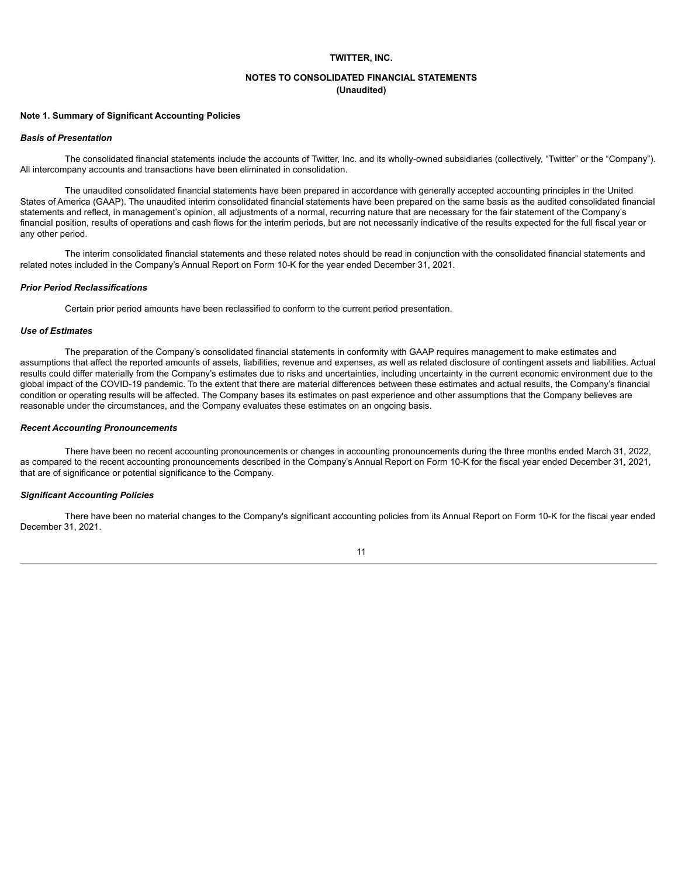## **NOTES TO CONSOLIDATED FINANCIAL STATEMENTS**

## **(Unaudited)**

#### **Note 1. Summary of Significant Accounting Policies**

#### *Basis of Presentation*

The consolidated financial statements include the accounts of Twitter, Inc. and its wholly-owned subsidiaries (collectively, "Twitter" or the "Company"). All intercompany accounts and transactions have been eliminated in consolidation.

The unaudited consolidated financial statements have been prepared in accordance with generally accepted accounting principles in the United States of America (GAAP). The unaudited interim consolidated financial statements have been prepared on the same basis as the audited consolidated financial statements and reflect, in management's opinion, all adjustments of a normal, recurring nature that are necessary for the fair statement of the Company's financial position, results of operations and cash flows for the interim periods, but are not necessarily indicative of the results expected for the full fiscal year or any other period.

The interim consolidated financial statements and these related notes should be read in conjunction with the consolidated financial statements and related notes included in the Company's Annual Report on Form 10-K for the year ended December 31, 2021.

#### *Prior Period Reclassifications*

Certain prior period amounts have been reclassified to conform to the current period presentation.

#### *Use of Estimates*

The preparation of the Company's consolidated financial statements in conformity with GAAP requires management to make estimates and assumptions that affect the reported amounts of assets, liabilities, revenue and expenses, as well as related disclosure of contingent assets and liabilities. Actual results could differ materially from the Company's estimates due to risks and uncertainties, including uncertainty in the current economic environment due to the global impact of the COVID-19 pandemic. To the extent that there are material differences between these estimates and actual results, the Company's financial condition or operating results will be affected. The Company bases its estimates on past experience and other assumptions that the Company believes are reasonable under the circumstances, and the Company evaluates these estimates on an ongoing basis.

#### *Recent Accounting Pronouncements*

There have been no recent accounting pronouncements or changes in accounting pronouncements during the three months ended March 31, 2022, as compared to the recent accounting pronouncements described in the Company's Annual Report on Form 10-K for the fiscal year ended December 31, 2021, that are of significance or potential significance to the Company.

#### *Significant Accounting Policies*

There have been no material changes to the Company's significant accounting policies from its Annual Report on Form 10-K for the fiscal year ended December 31, 2021.

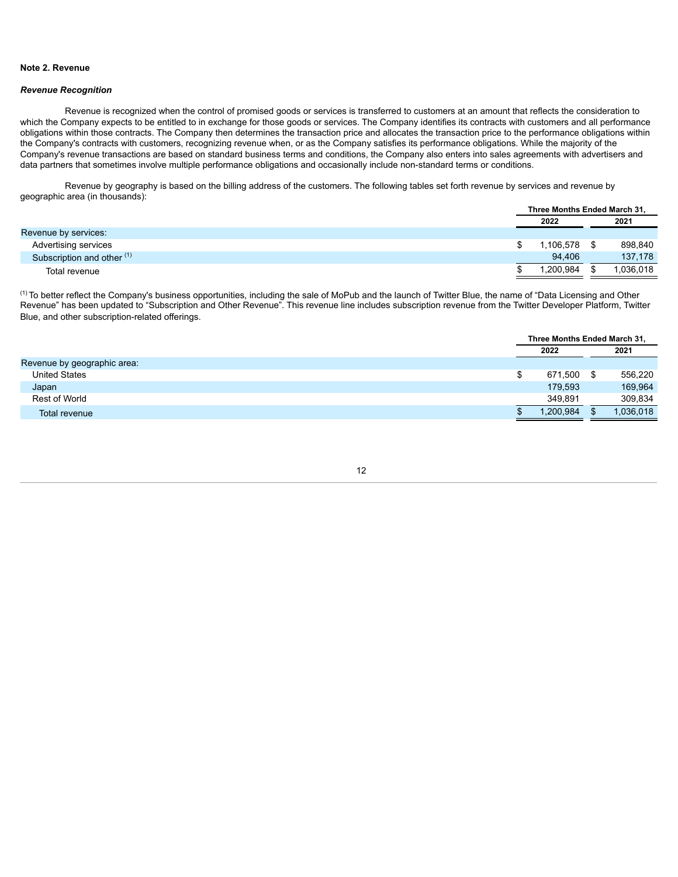#### **Note 2. Revenue**

#### *Revenue Recognition*

Revenue is recognized when the control of promised goods or services is transferred to customers at an amount that reflects the consideration to which the Company expects to be entitled to in exchange for those goods or services. The Company identifies its contracts with customers and all performance obligations within those contracts. The Company then determines the transaction price and allocates the transaction price to the performance obligations within the Company's contracts with customers, recognizing revenue when, or as the Company satisfies its performance obligations. While the majority of the Company's revenue transactions are based on standard business terms and conditions, the Company also enters into sales agreements with advertisers and data partners that sometimes involve multiple performance obligations and occasionally include non-standard terms or conditions.

Revenue by geography is based on the billing address of the customers. The following tables set forth revenue by services and revenue by geographic area (in thousands):

|                                       | Three Months Ended March 31, |           |
|---------------------------------------|------------------------------|-----------|
|                                       | 2022                         | 2021      |
| Revenue by services:                  |                              |           |
| Advertising services                  | 1.106.578                    | 898.840   |
| Subscription and other <sup>(1)</sup> | 94.406                       | 137.178   |
| Total revenue                         | .200.984                     | 1.036.018 |

<sup>(1)</sup> To better reflect the Company's business opportunities, including the sale of MoPub and the launch of Twitter Blue, the name of "Data Licensing and Other Revenue" has been updated to "Subscription and Other Revenue". This revenue line includes subscription revenue from the Twitter Developer Platform, Twitter Blue, and other subscription-related offerings.

|                             | Three Months Ended March 31, |  |           |
|-----------------------------|------------------------------|--|-----------|
|                             | 2022                         |  | 2021      |
| Revenue by geographic area: |                              |  |           |
| <b>United States</b>        | 671.500                      |  | 556.220   |
| Japan                       | 179.593                      |  | 169.964   |
| Rest of World               | 349.891                      |  | 309.834   |
| Total revenue               | 1.200.984                    |  | 1,036,018 |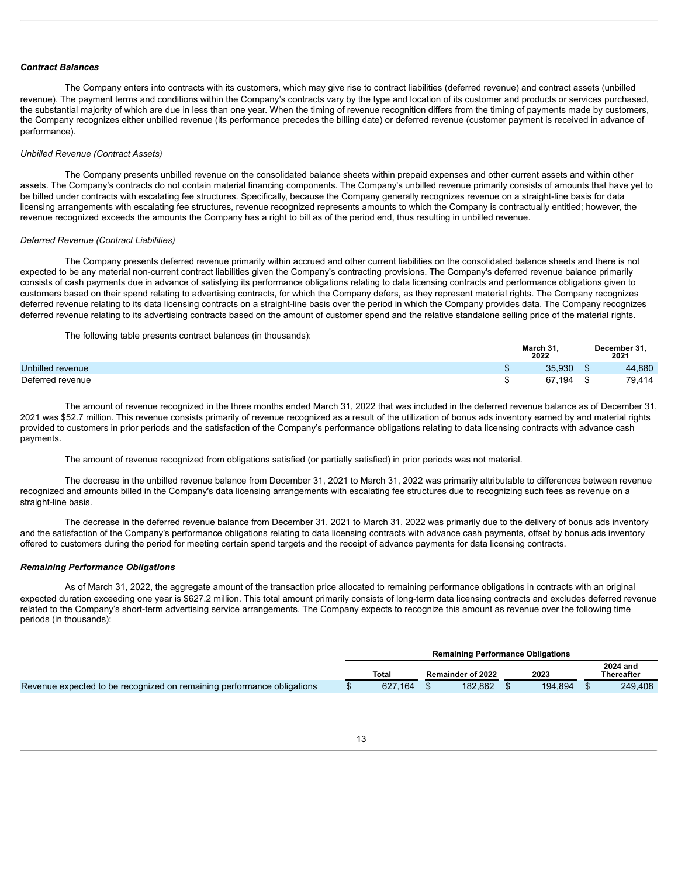#### *Contract Balances*

The Company enters into contracts with its customers, which may give rise to contract liabilities (deferred revenue) and contract assets (unbilled revenue). The payment terms and conditions within the Company's contracts vary by the type and location of its customer and products or services purchased, the substantial majority of which are due in less than one year. When the timing of revenue recognition differs from the timing of payments made by customers, the Company recognizes either unbilled revenue (its performance precedes the billing date) or deferred revenue (customer payment is received in advance of performance).

#### *Unbilled Revenue (Contract Assets)*

The Company presents unbilled revenue on the consolidated balance sheets within prepaid expenses and other current assets and within other assets. The Company's contracts do not contain material financing components. The Company's unbilled revenue primarily consists of amounts that have yet to be billed under contracts with escalating fee structures. Specifically, because the Company generally recognizes revenue on a straight-line basis for data licensing arrangements with escalating fee structures, revenue recognized represents amounts to which the Company is contractually entitled; however, the revenue recognized exceeds the amounts the Company has a right to bill as of the period end, thus resulting in unbilled revenue.

#### *Deferred Revenue (Contract Liabilities)*

The Company presents deferred revenue primarily within accrued and other current liabilities on the consolidated balance sheets and there is not expected to be any material non-current contract liabilities given the Company's contracting provisions. The Company's deferred revenue balance primarily consists of cash payments due in advance of satisfying its performance obligations relating to data licensing contracts and performance obligations given to customers based on their spend relating to advertising contracts, for which the Company defers, as they represent material rights. The Company recognizes deferred revenue relating to its data licensing contracts on a straight-line basis over the period in which the Company provides data. The Company recognizes deferred revenue relating to its advertising contracts based on the amount of customer spend and the relative standalone selling price of the material rights.

The following table presents contract balances (in thousands):

|                  | March 31,<br>2022 |        | December 31,<br>2021 |        |
|------------------|-------------------|--------|----------------------|--------|
| Unbilled revenue |                   | 35.930 |                      | 44,880 |
| Deferred revenue |                   | 67,194 |                      | 79,414 |

The amount of revenue recognized in the three months ended March 31, 2022 that was included in the deferred revenue balance as of December 31, 2021 was \$52.7 million. This revenue consists primarily of revenue recognized as a result of the utilization of bonus ads inventory earned by and material rights provided to customers in prior periods and the satisfaction of the Company's performance obligations relating to data licensing contracts with advance cash payments.

The amount of revenue recognized from obligations satisfied (or partially satisfied) in prior periods was not material.

The decrease in the unbilled revenue balance from December 31, 2021 to March 31, 2022 was primarily attributable to differences between revenue recognized and amounts billed in the Company's data licensing arrangements with escalating fee structures due to recognizing such fees as revenue on a straight-line basis.

The decrease in the deferred revenue balance from December 31, 2021 to March 31, 2022 was primarily due to the delivery of bonus ads inventory and the satisfaction of the Company's performance obligations relating to data licensing contracts with advance cash payments, offset by bonus ads inventory offered to customers during the period for meeting certain spend targets and the receipt of advance payments for data licensing contracts.

#### *Remaining Performance Obligations*

As of March 31, 2022, the aggregate amount of the transaction price allocated to remaining performance obligations in contracts with an original expected duration exceeding one year is \$627.2 million. This total amount primarily consists of long-term data licensing contracts and excludes deferred revenue related to the Company's short-term advertising service arrangements. The Company expects to recognize this amount as revenue over the following time periods (in thousands):

|                                                                        | <b>Remaining Performance Obligations</b> |         |  |                   |  |         |  |                               |
|------------------------------------------------------------------------|------------------------------------------|---------|--|-------------------|--|---------|--|-------------------------------|
|                                                                        |                                          | Total   |  | Remainder of 2022 |  | 2023    |  | 2024 and<br><b>Thereafter</b> |
| Revenue expected to be recognized on remaining performance obligations |                                          | 627.164 |  | 182.862           |  | 194.894 |  | 249.408                       |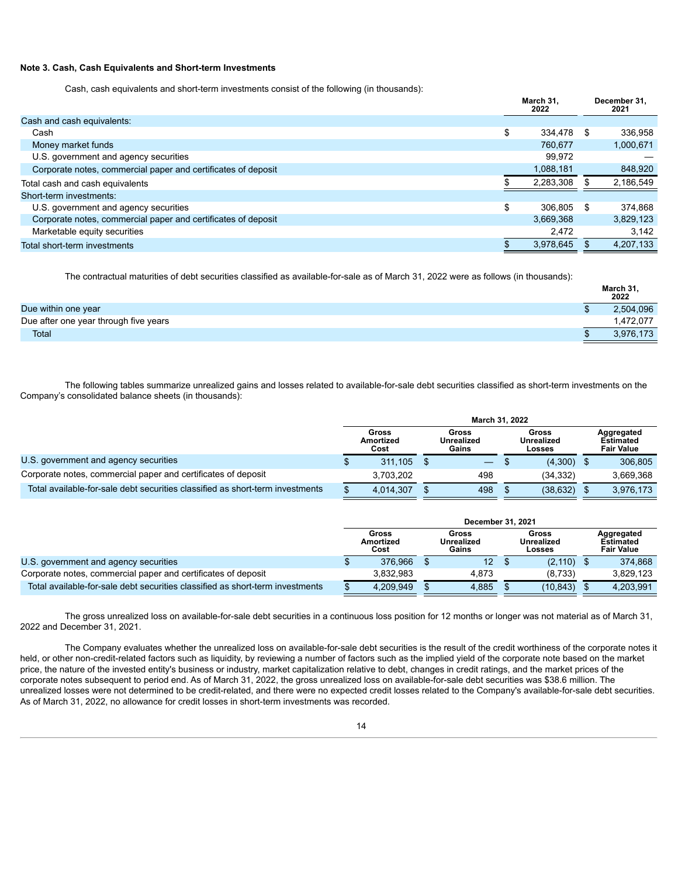#### **Note 3. Cash, Cash Equivalents and Short-term Investments**

Cash, cash equivalents and short-term investments consist of the following (in thousands):

|    | 2022      |     | December 31.<br>2021 |
|----|-----------|-----|----------------------|
|    |           |     |                      |
| \$ | 334.478   | \$. | 336,958              |
|    | 760.677   |     | 1,000,671            |
|    | 99.972    |     |                      |
|    | 1,088,181 |     | 848,920              |
|    | 2.283.308 |     | 2,186,549            |
|    |           |     |                      |
| œ  | 306.805   | -S  | 374.868              |
|    | 3,669,368 |     | 3,829,123            |
|    | 2,472     |     | 3,142                |
|    | 3,978,645 |     | 4,207,133            |
|    |           |     | March 31.            |

The contractual maturities of debt securities classified as available-for-sale as of March 31, 2022 were as follows (in thousands):

|                                       | March 31,<br>2022 |
|---------------------------------------|-------------------|
| Due within one year                   | 2,504,096         |
| Due after one year through five years | 1.472.077         |
| <b>Total</b>                          | 3,976,173         |

The following tables summarize unrealized gains and losses related to available-for-sale debt securities classified as short-term investments on the Company's consolidated balance sheets (in thousands):

|                                                                               | March 31, 2022 |                            |                              |     |                                             |              |  |                                              |  |
|-------------------------------------------------------------------------------|----------------|----------------------------|------------------------------|-----|---------------------------------------------|--------------|--|----------------------------------------------|--|
|                                                                               |                | Gross<br>Amortized<br>Cost | Gross<br>Unrealized<br>Gains |     | <b>Gross</b><br><b>Unrealized</b><br>Losses |              |  | Aggregated<br>Estimated<br><b>Fair Value</b> |  |
| U.S. government and agency securities                                         |                | 311.105                    |                              | $-$ |                                             | $(4,300)$ \$ |  | 306,805                                      |  |
| Corporate notes, commercial paper and certificates of deposit                 |                | 3.703.202                  |                              | 498 |                                             | (34, 332)    |  | 3.669.368                                    |  |
| Total available-for-sale debt securities classified as short-term investments |                | 4,014,307                  |                              | 498 |                                             | (38, 632)    |  | 3,976,173                                    |  |

|                                                                               | December 31, 2021 |                                                            |  |                               |  |           |                                                     |           |  |
|-------------------------------------------------------------------------------|-------------------|------------------------------------------------------------|--|-------------------------------|--|-----------|-----------------------------------------------------|-----------|--|
|                                                                               |                   | Gross<br>Gross<br>Amortized<br>Unrealized<br>Gains<br>Cost |  | Gross<br>Unrealized<br>Losses |  |           | Aggregated<br><b>Estimated</b><br><b>Fair Value</b> |           |  |
| U.S. government and agency securities                                         |                   | 376.966                                                    |  | $12 \overline{ }$             |  | (2, 110)  |                                                     | 374.868   |  |
| Corporate notes, commercial paper and certificates of deposit                 |                   | 3.832.983                                                  |  | 4.873                         |  | (8.733)   |                                                     | 3.829.123 |  |
| Total available-for-sale debt securities classified as short-term investments |                   | 4.209.949                                                  |  | 4.885                         |  | (10, 843) |                                                     | 4.203.991 |  |

The gross unrealized loss on available-for-sale debt securities in a continuous loss position for 12 months or longer was not material as of March 31, 2022 and December 31, 2021.

The Company evaluates whether the unrealized loss on available-for-sale debt securities is the result of the credit worthiness of the corporate notes it held, or other non-credit-related factors such as liquidity, by reviewing a number of factors such as the implied yield of the corporate note based on the market price, the nature of the invested entity's business or industry, market capitalization relative to debt, changes in credit ratings, and the market prices of the corporate notes subsequent to period end. As of March 31, 2022, the gross unrealized loss on available-for-sale debt securities was \$38.6 million. The unrealized losses were not determined to be credit-related, and there were no expected credit losses related to the Company's available-for-sale debt securities. As of March 31, 2022, no allowance for credit losses in short-term investments was recorded.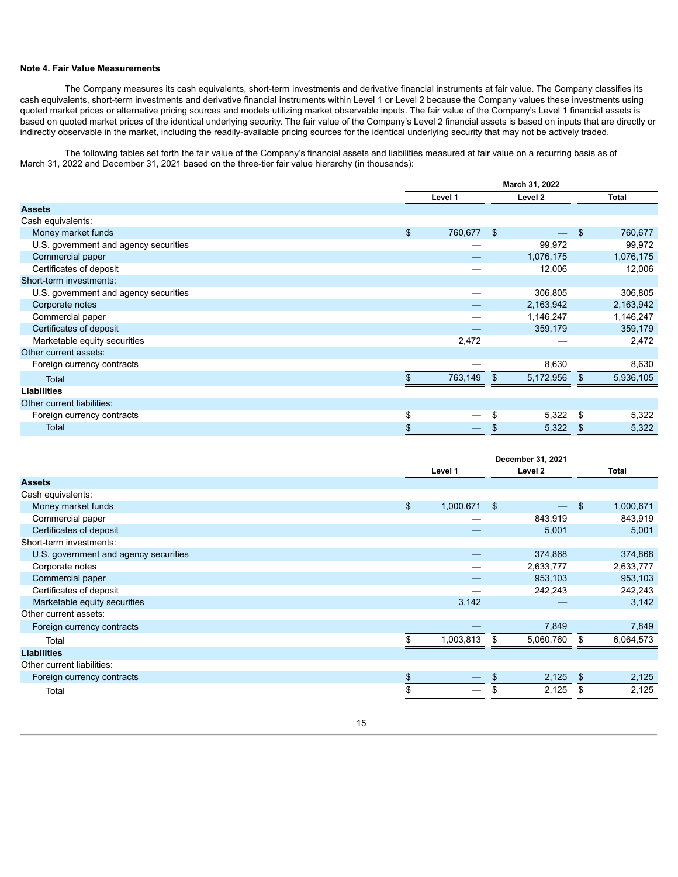### **Note 4. Fair Value Measurements**

The Company measures its cash equivalents, short-term investments and derivative financial instruments at fair value. The Company classifies its cash equivalents, short-term investments and derivative financial instruments within Level 1 or Level 2 because the Company values these investments using quoted market prices or alternative pricing sources and models utilizing market observable inputs. The fair value of the Company's Level 1 financial assets is based on quoted market prices of the identical underlying security. The fair value of the Company's Level 2 financial assets is based on inputs that are directly or indirectly observable in the market, including the readily-available pricing sources for the identical underlying security that may not be actively traded.

The following tables set forth the fair value of the Company's financial assets and liabilities measured at fair value on a recurring basis as of March 31, 2022 and December 31, 2021 based on the three-tier fair value hierarchy (in thousands):

|                                       | March 31, 2022     |      |           |    |              |  |
|---------------------------------------|--------------------|------|-----------|----|--------------|--|
|                                       | Level 2<br>Level 1 |      |           |    | <b>Total</b> |  |
| <b>Assets</b>                         |                    |      |           |    |              |  |
| Cash equivalents:                     |                    |      |           |    |              |  |
| Money market funds                    | \$<br>760,677      | - \$ |           | \$ | 760,677      |  |
| U.S. government and agency securities |                    |      | 99,972    |    | 99,972       |  |
| Commercial paper                      |                    |      | 1,076,175 |    | 1,076,175    |  |
| Certificates of deposit               |                    |      | 12,006    |    | 12,006       |  |
| Short-term investments:               |                    |      |           |    |              |  |
| U.S. government and agency securities |                    |      | 306,805   |    | 306,805      |  |
| Corporate notes                       |                    |      | 2,163,942 |    | 2,163,942    |  |
| Commercial paper                      |                    |      | 1,146,247 |    | 1,146,247    |  |
| Certificates of deposit               |                    |      | 359,179   |    | 359,179      |  |
| Marketable equity securities          | 2,472              |      |           |    | 2,472        |  |
| Other current assets:                 |                    |      |           |    |              |  |
| Foreign currency contracts            |                    |      | 8,630     |    | 8,630        |  |
| <b>Total</b>                          | 763,149            | \$.  | 5,172,956 | \$ | 5,936,105    |  |
| <b>Liabilities</b>                    |                    |      |           |    |              |  |
| Other current liabilities:            |                    |      |           |    |              |  |
| Foreign currency contracts            | \$                 | \$   | 5,322     | \$ | 5,322        |  |
| Total                                 |                    |      | 5,322     | S  | 5,322        |  |
|                                       |                    |      |           |    |              |  |

|                                       |    | Level 2<br>Level 1 |      |           |     | Total     |
|---------------------------------------|----|--------------------|------|-----------|-----|-----------|
| <b>Assets</b>                         |    |                    |      |           |     |           |
| Cash equivalents:                     |    |                    |      |           |     |           |
| Money market funds                    | \$ | 1,000,671          | - \$ |           | \$  | 1,000,671 |
| Commercial paper                      |    |                    |      | 843,919   |     | 843,919   |
| Certificates of deposit               |    |                    |      | 5,001     |     | 5,001     |
| Short-term investments:               |    |                    |      |           |     |           |
| U.S. government and agency securities |    |                    |      | 374,868   |     | 374,868   |
| Corporate notes                       |    |                    |      | 2,633,777 |     | 2,633,777 |
| Commercial paper                      |    |                    |      | 953,103   |     | 953,103   |
| Certificates of deposit               |    |                    |      | 242,243   |     | 242,243   |
| Marketable equity securities          |    | 3,142              |      |           |     | 3,142     |
| Other current assets:                 |    |                    |      |           |     |           |
| Foreign currency contracts            |    |                    |      | 7,849     |     | 7,849     |
| Total                                 |    | 1,003,813          | \$   | 5,060,760 | \$. | 6,064,573 |
| <b>Liabilities</b>                    |    |                    |      |           |     |           |
| Other current liabilities:            |    |                    |      |           |     |           |
| Foreign currency contracts            | \$ |                    |      | 2,125     | \$  | 2,125     |
| Total                                 |    |                    |      | 2,125     | \$  | 2,125     |
|                                       |    |                    |      |           |     |           |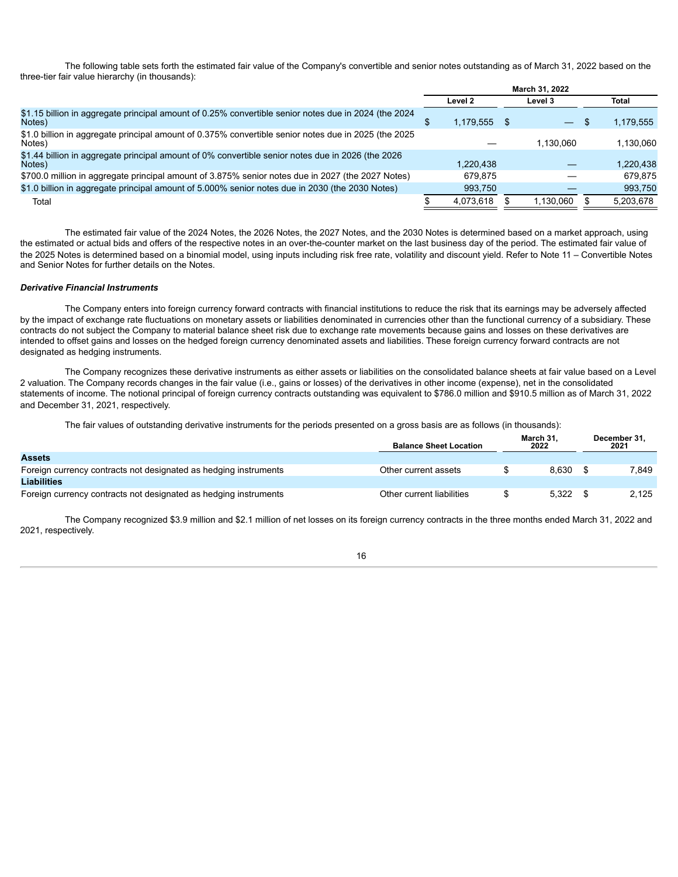The following table sets forth the estimated fair value of the Company's convertible and senior notes outstanding as of March 31, 2022 based on the three-tier fair value hierarchy (in thousands):

|                                                                                                                | March 31, 2022 |           |         |           |  |           |
|----------------------------------------------------------------------------------------------------------------|----------------|-----------|---------|-----------|--|-----------|
|                                                                                                                | Level 2        |           | Level 3 |           |  | Total     |
| \$1.15 billion in aggregate principal amount of 0.25% convertible senior notes due in 2024 (the 2024<br>Notes) |                | 1.179.555 |         | $-$       |  | 1.179.555 |
| \$1.0 billion in aggregate principal amount of 0.375% convertible senior notes due in 2025 (the 2025<br>Notes) |                |           |         | 1.130.060 |  | 1.130.060 |
| \$1.44 billion in aggregate principal amount of 0% convertible senior notes due in 2026 (the 2026<br>Notes)    |                | 1.220.438 |         |           |  | 1,220,438 |
| \$700.0 million in aggregate principal amount of 3.875% senior notes due in 2027 (the 2027 Notes)              |                | 679.875   |         |           |  | 679.875   |
| \$1.0 billion in aggregate principal amount of 5.000% senior notes due in 2030 (the 2030 Notes)                |                | 993,750   |         |           |  | 993,750   |
| Total                                                                                                          |                | 4.073.618 |         | .130.060  |  | 5.203.678 |

The estimated fair value of the 2024 Notes, the 2026 Notes, the 2027 Notes, and the 2030 Notes is determined based on a market approach, using the estimated or actual bids and offers of the respective notes in an over-the-counter market on the last business day of the period. The estimated fair value of the 2025 Notes is determined based on a binomial model, using inputs including risk free rate, volatility and discount yield. Refer to Note 11 – Convertible Notes and Senior Notes for further details on the Notes.

#### *Derivative Financial Instruments*

The Company enters into foreign currency forward contracts with financial institutions to reduce the risk that its earnings may be adversely affected by the impact of exchange rate fluctuations on monetary assets or liabilities denominated in currencies other than the functional currency of a subsidiary. These contracts do not subject the Company to material balance sheet risk due to exchange rate movements because gains and losses on these derivatives are intended to offset gains and losses on the hedged foreign currency denominated assets and liabilities. These foreign currency forward contracts are not designated as hedging instruments.

The Company recognizes these derivative instruments as either assets or liabilities on the consolidated balance sheets at fair value based on a Level 2 valuation. The Company records changes in the fair value (i.e., gains or losses) of the derivatives in other income (expense), net in the consolidated statements of income. The notional principal of foreign currency contracts outstanding was equivalent to \$786.0 million and \$910.5 million as of March 31, 2022 and December 31, 2021, respectively.

The fair values of outstanding derivative instruments for the periods presented on a gross basis are as follows (in thousands):

|                                                                  | <b>Balance Sheet Location</b> | March 31.<br>2022 | December 31.<br>2021 |
|------------------------------------------------------------------|-------------------------------|-------------------|----------------------|
| <b>Assets</b>                                                    |                               |                   |                      |
| Foreign currency contracts not designated as hedging instruments | Other current assets          | 8.630             | 7.849                |
| <b>Liabilities</b>                                               |                               |                   |                      |
| Foreign currency contracts not designated as hedging instruments | Other current liabilities     | 5.322             | 2.125                |

The Company recognized \$3.9 million and \$2.1 million of net losses on its foreign currency contracts in the three months ended March 31, 2022 and 2021, respectively.

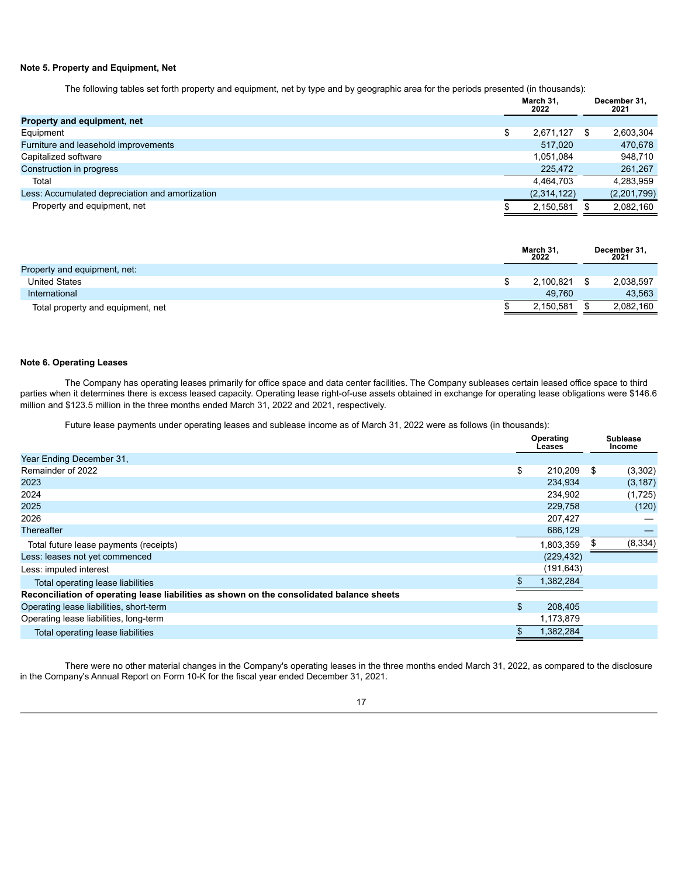## **Note 5. Property and Equipment, Net**

The following tables set forth property and equipment, net by type and by geographic area for the periods presented (in thousands):

|                                                 | March 31.<br>2022 |             |   | December 31,<br>2021 |
|-------------------------------------------------|-------------------|-------------|---|----------------------|
| Property and equipment, net                     |                   |             |   |                      |
| Equipment                                       |                   | 2.671.127   | S | 2,603,304            |
| Furniture and leasehold improvements            |                   | 517.020     |   | 470,678              |
| Capitalized software                            |                   | 1.051.084   |   | 948.710              |
| Construction in progress                        |                   | 225.472     |   | 261,267              |
| Total                                           |                   | 4.464.703   |   | 4.283.959            |
| Less: Accumulated depreciation and amortization |                   | (2,314,122) |   | (2,201,799)          |
| Property and equipment, net                     |                   | 2,150,581   |   | 2,082,160            |

|                                   |  | March 31,<br>2022 |  |           |  |  |  |  |  |  |  |  |  |  |  |  |  |  |  | December 31,<br>2021 |
|-----------------------------------|--|-------------------|--|-----------|--|--|--|--|--|--|--|--|--|--|--|--|--|--|--|----------------------|
| Property and equipment, net:      |  |                   |  |           |  |  |  |  |  |  |  |  |  |  |  |  |  |  |  |                      |
| <b>United States</b>              |  | 2.100.821         |  | 2.038.597 |  |  |  |  |  |  |  |  |  |  |  |  |  |  |  |                      |
| International                     |  | 49.760            |  | 43.563    |  |  |  |  |  |  |  |  |  |  |  |  |  |  |  |                      |
| Total property and equipment, net |  | 2.150.581         |  | 2.082.160 |  |  |  |  |  |  |  |  |  |  |  |  |  |  |  |                      |

#### **Note 6. Operating Leases**

The Company has operating leases primarily for office space and data center facilities. The Company subleases certain leased office space to third parties when it determines there is excess leased capacity. Operating lease right-of-use assets obtained in exchange for operating lease obligations were \$146.6 million and \$123.5 million in the three months ended March 31, 2022 and 2021, respectively.

Future lease payments under operating leases and sublease income as of March 31, 2022 were as follows (in thousands):

|                                                                                           |    | Operating<br>Leases | Sublease<br>Income |
|-------------------------------------------------------------------------------------------|----|---------------------|--------------------|
| Year Ending December 31,                                                                  |    |                     |                    |
| Remainder of 2022                                                                         | \$ | 210,209             | \$<br>(3,302)      |
| 2023                                                                                      |    | 234,934             | (3, 187)           |
| 2024                                                                                      |    | 234,902             | (1,725)            |
| 2025                                                                                      |    | 229,758             | (120)              |
| 2026                                                                                      |    | 207,427             |                    |
| <b>Thereafter</b>                                                                         |    | 686,129             |                    |
| Total future lease payments (receipts)                                                    |    | 1,803,359           | (8, 334)           |
| Less: leases not yet commenced                                                            |    | (229, 432)          |                    |
| Less: imputed interest                                                                    |    | (191, 643)          |                    |
| Total operating lease liabilities                                                         |    | 1,382,284           |                    |
| Reconciliation of operating lease liabilities as shown on the consolidated balance sheets |    |                     |                    |
| Operating lease liabilities, short-term                                                   | \$ | 208,405             |                    |
| Operating lease liabilities, long-term                                                    |    | 1,173,879           |                    |
| Total operating lease liabilities                                                         | S  | 1,382,284           |                    |

There were no other material changes in the Company's operating leases in the three months ended March 31, 2022, as compared to the disclosure in the Company's Annual Report on Form 10-K for the fiscal year ended December 31, 2021.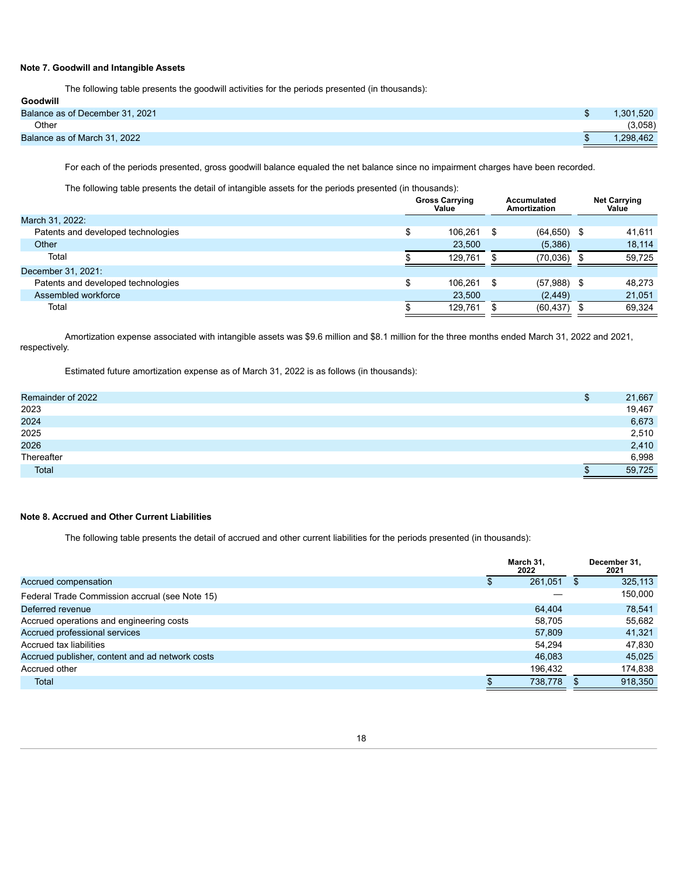### **Note 7. Goodwill and Intangible Assets**

The following table presents the goodwill activities for the periods presented (in thousands):

| Goodwill                        |           |
|---------------------------------|-----------|
| Balance as of December 31, 2021 | 1.301.520 |
| Other                           | (3,058)   |
| Balance as of March 31, 2022    | 1.298.462 |

For each of the periods presented, gross goodwill balance equaled the net balance since no impairment charges have been recorded.

The following table presents the detail of intangible assets for the periods presented (in thousands):

|                                    |   | <b>Gross Carrying</b><br>Value |      |                |  |        |  |  |  |  |  |  |  |  |  | Accumulated<br>Amortization |  | <b>Net Carrying</b><br>Value |
|------------------------------------|---|--------------------------------|------|----------------|--|--------|--|--|--|--|--|--|--|--|--|-----------------------------|--|------------------------------|
| March 31, 2022:                    |   |                                |      |                |  |        |  |  |  |  |  |  |  |  |  |                             |  |                              |
| Patents and developed technologies | J | 106.261                        | - \$ | $(64, 650)$ \$ |  | 41,611 |  |  |  |  |  |  |  |  |  |                             |  |                              |
| Other                              |   | 23.500                         |      | (5,386)        |  | 18,114 |  |  |  |  |  |  |  |  |  |                             |  |                              |
| Total                              |   | 129.761                        |      | $(70,036)$ \$  |  | 59,725 |  |  |  |  |  |  |  |  |  |                             |  |                              |
| December 31, 2021:                 |   |                                |      |                |  |        |  |  |  |  |  |  |  |  |  |                             |  |                              |
| Patents and developed technologies |   | 106.261                        | - \$ | $(57,988)$ \$  |  | 48.273 |  |  |  |  |  |  |  |  |  |                             |  |                              |
| Assembled workforce                |   | 23,500                         |      | (2, 449)       |  | 21,051 |  |  |  |  |  |  |  |  |  |                             |  |                              |
| Total                              |   | 129,761                        | - \$ | $(60, 437)$ \$ |  | 69,324 |  |  |  |  |  |  |  |  |  |                             |  |                              |

Amortization expense associated with intangible assets was \$9.6 million and \$8.1 million for the three months ended March 31, 2022 and 2021, respectively.

Estimated future amortization expense as of March 31, 2022 is as follows (in thousands):

| Remainder of 2022 | \$<br>21,667 |
|-------------------|--------------|
| 2023              | 19,467       |
| 2024              | 6,673        |
| 2025              | 2,510        |
| 2026              | 2,410        |
| Thereafter        | 6,998        |
| Total             | 59,725       |

#### **Note 8. Accrued and Other Current Liabilities**

The following table presents the detail of accrued and other current liabilities for the periods presented (in thousands):

|                                                 | March 31,<br>2022 |     | December 31,<br>2021 |
|-------------------------------------------------|-------------------|-----|----------------------|
| Accrued compensation                            | 261,051           | \$. | 325,113              |
| Federal Trade Commission accrual (see Note 15)  |                   |     | 150.000              |
| Deferred revenue                                | 64,404            |     | 78.541               |
| Accrued operations and engineering costs        | 58,705            |     | 55,682               |
| Accrued professional services                   | 57,809            |     | 41.321               |
| Accrued tax liabilities                         | 54.294            |     | 47.830               |
| Accrued publisher, content and ad network costs | 46.083            |     | 45,025               |
| Accrued other                                   | 196,432           |     | 174,838              |
| Total                                           | 738.778           |     | 918,350              |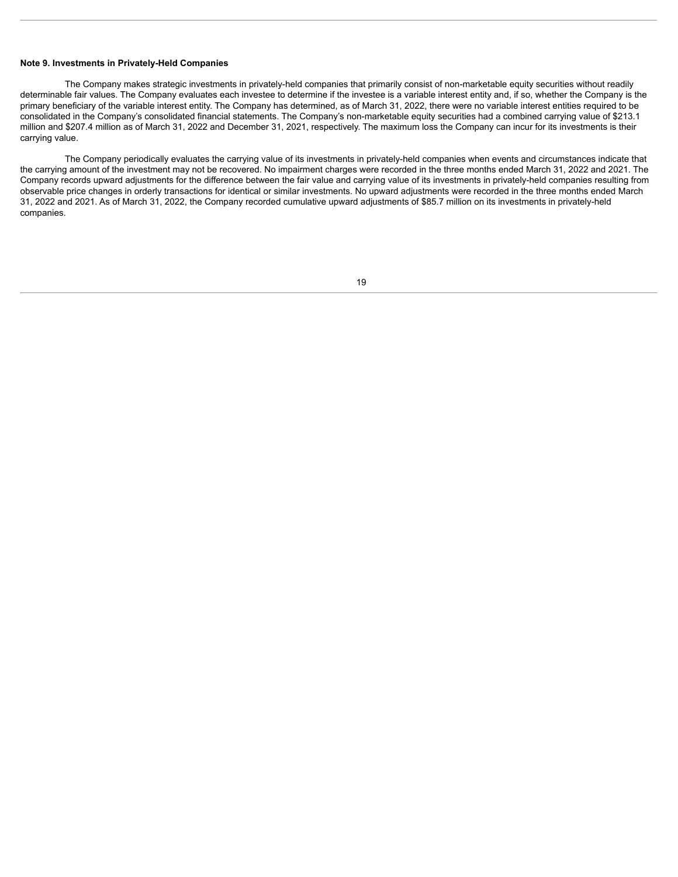#### **Note 9. Investments in Privately-Held Companies**

The Company makes strategic investments in privately-held companies that primarily consist of non-marketable equity securities without readily determinable fair values. The Company evaluates each investee to determine if the investee is a variable interest entity and, if so, whether the Company is the primary beneficiary of the variable interest entity. The Company has determined, as of March 31, 2022, there were no variable interest entities required to be consolidated in the Company's consolidated financial statements. The Company's non-marketable equity securities had a combined carrying value of \$213.1 million and \$207.4 million as of March 31, 2022 and December 31, 2021, respectively. The maximum loss the Company can incur for its investments is their carrying value.

The Company periodically evaluates the carrying value of its investments in privately-held companies when events and circumstances indicate that the carrying amount of the investment may not be recovered. No impairment charges were recorded in the three months ended March 31, 2022 and 2021. The Company records upward adjustments for the difference between the fair value and carrying value of its investments in privately-held companies resulting from observable price changes in orderly transactions for identical or similar investments. No upward adjustments were recorded in the three months ended March 31, 2022 and 2021. As of March 31, 2022, the Company recorded cumulative upward adjustments of \$85.7 million on its investments in privately-held companies.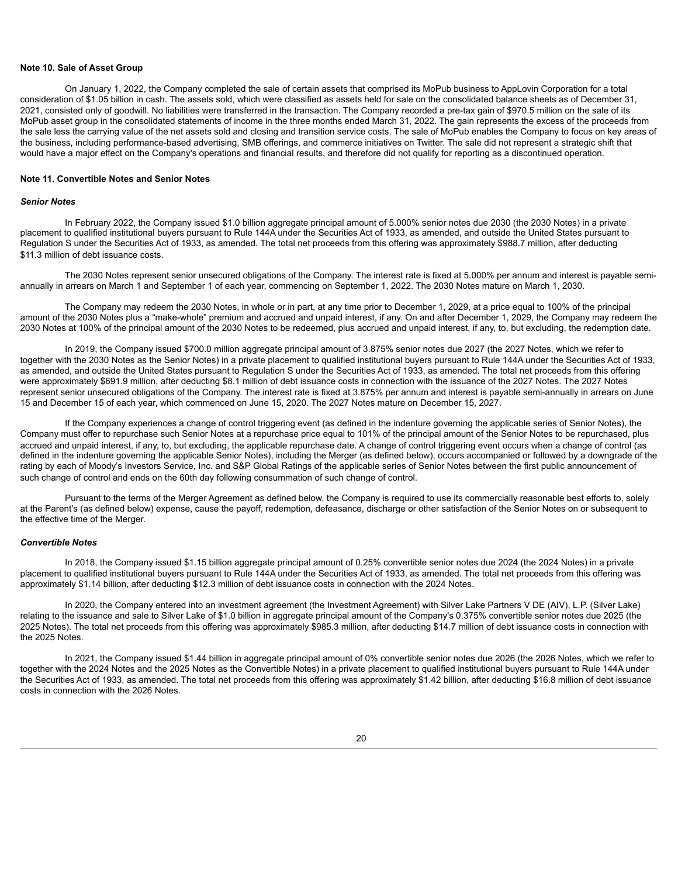#### **Note 10. Sale of Asset Group**

On January 1, 2022, the Company completed the sale of certain assets that comprised its MoPub business to AppLovin Corporation for a total consideration of \$1.05 billion in cash. The assets sold, which were classified as assets held for sale on the consolidated balance sheets as of December 31, 2021, consisted only of goodwill. No liabilities were transferred in the transaction. The Company recorded a pre-tax gain of \$970.5 million on the sale of its MoPub asset group in the consolidated statements of income in the three months ended March 31, 2022. The gain represents the excess of the proceeds from the sale less the carrying value of the net assets sold and closing and transition service costs. The sale of MoPub enables the Company to focus on key areas of the business, including performance-based advertising, SMB offerings, and commerce initiatives on Twitter. The sale did not represent a strategic shift that would have a major effect on the Company's operations and financial results, and therefore did not qualify for reporting as a discontinued operation.

#### **Note 11. Convertible Notes and Senior Notes**

#### *Senior Notes*

In February 2022, the Company issued \$1.0 billion aggregate principal amount of 5.000% senior notes due 2030 (the 2030 Notes) in a private placement to qualified institutional buyers pursuant to Rule 144A under the Securities Act of 1933, as amended, and outside the United States pursuant to Regulation S under the Securities Act of 1933, as amended. The total net proceeds from this offering was approximately \$988.7 million, after deducting \$11.3 million of debt issuance costs.

The 2030 Notes represent senior unsecured obligations of the Company. The interest rate is fixed at 5.000% per annum and interest is payable semiannually in arrears on March 1 and September 1 of each year, commencing on September 1, 2022. The 2030 Notes mature on March 1, 2030.

The Company may redeem the 2030 Notes, in whole or in part, at any time prior to December 1, 2029, at a price equal to 100% of the principal amount of the 2030 Notes plus a "make-whole" premium and accrued and unpaid interest, if any. On and after December 1, 2029, the Company may redeem the 2030 Notes at 100% of the principal amount of the 2030 Notes to be redeemed, plus accrued and unpaid interest, if any, to, but excluding, the redemption date.

In 2019, the Company issued \$700.0 million aggregate principal amount of 3.875% senior notes due 2027 (the 2027 Notes, which we refer to together with the 2030 Notes as the Senior Notes) in a private placement to qualified institutional buyers pursuant to Rule 144A under the Securities Act of 1933, as amended, and outside the United States pursuant to Regulation S under the Securities Act of 1933, as amended. The total net proceeds from this offering were approximately \$691.9 million, after deducting \$8.1 million of debt issuance costs in connection with the issuance of the 2027 Notes. The 2027 Notes represent senior unsecured obligations of the Company. The interest rate is fixed at 3.875% per annum and interest is payable semi-annually in arrears on June 15 and December 15 of each year, which commenced on June 15, 2020. The 2027 Notes mature on December 15, 2027.

If the Company experiences a change of control triggering event (as defined in the indenture governing the applicable series of Senior Notes), the Company must offer to repurchase such Senior Notes at a repurchase price equal to 101% of the principal amount of the Senior Notes to be repurchased, plus accrued and unpaid interest, if any, to, but excluding, the applicable repurchase date. A change of control triggering event occurs when a change of control (as defined in the indenture governing the applicable Senior Notes), including the Merger (as defined below), occurs accompanied or followed by a downgrade of the rating by each of Moody's Investors Service, Inc. and S&P Global Ratings of the applicable series of Senior Notes between the first public announcement of such change of control and ends on the 60th day following consummation of such change of control.

Pursuant to the terms of the Merger Agreement as defined below, the Company is required to use its commercially reasonable best efforts to, solely at the Parent's (as defined below) expense, cause the payoff, redemption, defeasance, discharge or other satisfaction of the Senior Notes on or subsequent to the effective time of the Merger.

#### *Convertible Notes*

In 2018, the Company issued \$1.15 billion aggregate principal amount of 0.25% convertible senior notes due 2024 (the 2024 Notes) in a private placement to qualified institutional buyers pursuant to Rule 144A under the Securities Act of 1933, as amended. The total net proceeds from this offering was approximately \$1.14 billion, after deducting \$12.3 million of debt issuance costs in connection with the 2024 Notes.

In 2020, the Company entered into an investment agreement (the Investment Agreement) with Silver Lake Partners V DE (AIV), L.P. (Silver Lake) relating to the issuance and sale to Silver Lake of \$1.0 billion in aggregate principal amount of the Company's 0.375% convertible senior notes due 2025 (the 2025 Notes). The total net proceeds from this offering was approximately \$985.3 million, after deducting \$14.7 million of debt issuance costs in connection with the 2025 Notes.

In 2021, the Company issued \$1.44 billion in aggregate principal amount of 0% convertible senior notes due 2026 (the 2026 Notes, which we refer to together with the 2024 Notes and the 2025 Notes as the Convertible Notes) in a private placement to qualified institutional buyers pursuant to Rule 144A under the Securities Act of 1933, as amended. The total net proceeds from this offering was approximately \$1.42 billion, after deducting \$16.8 million of debt issuance costs in connection with the 2026 Notes.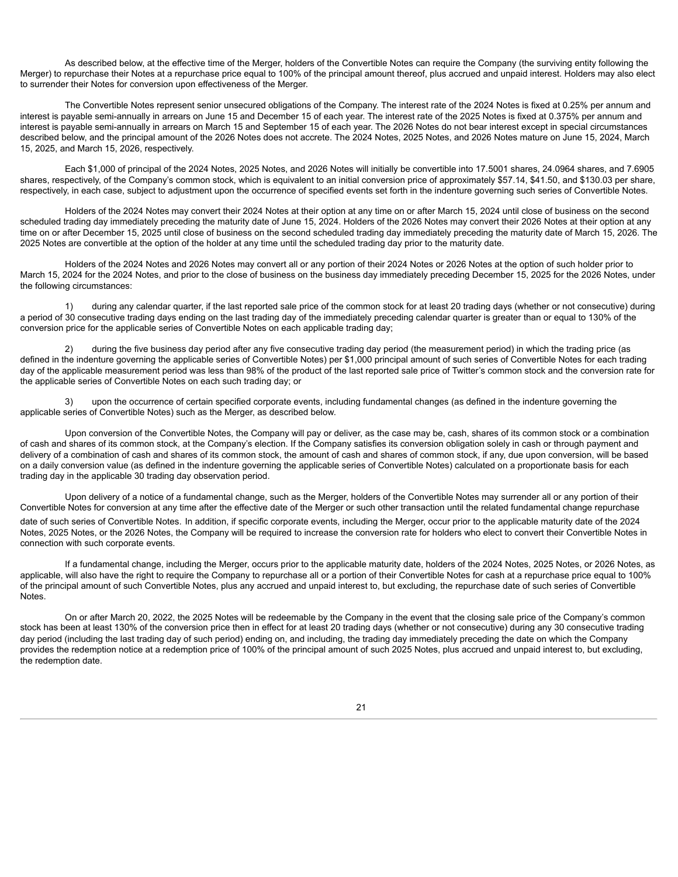As described below, at the effective time of the Merger, holders of the Convertible Notes can require the Company (the surviving entity following the Merger) to repurchase their Notes at a repurchase price equal to 100% of the principal amount thereof, plus accrued and unpaid interest. Holders may also elect to surrender their Notes for conversion upon effectiveness of the Merger.

The Convertible Notes represent senior unsecured obligations of the Company. The interest rate of the 2024 Notes is fixed at 0.25% per annum and interest is payable semi-annually in arrears on June 15 and December 15 of each year. The interest rate of the 2025 Notes is fixed at 0.375% per annum and interest is payable semi-annually in arrears on March 15 and September 15 of each year. The 2026 Notes do not bear interest except in special circumstances described below, and the principal amount of the 2026 Notes does not accrete. The 2024 Notes, 2025 Notes, and 2026 Notes mature on June 15, 2024, March 15, 2025, and March 15, 2026, respectively.

Each \$1,000 of principal of the 2024 Notes, 2025 Notes, and 2026 Notes will initially be convertible into 17.5001 shares, 24.0964 shares, and 7.6905 shares, respectively, of the Company's common stock, which is equivalent to an initial conversion price of approximately \$57.14, \$41.50, and \$130.03 per share, respectively, in each case, subject to adjustment upon the occurrence of specified events set forth in the indenture governing such series of Convertible Notes.

Holders of the 2024 Notes may convert their 2024 Notes at their option at any time on or after March 15, 2024 until close of business on the second scheduled trading day immediately preceding the maturity date of June 15, 2024. Holders of the 2026 Notes may convert their 2026 Notes at their option at any time on or after December 15, 2025 until close of business on the second scheduled trading day immediately preceding the maturity date of March 15, 2026. The 2025 Notes are convertible at the option of the holder at any time until the scheduled trading day prior to the maturity date.

Holders of the 2024 Notes and 2026 Notes may convert all or any portion of their 2024 Notes or 2026 Notes at the option of such holder prior to March 15, 2024 for the 2024 Notes, and prior to the close of business on the business day immediately preceding December 15, 2025 for the 2026 Notes, under the following circumstances:

1) during any calendar quarter, if the last reported sale price of the common stock for at least 20 trading days (whether or not consecutive) during a period of 30 consecutive trading days ending on the last trading day of the immediately preceding calendar quarter is greater than or equal to 130% of the conversion price for the applicable series of Convertible Notes on each applicable trading day;

2) during the five business day period after any five consecutive trading day period (the measurement period) in which the trading price (as defined in the indenture governing the applicable series of Convertible Notes) per \$1,000 principal amount of such series of Convertible Notes for each trading day of the applicable measurement period was less than 98% of the product of the last reported sale price of Twitter's common stock and the conversion rate for the applicable series of Convertible Notes on each such trading day; or

upon the occurrence of certain specified corporate events, including fundamental changes (as defined in the indenture governing the applicable series of Convertible Notes) such as the Merger, as described below.

Upon conversion of the Convertible Notes, the Company will pay or deliver, as the case may be, cash, shares of its common stock or a combination of cash and shares of its common stock, at the Company's election. If the Company satisfies its conversion obligation solely in cash or through payment and delivery of a combination of cash and shares of its common stock, the amount of cash and shares of common stock, if any, due upon conversion, will be based on a daily conversion value (as defined in the indenture governing the applicable series of Convertible Notes) calculated on a proportionate basis for each trading day in the applicable 30 trading day observation period.

Upon delivery of a notice of a fundamental change, such as the Merger, holders of the Convertible Notes may surrender all or any portion of their Convertible Notes for conversion at any time after the effective date of the Merger or such other transaction until the related fundamental change repurchase

date of such series of Convertible Notes. In addition, if specific corporate events, including the Merger, occur prior to the applicable maturity date of the 2024 Notes, 2025 Notes, or the 2026 Notes, the Company will be required to increase the conversion rate for holders who elect to convert their Convertible Notes in connection with such corporate events.

If a fundamental change, including the Merger, occurs prior to the applicable maturity date, holders of the 2024 Notes, 2025 Notes, or 2026 Notes, as applicable, will also have the right to require the Company to repurchase all or a portion of their Convertible Notes for cash at a repurchase price equal to 100% of the principal amount of such Convertible Notes, plus any accrued and unpaid interest to, but excluding, the repurchase date of such series of Convertible Notes.

On or after March 20, 2022, the 2025 Notes will be redeemable by the Company in the event that the closing sale price of the Company's common stock has been at least 130% of the conversion price then in effect for at least 20 trading days (whether or not consecutive) during any 30 consecutive trading day period (including the last trading day of such period) ending on, and including, the trading day immediately preceding the date on which the Company provides the redemption notice at a redemption price of 100% of the principal amount of such 2025 Notes, plus accrued and unpaid interest to, but excluding, the redemption date.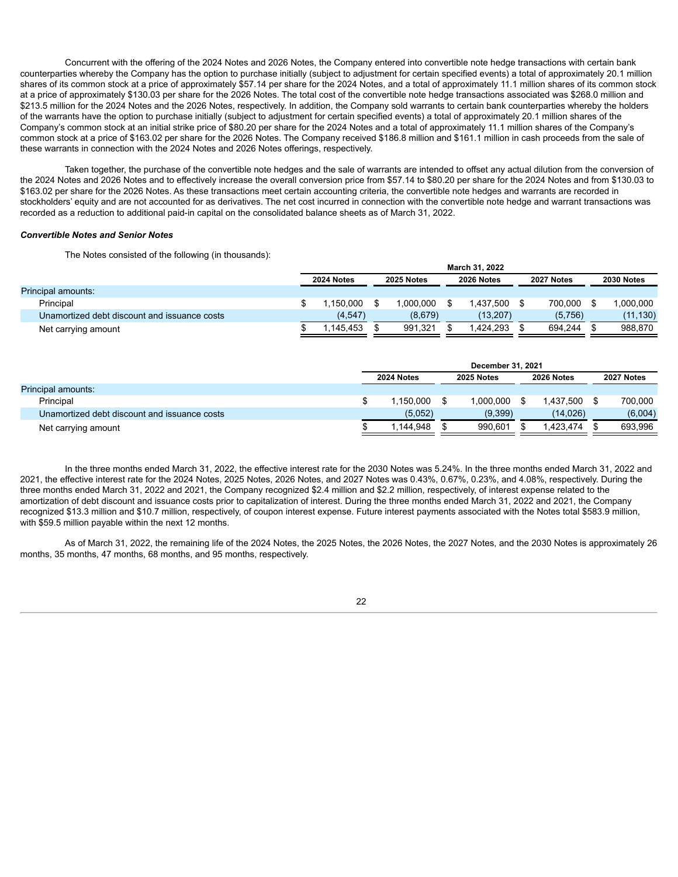Concurrent with the offering of the 2024 Notes and 2026 Notes, the Company entered into convertible note hedge transactions with certain bank counterparties whereby the Company has the option to purchase initially (subject to adjustment for certain specified events) a total of approximately 20.1 million shares of its common stock at a price of approximately \$57.14 per share for the 2024 Notes, and a total of approximately 11.1 million shares of its common stock at a price of approximately \$130.03 per share for the 2026 Notes. The total cost of the convertible note hedge transactions associated was \$268.0 million and \$213.5 million for the 2024 Notes and the 2026 Notes, respectively. In addition, the Company sold warrants to certain bank counterparties whereby the holders of the warrants have the option to purchase initially (subject to adjustment for certain specified events) a total of approximately 20.1 million shares of the Company's common stock at an initial strike price of \$80.20 per share for the 2024 Notes and a total of approximately 11.1 million shares of the Company's common stock at a price of \$163.02 per share for the 2026 Notes. The Company received \$186.8 million and \$161.1 million in cash proceeds from the sale of these warrants in connection with the 2024 Notes and 2026 Notes offerings, respectively.

Taken together, the purchase of the convertible note hedges and the sale of warrants are intended to offset any actual dilution from the conversion of the 2024 Notes and 2026 Notes and to effectively increase the overall conversion price from \$57.14 to \$80.20 per share for the 2024 Notes and from \$130.03 to \$163.02 per share for the 2026 Notes. As these transactions meet certain accounting criteria, the convertible note hedges and warrants are recorded in stockholders' equity and are not accounted for as derivatives. The net cost incurred in connection with the convertible note hedge and warrant transactions was recorded as a reduction to additional paid-in capital on the consolidated balance sheets as of March 31, 2022.

#### *Convertible Notes and Senior Notes*

The Notes consisted of the following (in thousands):

|                                              | March 31, 2022    |  |                   |  |            |  |            |                   |
|----------------------------------------------|-------------------|--|-------------------|--|------------|--|------------|-------------------|
|                                              | <b>2024 Notes</b> |  | <b>2025 Notes</b> |  | 2026 Notes |  | 2027 Notes | <b>2030 Notes</b> |
| Principal amounts:                           |                   |  |                   |  |            |  |            |                   |
| Principal                                    | 1.150.000         |  | 1.000.000         |  | 1.437.500  |  | 700.000    | 1.000.000         |
| Unamortized debt discount and issuance costs | (4,547)           |  | (8,679)           |  | (13.207)   |  | (5,756)    | (11, 130)         |
| Net carrying amount                          | 145.453           |  | 991.321           |  | 424.293    |  | 694.244    | 988.870           |

|                                              | December 31, 2021 |  |                   |  |            |  |            |
|----------------------------------------------|-------------------|--|-------------------|--|------------|--|------------|
|                                              | <b>2024 Notes</b> |  | <b>2025 Notes</b> |  | 2026 Notes |  | 2027 Notes |
| Principal amounts:                           |                   |  |                   |  |            |  |            |
| Principal                                    | \$<br>1.150.000   |  | 0.000.000         |  | 1.437.500  |  | 700.000    |
| Unamortized debt discount and issuance costs | (5,052)           |  | (9,399)           |  | (14.026)   |  | (6,004)    |
| Net carrying amount                          | 1.144.948         |  | 990.601           |  | .423.474   |  | 693.996    |

In the three months ended March 31, 2022, the effective interest rate for the 2030 Notes was 5.24%. In the three months ended March 31, 2022 and 2021, the effective interest rate for the 2024 Notes, 2025 Notes, 2026 Notes, and 2027 Notes was 0.43%, 0.67%, 0.23%, and 4.08%, respectively. During the three months ended March 31, 2022 and 2021, the Company recognized \$2.4 million and \$2.2 million, respectively, of interest expense related to the amortization of debt discount and issuance costs prior to capitalization of interest. During the three months ended March 31, 2022 and 2021, the Company recognized \$13.3 million and \$10.7 million, respectively, of coupon interest expense. Future interest payments associated with the Notes total \$583.9 million, with \$59.5 million payable within the next 12 months.

As of March 31, 2022, the remaining life of the 2024 Notes, the 2025 Notes, the 2026 Notes, the 2027 Notes, and the 2030 Notes is approximately 26 months, 35 months, 47 months, 68 months, and 95 months, respectively.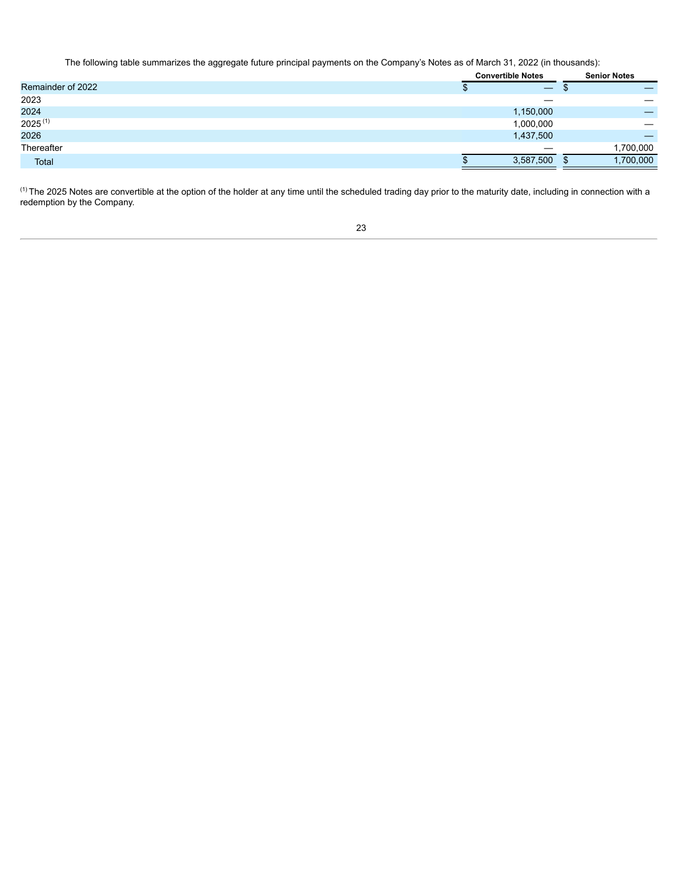The following table summarizes the aggregate future principal payments on the Company's Notes as of March 31, 2022 (in thousands):

|                   | <b>Convertible Notes</b> |    | <b>Senior Notes</b> |
|-------------------|--------------------------|----|---------------------|
| Remainder of 2022 | –                        | Æ  |                     |
| 2023              |                          |    |                     |
| 2024              | 1,150,000                |    |                     |
| $2025^{(1)}$      | 1,000,000                |    |                     |
| 2026              | 1,437,500                |    |                     |
| Thereafter        |                          |    | 1,700,000           |
| Total             | 3,587,500                | \$ | 1,700,000           |
|                   |                          |    |                     |

 $(1)$  The 2025 Notes are convertible at the option of the holder at any time until the scheduled trading day prior to the maturity date, including in connection with a redemption by the Company.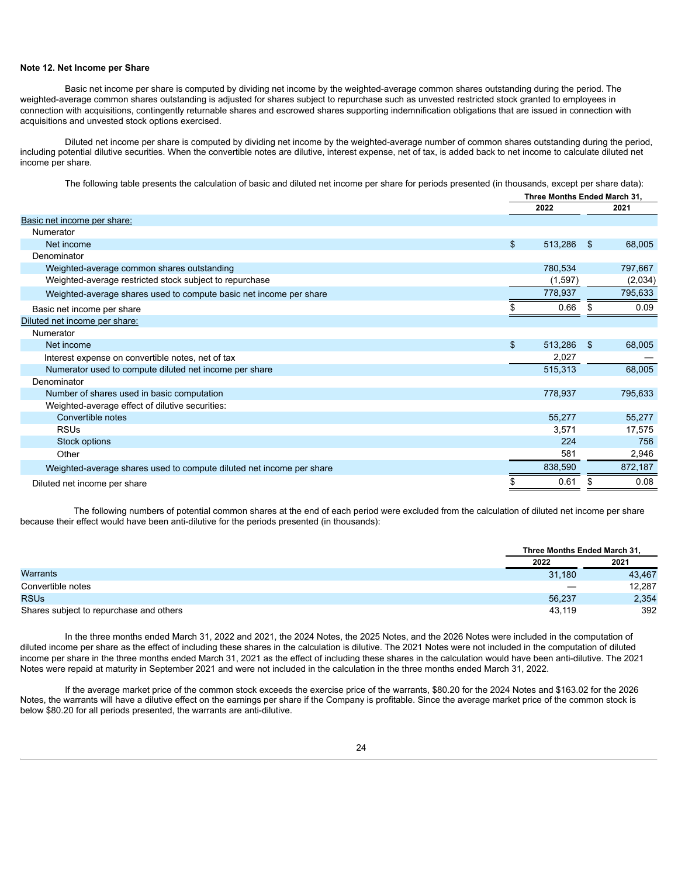#### **Note 12. Net Income per Share**

Basic net income per share is computed by dividing net income by the weighted-average common shares outstanding during the period. The weighted-average common shares outstanding is adjusted for shares subject to repurchase such as unvested restricted stock granted to employees in connection with acquisitions, contingently returnable shares and escrowed shares supporting indemnification obligations that are issued in connection with acquisitions and unvested stock options exercised.

Diluted net income per share is computed by dividing net income by the weighted-average number of common shares outstanding during the period, including potential dilutive securities. When the convertible notes are dilutive, interest expense, net of tax, is added back to net income to calculate diluted net income per share.

The following table presents the calculation of basic and diluted net income per share for periods presented (in thousands, except per share data):

|                                                                      | Three Months Ended March 31. |            |      |         |
|----------------------------------------------------------------------|------------------------------|------------|------|---------|
|                                                                      | 2022                         |            |      | 2021    |
| Basic net income per share:                                          |                              |            |      |         |
| Numerator                                                            |                              |            |      |         |
| Net income                                                           | \$                           | 513,286 \$ |      | 68,005  |
| Denominator                                                          |                              |            |      |         |
| Weighted-average common shares outstanding                           |                              | 780,534    |      | 797,667 |
| Weighted-average restricted stock subject to repurchase              |                              | (1,597)    |      | (2,034) |
| Weighted-average shares used to compute basic net income per share   |                              | 778,937    |      | 795,633 |
| Basic net income per share                                           |                              | 0.66       |      | 0.09    |
| Diluted net income per share:                                        |                              |            |      |         |
| Numerator                                                            |                              |            |      |         |
| Net income                                                           | $\mathfrak{s}$               | 513,286    | - \$ | 68,005  |
| Interest expense on convertible notes, net of tax                    |                              | 2,027      |      |         |
| Numerator used to compute diluted net income per share               |                              | 515,313    |      | 68,005  |
| Denominator                                                          |                              |            |      |         |
| Number of shares used in basic computation                           |                              | 778,937    |      | 795,633 |
| Weighted-average effect of dilutive securities:                      |                              |            |      |         |
| Convertible notes                                                    |                              | 55,277     |      | 55,277  |
| <b>RSUs</b>                                                          |                              | 3,571      |      | 17,575  |
| Stock options                                                        |                              | 224        |      | 756     |
| Other                                                                |                              | 581        |      | 2,946   |
| Weighted-average shares used to compute diluted net income per share |                              | 838,590    |      | 872,187 |
| Diluted net income per share                                         |                              | 0.61       |      | 0.08    |

The following numbers of potential common shares at the end of each period were excluded from the calculation of diluted net income per share because their effect would have been anti-dilutive for the periods presented (in thousands):

|                                         | Three Months Ended March 31, |        |
|-----------------------------------------|------------------------------|--------|
|                                         | 2022                         | 2021   |
| <b>Warrants</b>                         | 31,180                       | 43,467 |
| Convertible notes                       |                              | 12,287 |
| <b>RSUs</b>                             | 56,237                       | 2,354  |
| Shares subject to repurchase and others | 43,119                       | 392    |

In the three months ended March 31, 2022 and 2021, the 2024 Notes, the 2025 Notes, and the 2026 Notes were included in the computation of diluted income per share as the effect of including these shares in the calculation is dilutive. The 2021 Notes were not included in the computation of diluted income per share in the three months ended March 31, 2021 as the effect of including these shares in the calculation would have been anti-dilutive. The 2021 Notes were repaid at maturity in September 2021 and were not included in the calculation in the three months ended March 31, 2022.

If the average market price of the common stock exceeds the exercise price of the warrants, \$80.20 for the 2024 Notes and \$163.02 for the 2026 Notes, the warrants will have a dilutive effect on the earnings per share if the Company is profitable. Since the average market price of the common stock is below \$80.20 for all periods presented, the warrants are anti-dilutive.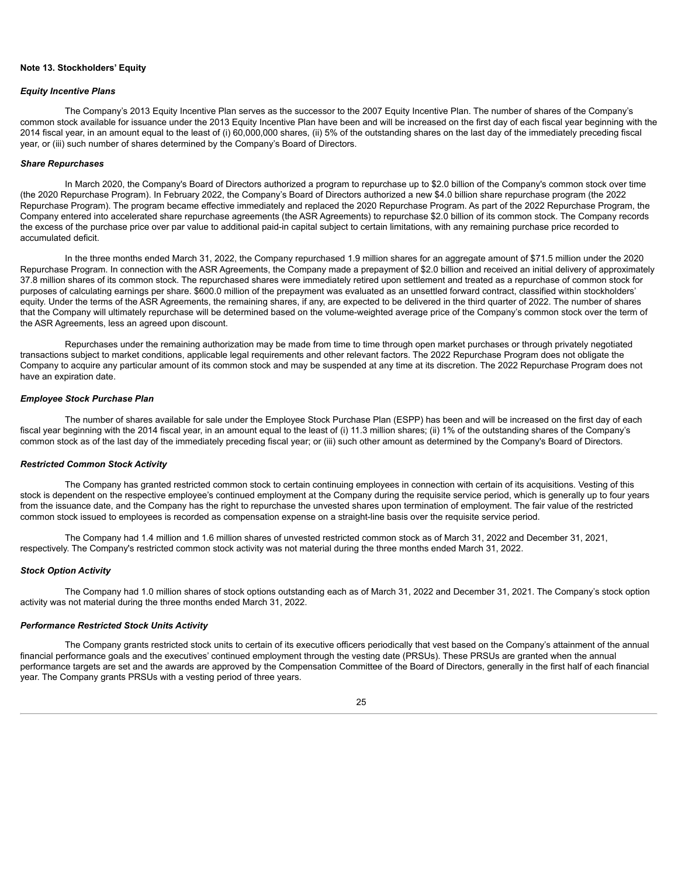#### **Note 13. Stockholders' Equity**

#### *Equity Incentive Plans*

The Company's 2013 Equity Incentive Plan serves as the successor to the 2007 Equity Incentive Plan. The number of shares of the Company's common stock available for issuance under the 2013 Equity Incentive Plan have been and will be increased on the first day of each fiscal year beginning with the 2014 fiscal year, in an amount equal to the least of (i) 60,000,000 shares, (ii) 5% of the outstanding shares on the last day of the immediately preceding fiscal year, or (iii) such number of shares determined by the Company's Board of Directors.

#### *Share Repurchases*

In March 2020, the Company's Board of Directors authorized a program to repurchase up to \$2.0 billion of the Company's common stock over time (the 2020 Repurchase Program). In February 2022, the Company's Board of Directors authorized a new \$4.0 billion share repurchase program (the 2022 Repurchase Program). The program became effective immediately and replaced the 2020 Repurchase Program. As part of the 2022 Repurchase Program, the Company entered into accelerated share repurchase agreements (the ASR Agreements) to repurchase \$2.0 billion of its common stock. The Company records the excess of the purchase price over par value to additional paid-in capital subject to certain limitations, with any remaining purchase price recorded to accumulated deficit.

In the three months ended March 31, 2022, the Company repurchased 1.9 million shares for an aggregate amount of \$71.5 million under the 2020 Repurchase Program. In connection with the ASR Agreements, the Company made a prepayment of \$2.0 billion and received an initial delivery of approximately 37.8 million shares of its common stock. The repurchased shares were immediately retired upon settlement and treated as a repurchase of common stock for purposes of calculating earnings per share. \$600.0 million of the prepayment was evaluated as an unsettled forward contract, classified within stockholders' equity. Under the terms of the ASR Agreements, the remaining shares, if any, are expected to be delivered in the third quarter of 2022. The number of shares that the Company will ultimately repurchase will be determined based on the volume-weighted average price of the Company's common stock over the term of the ASR Agreements, less an agreed upon discount.

Repurchases under the remaining authorization may be made from time to time through open market purchases or through privately negotiated transactions subject to market conditions, applicable legal requirements and other relevant factors. The 2022 Repurchase Program does not obligate the Company to acquire any particular amount of its common stock and may be suspended at any time at its discretion. The 2022 Repurchase Program does not have an expiration date.

#### *Employee Stock Purchase Plan*

The number of shares available for sale under the Employee Stock Purchase Plan (ESPP) has been and will be increased on the first day of each fiscal year beginning with the 2014 fiscal year, in an amount equal to the least of (i) 11.3 million shares; (ii) 1% of the outstanding shares of the Company's common stock as of the last day of the immediately preceding fiscal year; or (iii) such other amount as determined by the Company's Board of Directors.

#### *Restricted Common Stock Activity*

The Company has granted restricted common stock to certain continuing employees in connection with certain of its acquisitions. Vesting of this stock is dependent on the respective employee's continued employment at the Company during the requisite service period, which is generally up to four years from the issuance date, and the Company has the right to repurchase the unvested shares upon termination of employment. The fair value of the restricted common stock issued to employees is recorded as compensation expense on a straight-line basis over the requisite service period.

The Company had 1.4 million and 1.6 million shares of unvested restricted common stock as of March 31, 2022 and December 31, 2021, respectively. The Company's restricted common stock activity was not material during the three months ended March 31, 2022.

#### *Stock Option Activity*

The Company had 1.0 million shares of stock options outstanding each as of March 31, 2022 and December 31, 2021. The Company's stock option activity was not material during the three months ended March 31, 2022.

#### *Performance Restricted Stock Units Activity*

The Company grants restricted stock units to certain of its executive officers periodically that vest based on the Company's attainment of the annual financial performance goals and the executives' continued employment through the vesting date (PRSUs). These PRSUs are granted when the annual performance targets are set and the awards are approved by the Compensation Committee of the Board of Directors, generally in the first half of each financial year. The Company grants PRSUs with a vesting period of three years.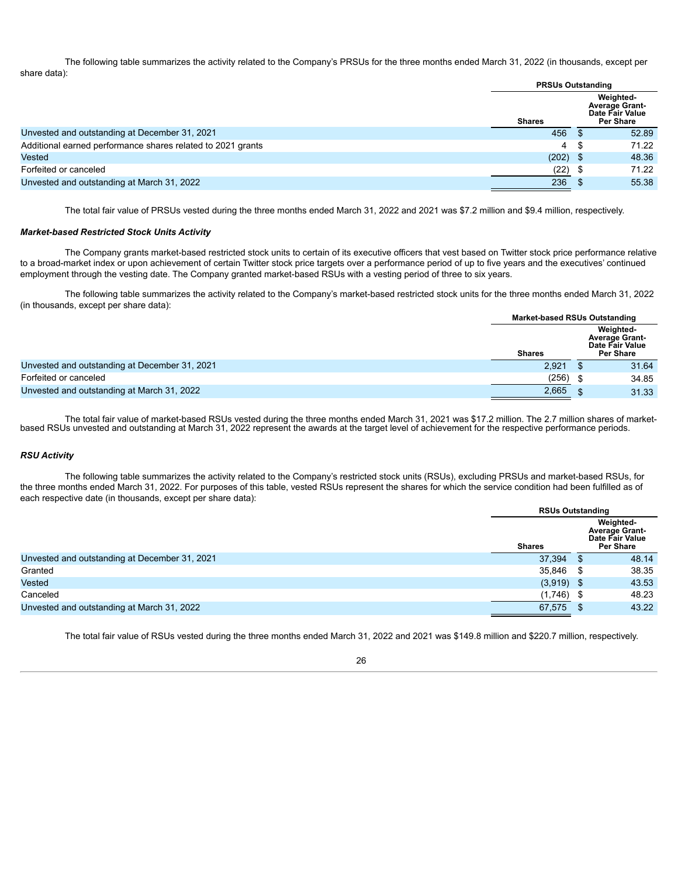The following table summarizes the activity related to the Company's PRSUs for the three months ended March 31, 2022 (in thousands, except per share data):

|                                                             | <b>PRSUs Outstanding</b> |      |                                                                    |  |  |
|-------------------------------------------------------------|--------------------------|------|--------------------------------------------------------------------|--|--|
|                                                             | <b>Shares</b>            |      | Weighted-<br><b>Average Grant-</b><br>Date Fair Value<br>Per Share |  |  |
| Unvested and outstanding at December 31, 2021               | 456                      | - 56 | 52.89                                                              |  |  |
| Additional earned performance shares related to 2021 grants | 4 \$                     |      | 71.22                                                              |  |  |
| Vested                                                      | $(202)$ \$               |      | 48.36                                                              |  |  |
| Forfeited or canceled                                       | $(22)$ \$                |      | 71.22                                                              |  |  |
| Unvested and outstanding at March 31, 2022                  | 236                      |      | 55.38                                                              |  |  |

The total fair value of PRSUs vested during the three months ended March 31, 2022 and 2021 was \$7.2 million and \$9.4 million, respectively.

#### *Market-based Restricted Stock Units Activity*

The Company grants market-based restricted stock units to certain of its executive officers that vest based on Twitter stock price performance relative to a broad-market index or upon achievement of certain Twitter stock price targets over a performance period of up to five years and the executives' continued employment through the vesting date. The Company granted market-based RSUs with a vesting period of three to six years.

The following table summarizes the activity related to the Company's market-based restricted stock units for the three months ended March 31, 2022 (in thousands, except per share data):

|                                               | <b>Market-based RSUs Outstanding</b> |  |                                                                           |  |
|-----------------------------------------------|--------------------------------------|--|---------------------------------------------------------------------------|--|
|                                               | <b>Shares</b>                        |  | Weighted-<br><b>Average Grant-</b><br>Date Fair Value<br><b>Per Share</b> |  |
| Unvested and outstanding at December 31, 2021 | 2.921                                |  | 31.64                                                                     |  |
| Forfeited or canceled                         | (256)                                |  | 34.85                                                                     |  |
| Unvested and outstanding at March 31, 2022    | 2,665                                |  | 31.33                                                                     |  |

The total fair value of market-based RSUs vested during the three months ended March 31, 2021 was \$17.2 million. The 2.7 million shares of marketbased RSUs unvested and outstanding at March 31, 2022 represent the awards at the target level of achievement for the respective performance periods.

### *RSU Activity*

The following table summarizes the activity related to the Company's restricted stock units (RSUs), excluding PRSUs and market-based RSUs, for the three months ended March 31, 2022. For purposes of this table, vested RSUs represent the shares for which the service condition had been fulfilled as of each respective date (in thousands, except per share data):

|                                               | RSUS Outstanding |      |                                                                    |  |  |
|-----------------------------------------------|------------------|------|--------------------------------------------------------------------|--|--|
|                                               | <b>Shares</b>    |      | Weighted-<br><b>Average Grant-</b><br>Date Fair Value<br>Per Share |  |  |
| Unvested and outstanding at December 31, 2021 | 37,394           | - \$ | 48.14                                                              |  |  |
| Granted                                       | 35,846           | - \$ | 38.35                                                              |  |  |
| Vested                                        | $(3,919)$ \$     |      | 43.53                                                              |  |  |
| Canceled                                      | $(1,746)$ \$     |      | 48.23                                                              |  |  |
| Unvested and outstanding at March 31, 2022    | 67,575           | - \$ | 43.22                                                              |  |  |

The total fair value of RSUs vested during the three months ended March 31, 2022 and 2021 was \$149.8 million and \$220.7 million, respectively.



**RSUs Outstanding**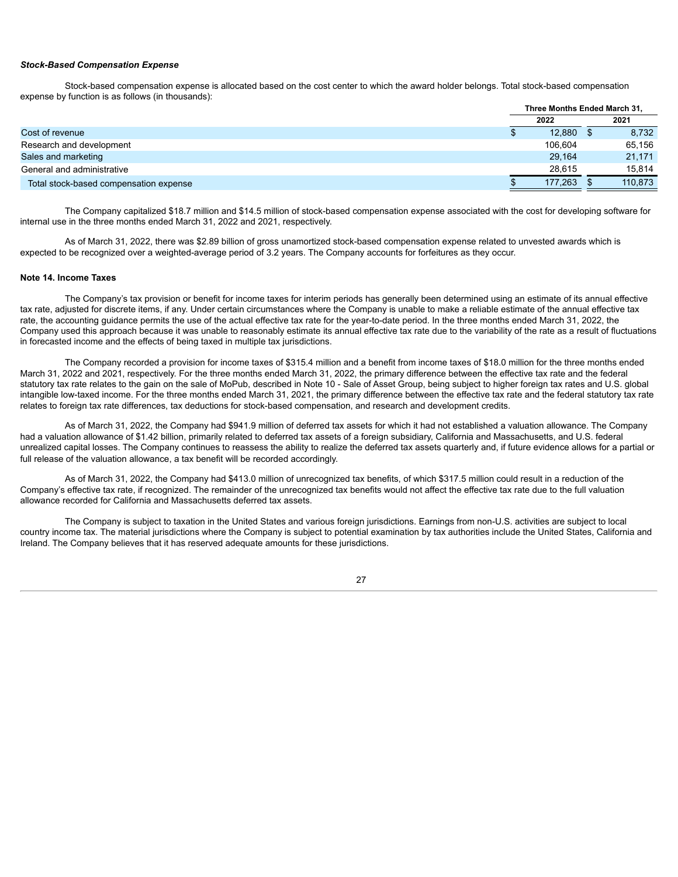#### *Stock-Based Compensation Expense*

Stock-based compensation expense is allocated based on the cost center to which the award holder belongs. Total stock-based compensation expense by function is as follows (in thousands):

|                                        | Three Months Ended March 31. |  |         |  |
|----------------------------------------|------------------------------|--|---------|--|
|                                        | 2022                         |  | 2021    |  |
| Cost of revenue                        | 12.880                       |  | 8,732   |  |
| Research and development               | 106.604                      |  | 65,156  |  |
| Sales and marketing                    | 29,164                       |  | 21,171  |  |
| General and administrative             | 28.615                       |  | 15.814  |  |
| Total stock-based compensation expense | 177.263                      |  | 110.873 |  |
|                                        |                              |  |         |  |

The Company capitalized \$18.7 million and \$14.5 million of stock-based compensation expense associated with the cost for developing software for internal use in the three months ended March 31, 2022 and 2021, respectively.

As of March 31, 2022, there was \$2.89 billion of gross unamortized stock-based compensation expense related to unvested awards which is expected to be recognized over a weighted-average period of 3.2 years. The Company accounts for forfeitures as they occur.

#### **Note 14. Income Taxes**

The Company's tax provision or benefit for income taxes for interim periods has generally been determined using an estimate of its annual effective tax rate, adjusted for discrete items, if any. Under certain circumstances where the Company is unable to make a reliable estimate of the annual effective tax rate, the accounting guidance permits the use of the actual effective tax rate for the year-to-date period. In the three months ended March 31, 2022, the Company used this approach because it was unable to reasonably estimate its annual effective tax rate due to the variability of the rate as a result of fluctuations in forecasted income and the effects of being taxed in multiple tax jurisdictions.

The Company recorded a provision for income taxes of \$315.4 million and a benefit from income taxes of \$18.0 million for the three months ended March 31, 2022 and 2021, respectively. For the three months ended March 31, 2022, the primary difference between the effective tax rate and the federal statutory tax rate relates to the gain on the sale of MoPub, described in Note 10 - Sale of Asset Group, being subject to higher foreign tax rates and U.S. global intangible low-taxed income. For the three months ended March 31, 2021, the primary difference between the effective tax rate and the federal statutory tax rate relates to foreign tax rate differences, tax deductions for stock-based compensation, and research and development credits.

As of March 31, 2022, the Company had \$941.9 million of deferred tax assets for which it had not established a valuation allowance. The Company had a valuation allowance of \$1.42 billion, primarily related to deferred tax assets of a foreign subsidiary, California and Massachusetts, and U.S. federal unrealized capital losses. The Company continues to reassess the ability to realize the deferred tax assets quarterly and, if future evidence allows for a partial or full release of the valuation allowance, a tax benefit will be recorded accordingly.

As of March 31, 2022, the Company had \$413.0 million of unrecognized tax benefits, of which \$317.5 million could result in a reduction of the Company's effective tax rate, if recognized. The remainder of the unrecognized tax benefits would not affect the effective tax rate due to the full valuation allowance recorded for California and Massachusetts deferred tax assets.

The Company is subject to taxation in the United States and various foreign jurisdictions. Earnings from non-U.S. activities are subject to local country income tax. The material jurisdictions where the Company is subject to potential examination by tax authorities include the United States, California and Ireland. The Company believes that it has reserved adequate amounts for these jurisdictions.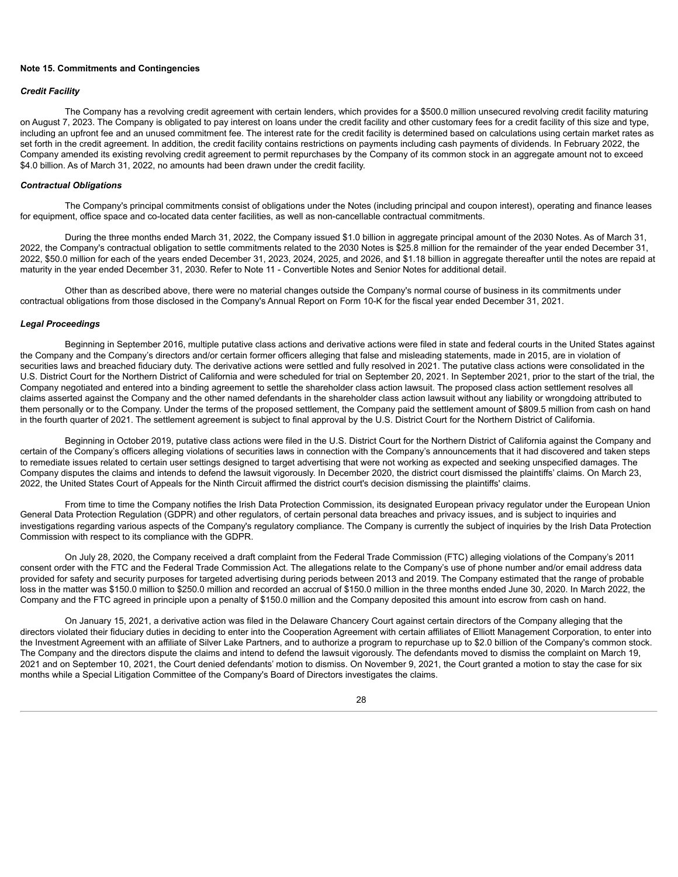#### **Note 15. Commitments and Contingencies**

#### *Credit Facility*

The Company has a revolving credit agreement with certain lenders, which provides for a \$500.0 million unsecured revolving credit facility maturing on August 7, 2023. The Company is obligated to pay interest on loans under the credit facility and other customary fees for a credit facility of this size and type, including an upfront fee and an unused commitment fee. The interest rate for the credit facility is determined based on calculations using certain market rates as set forth in the credit agreement. In addition, the credit facility contains restrictions on payments including cash payments of dividends. In February 2022, the Company amended its existing revolving credit agreement to permit repurchases by the Company of its common stock in an aggregate amount not to exceed \$4.0 billion. As of March 31, 2022, no amounts had been drawn under the credit facility.

#### *Contractual Obligations*

The Company's principal commitments consist of obligations under the Notes (including principal and coupon interest), operating and finance leases for equipment, office space and co-located data center facilities, as well as non-cancellable contractual commitments.

During the three months ended March 31, 2022, the Company issued \$1.0 billion in aggregate principal amount of the 2030 Notes. As of March 31, 2022, the Company's contractual obligation to settle commitments related to the 2030 Notes is \$25.8 million for the remainder of the year ended December 31, 2022, \$50.0 million for each of the years ended December 31, 2023, 2024, 2025, and 2026, and \$1.18 billion in aggregate thereafter until the notes are repaid at maturity in the year ended December 31, 2030. Refer to Note 11 - Convertible Notes and Senior Notes for additional detail.

Other than as described above, there were no material changes outside the Company's normal course of business in its commitments under contractual obligations from those disclosed in the Company's Annual Report on Form 10-K for the fiscal year ended December 31, 2021.

#### *Legal Proceedings*

Beginning in September 2016, multiple putative class actions and derivative actions were filed in state and federal courts in the United States against the Company and the Company's directors and/or certain former officers alleging that false and misleading statements, made in 2015, are in violation of securities laws and breached fiduciary duty. The derivative actions were settled and fully resolved in 2021. The putative class actions were consolidated in the U.S. District Court for the Northern District of California and were scheduled for trial on September 20, 2021. In September 2021, prior to the start of the trial, the Company negotiated and entered into a binding agreement to settle the shareholder class action lawsuit. The proposed class action settlement resolves all claims asserted against the Company and the other named defendants in the shareholder class action lawsuit without any liability or wrongdoing attributed to them personally or to the Company. Under the terms of the proposed settlement, the Company paid the settlement amount of \$809.5 million from cash on hand in the fourth quarter of 2021. The settlement agreement is subject to final approval by the U.S. District Court for the Northern District of California.

Beginning in October 2019, putative class actions were filed in the U.S. District Court for the Northern District of California against the Company and certain of the Company's officers alleging violations of securities laws in connection with the Company's announcements that it had discovered and taken steps to remediate issues related to certain user settings designed to target advertising that were not working as expected and seeking unspecified damages. The Company disputes the claims and intends to defend the lawsuit vigorously. In December 2020, the district court dismissed the plaintiffs' claims. On March 23, 2022, the United States Court of Appeals for the Ninth Circuit affirmed the district court's decision dismissing the plaintiffs' claims.

From time to time the Company notifies the Irish Data Protection Commission, its designated European privacy regulator under the European Union General Data Protection Regulation (GDPR) and other regulators, of certain personal data breaches and privacy issues, and is subject to inquiries and investigations regarding various aspects of the Company's regulatory compliance. The Company is currently the subject of inquiries by the Irish Data Protection Commission with respect to its compliance with the GDPR.

On July 28, 2020, the Company received a draft complaint from the Federal Trade Commission (FTC) alleging violations of the Company's 2011 consent order with the FTC and the Federal Trade Commission Act. The allegations relate to the Company's use of phone number and/or email address data provided for safety and security purposes for targeted advertising during periods between 2013 and 2019. The Company estimated that the range of probable loss in the matter was \$150.0 million to \$250.0 million and recorded an accrual of \$150.0 million in the three months ended June 30, 2020. In March 2022, the Company and the FTC agreed in principle upon a penalty of \$150.0 million and the Company deposited this amount into escrow from cash on hand.

On January 15, 2021, a derivative action was filed in the Delaware Chancery Court against certain directors of the Company alleging that the directors violated their fiduciary duties in deciding to enter into the Cooperation Agreement with certain affiliates of Elliott Management Corporation, to enter into the Investment Agreement with an affiliate of Silver Lake Partners, and to authorize a program to repurchase up to \$2.0 billion of the Company's common stock. The Company and the directors dispute the claims and intend to defend the lawsuit vigorously. The defendants moved to dismiss the complaint on March 19, 2021 and on September 10, 2021, the Court denied defendants' motion to dismiss. On November 9, 2021, the Court granted a motion to stay the case for six months while a Special Litigation Committee of the Company's Board of Directors investigates the claims.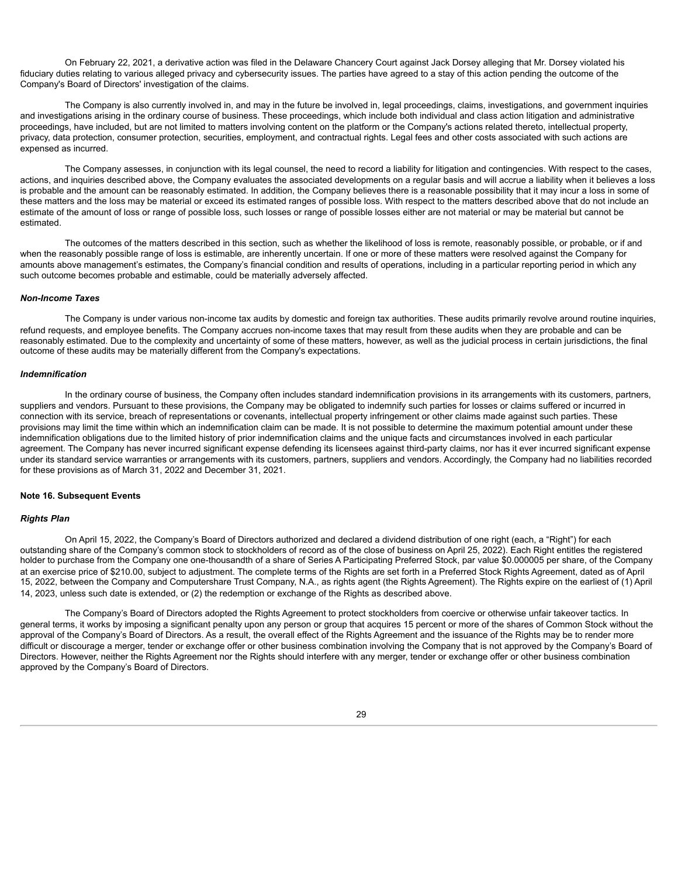On February 22, 2021, a derivative action was filed in the Delaware Chancery Court against Jack Dorsey alleging that Mr. Dorsey violated his fiduciary duties relating to various alleged privacy and cybersecurity issues. The parties have agreed to a stay of this action pending the outcome of the Company's Board of Directors' investigation of the claims.

The Company is also currently involved in, and may in the future be involved in, legal proceedings, claims, investigations, and government inquiries and investigations arising in the ordinary course of business. These proceedings, which include both individual and class action litigation and administrative proceedings, have included, but are not limited to matters involving content on the platform or the Company's actions related thereto, intellectual property, privacy, data protection, consumer protection, securities, employment, and contractual rights. Legal fees and other costs associated with such actions are expensed as incurred.

The Company assesses, in conjunction with its legal counsel, the need to record a liability for litigation and contingencies. With respect to the cases, actions, and inquiries described above, the Company evaluates the associated developments on a regular basis and will accrue a liability when it believes a loss is probable and the amount can be reasonably estimated. In addition, the Company believes there is a reasonable possibility that it may incur a loss in some of these matters and the loss may be material or exceed its estimated ranges of possible loss. With respect to the matters described above that do not include an estimate of the amount of loss or range of possible loss, such losses or range of possible losses either are not material or may be material but cannot be estimated.

The outcomes of the matters described in this section, such as whether the likelihood of loss is remote, reasonably possible, or probable, or if and when the reasonably possible range of loss is estimable, are inherently uncertain. If one or more of these matters were resolved against the Company for amounts above management's estimates, the Company's financial condition and results of operations, including in a particular reporting period in which any such outcome becomes probable and estimable, could be materially adversely affected.

#### *Non-Income Taxes*

The Company is under various non-income tax audits by domestic and foreign tax authorities. These audits primarily revolve around routine inquiries, refund requests, and employee benefits. The Company accrues non-income taxes that may result from these audits when they are probable and can be reasonably estimated. Due to the complexity and uncertainty of some of these matters, however, as well as the judicial process in certain jurisdictions, the final outcome of these audits may be materially different from the Company's expectations.

#### *Indemnification*

In the ordinary course of business, the Company often includes standard indemnification provisions in its arrangements with its customers, partners, suppliers and vendors. Pursuant to these provisions, the Company may be obligated to indemnify such parties for losses or claims suffered or incurred in connection with its service, breach of representations or covenants, intellectual property infringement or other claims made against such parties. These provisions may limit the time within which an indemnification claim can be made. It is not possible to determine the maximum potential amount under these indemnification obligations due to the limited history of prior indemnification claims and the unique facts and circumstances involved in each particular agreement. The Company has never incurred significant expense defending its licensees against third-party claims, nor has it ever incurred significant expense under its standard service warranties or arrangements with its customers, partners, suppliers and vendors. Accordingly, the Company had no liabilities recorded for these provisions as of March 31, 2022 and December 31, 2021.

#### **Note 16. Subsequent Events**

#### *Rights Plan*

On April 15, 2022, the Company's Board of Directors authorized and declared a dividend distribution of one right (each, a "Right") for each outstanding share of the Company's common stock to stockholders of record as of the close of business on April 25, 2022). Each Right entitles the registered holder to purchase from the Company one one-thousandth of a share of Series A Participating Preferred Stock, par value \$0.000005 per share, of the Company at an exercise price of \$210.00, subject to adjustment. The complete terms of the Rights are set forth in a Preferred Stock Rights Agreement, dated as of April 15, 2022, between the Company and Computershare Trust Company, N.A., as rights agent (the Rights Agreement). The Rights expire on the earliest of (1) April 14, 2023, unless such date is extended, or (2) the redemption or exchange of the Rights as described above.

The Company's Board of Directors adopted the Rights Agreement to protect stockholders from coercive or otherwise unfair takeover tactics. In general terms, it works by imposing a significant penalty upon any person or group that acquires 15 percent or more of the shares of Common Stock without the approval of the Company's Board of Directors. As a result, the overall effect of the Rights Agreement and the issuance of the Rights may be to render more difficult or discourage a merger, tender or exchange offer or other business combination involving the Company that is not approved by the Company's Board of Directors. However, neither the Rights Agreement nor the Rights should interfere with any merger, tender or exchange offer or other business combination approved by the Company's Board of Directors.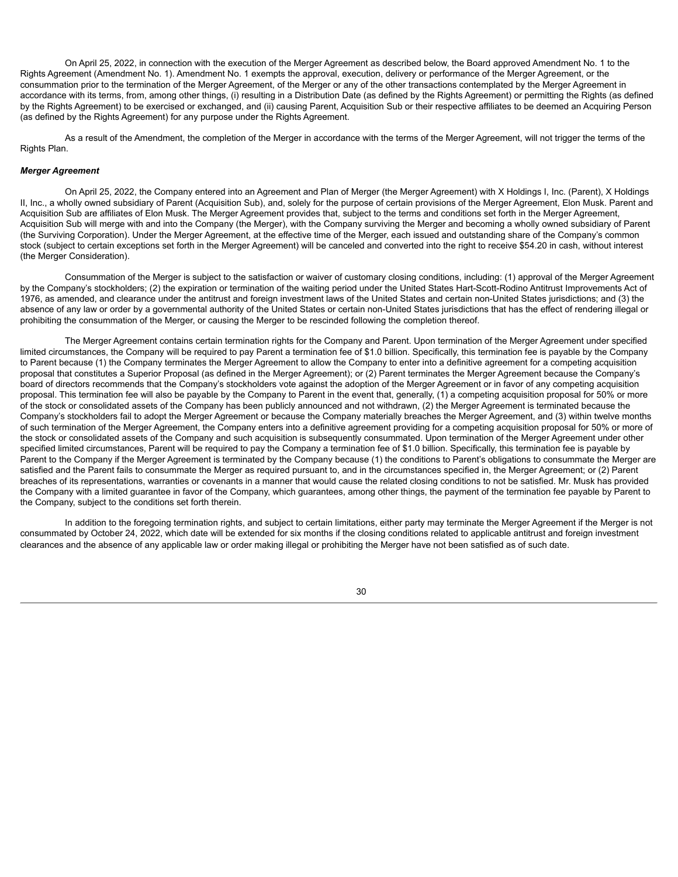On April 25, 2022, in connection with the execution of the Merger Agreement as described below, the Board approved Amendment No. 1 to the Rights Agreement (Amendment No. 1). Amendment No. 1 exempts the approval, execution, delivery or performance of the Merger Agreement, or the consummation prior to the termination of the Merger Agreement, of the Merger or any of the other transactions contemplated by the Merger Agreement in accordance with its terms, from, among other things, (i) resulting in a Distribution Date (as defined by the Rights Agreement) or permitting the Rights (as defined by the Rights Agreement) to be exercised or exchanged, and (ii) causing Parent, Acquisition Sub or their respective affiliates to be deemed an Acquiring Person (as defined by the Rights Agreement) for any purpose under the Rights Agreement.

As a result of the Amendment, the completion of the Merger in accordance with the terms of the Merger Agreement, will not trigger the terms of the Rights Plan.

#### *Merger Agreement*

On April 25, 2022, the Company entered into an Agreement and Plan of Merger (the Merger Agreement) with X Holdings I, Inc. (Parent), X Holdings II, Inc., a wholly owned subsidiary of Parent (Acquisition Sub), and, solely for the purpose of certain provisions of the Merger Agreement, Elon Musk. Parent and Acquisition Sub are affiliates of Elon Musk. The Merger Agreement provides that, subject to the terms and conditions set forth in the Merger Agreement, Acquisition Sub will merge with and into the Company (the Merger), with the Company surviving the Merger and becoming a wholly owned subsidiary of Parent (the Surviving Corporation). Under the Merger Agreement, at the effective time of the Merger, each issued and outstanding share of the Company's common stock (subject to certain exceptions set forth in the Merger Agreement) will be canceled and converted into the right to receive \$54.20 in cash, without interest (the Merger Consideration).

Consummation of the Merger is subject to the satisfaction or waiver of customary closing conditions, including: (1) approval of the Merger Agreement by the Company's stockholders; (2) the expiration or termination of the waiting period under the United States Hart-Scott-Rodino Antitrust Improvements Act of 1976, as amended, and clearance under the antitrust and foreign investment laws of the United States and certain non-United States jurisdictions; and (3) the absence of any law or order by a governmental authority of the United States or certain non-United States jurisdictions that has the effect of rendering illegal or prohibiting the consummation of the Merger, or causing the Merger to be rescinded following the completion thereof.

The Merger Agreement contains certain termination rights for the Company and Parent. Upon termination of the Merger Agreement under specified limited circumstances, the Company will be required to pay Parent a termination fee of \$1.0 billion. Specifically, this termination fee is payable by the Company to Parent because (1) the Company terminates the Merger Agreement to allow the Company to enter into a definitive agreement for a competing acquisition proposal that constitutes a Superior Proposal (as defined in the Merger Agreement); or (2) Parent terminates the Merger Agreement because the Company's board of directors recommends that the Company's stockholders vote against the adoption of the Merger Agreement or in favor of any competing acquisition proposal. This termination fee will also be payable by the Company to Parent in the event that, generally, (1) a competing acquisition proposal for 50% or more of the stock or consolidated assets of the Company has been publicly announced and not withdrawn, (2) the Merger Agreement is terminated because the Company's stockholders fail to adopt the Merger Agreement or because the Company materially breaches the Merger Agreement, and (3) within twelve months of such termination of the Merger Agreement, the Company enters into a definitive agreement providing for a competing acquisition proposal for 50% or more of the stock or consolidated assets of the Company and such acquisition is subsequently consummated. Upon termination of the Merger Agreement under other specified limited circumstances, Parent will be required to pay the Company a termination fee of \$1.0 billion. Specifically, this termination fee is payable by Parent to the Company if the Merger Agreement is terminated by the Company because (1) the conditions to Parent's obligations to consummate the Merger are satisfied and the Parent fails to consummate the Merger as required pursuant to, and in the circumstances specified in, the Merger Agreement; or (2) Parent breaches of its representations, warranties or covenants in a manner that would cause the related closing conditions to not be satisfied. Mr. Musk has provided the Company with a limited guarantee in favor of the Company, which guarantees, among other things, the payment of the termination fee payable by Parent to the Company, subject to the conditions set forth therein.

<span id="page-29-0"></span>In addition to the foregoing termination rights, and subject to certain limitations, either party may terminate the Merger Agreement if the Merger is not consummated by October 24, 2022, which date will be extended for six months if the closing conditions related to applicable antitrust and foreign investment clearances and the absence of any applicable law or order making illegal or prohibiting the Merger have not been satisfied as of such date.

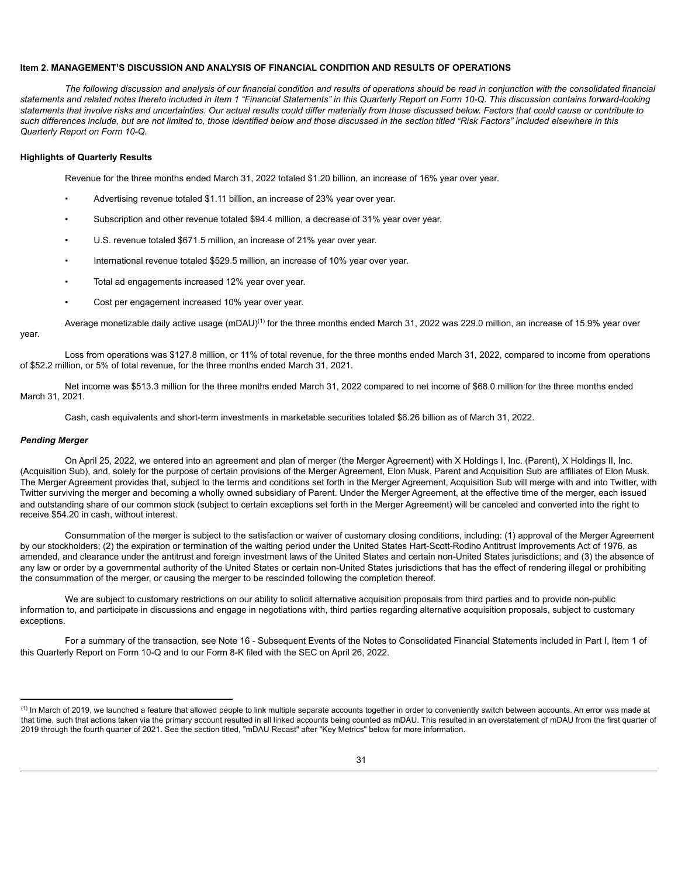#### **Item 2. MANAGEMENT'S DISCUSSION AND ANALYSIS OF FINANCIAL CONDITION AND RESULTS OF OPERATIONS**

*The following discussion and analysis of our financial condition and results of operations should be read in conjunction with the consolidated financial statements and related notes thereto included in Item 1 "Financial Statements" in this Quarterly Report on Form 10-Q. This discussion contains forward-looking statements that involve risks and uncertainties. Our actual results could differ materially from those discussed below. Factors that could cause or contribute to such differences include, but are not limited to, those identified below and those discussed in the section titled "Risk Factors" included elsewhere in this Quarterly Report on Form 10-Q.*

#### **Highlights of Quarterly Results**

Revenue for the three months ended March 31, 2022 totaled \$1.20 billion, an increase of 16% year over year.

- Advertising revenue totaled \$1.11 billion, an increase of 23% year over year.
- Subscription and other revenue totaled \$94.4 million, a decrease of 31% year over year.
- U.S. revenue totaled \$671.5 million, an increase of 21% year over year.
- International revenue totaled \$529.5 million, an increase of 10% year over year.
- Total ad engagements increased 12% year over year.
- Cost per engagement increased 10% year over year.

Average monetizable daily active usage (mDAU)<sup>(1)</sup> for the three months ended March 31, 2022 was 229.0 million, an increase of 15.9% year over

year.

Loss from operations was \$127.8 million, or 11% of total revenue, for the three months ended March 31, 2022, compared to income from operations of \$52.2 million, or 5% of total revenue, for the three months ended March 31, 2021.

Net income was \$513.3 million for the three months ended March 31, 2022 compared to net income of \$68.0 million for the three months ended March 31, 2021.

Cash, cash equivalents and short-term investments in marketable securities totaled \$6.26 billion as of March 31, 2022.

#### *Pending Merger*

On April 25, 2022, we entered into an agreement and plan of merger (the Merger Agreement) with X Holdings I, Inc. (Parent), X Holdings II, Inc. (Acquisition Sub), and, solely for the purpose of certain provisions of the Merger Agreement, Elon Musk. Parent and Acquisition Sub are affiliates of Elon Musk. The Merger Agreement provides that, subject to the terms and conditions set forth in the Merger Agreement, Acquisition Sub will merge with and into Twitter, with Twitter surviving the merger and becoming a wholly owned subsidiary of Parent. Under the Merger Agreement, at the effective time of the merger, each issued and outstanding share of our common stock (subject to certain exceptions set forth in the Merger Agreement) will be canceled and converted into the right to receive \$54.20 in cash, without interest.

Consummation of the merger is subject to the satisfaction or waiver of customary closing conditions, including: (1) approval of the Merger Agreement by our stockholders; (2) the expiration or termination of the waiting period under the United States Hart-Scott-Rodino Antitrust Improvements Act of 1976, as amended, and clearance under the antitrust and foreign investment laws of the United States and certain non-United States jurisdictions; and (3) the absence of any law or order by a governmental authority of the United States or certain non-United States jurisdictions that has the effect of rendering illegal or prohibiting the consummation of the merger, or causing the merger to be rescinded following the completion thereof.

We are subject to customary restrictions on our ability to solicit alternative acquisition proposals from third parties and to provide non-public information to, and participate in discussions and engage in negotiations with, third parties regarding alternative acquisition proposals, subject to customary exceptions.

For a summary of the transaction, see Note 16 - Subsequent Events of the Notes to Consolidated Financial Statements included in Part I, Item 1 of this Quarterly Report on Form 10-Q and to our Form 8-K filed with the SEC on April 26, 2022.

 $^{(1)}$  In March of 2019, we launched a feature that allowed people to link multiple separate accounts together in order to conveniently switch between accounts. An error was made at that time, such that actions taken via the primary account resulted in all linked accounts being counted as mDAU. This resulted in an overstatement of mDAU from the first quarter of 2019 through the fourth quarter of 2021. See the section titled, "mDAU Recast" after "Key Metrics" below for more information.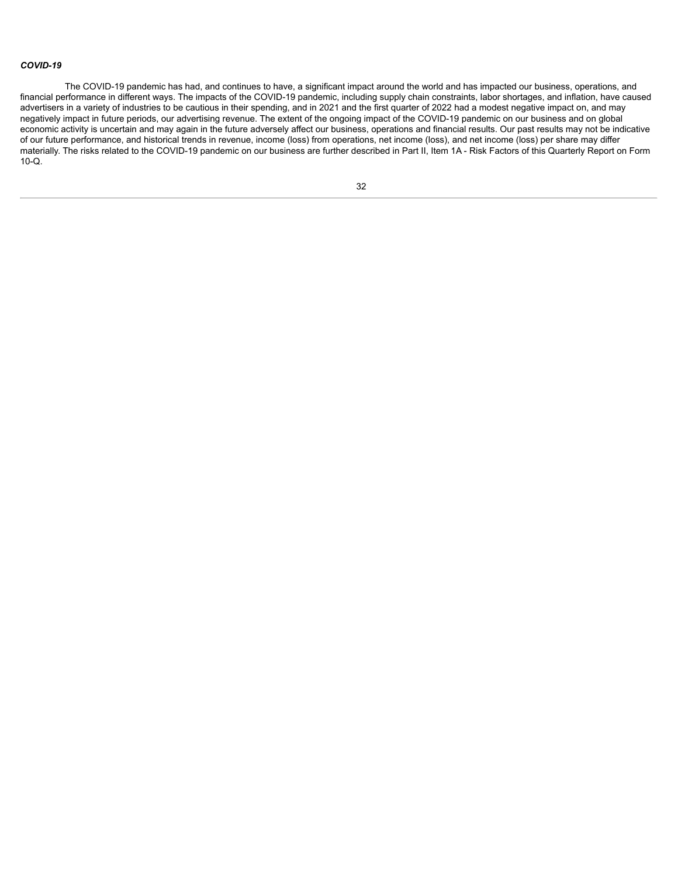#### *COVID-19*

The COVID-19 pandemic has had, and continues to have, a significant impact around the world and has impacted our business, operations, and financial performance in different ways. The impacts of the COVID-19 pandemic, including supply chain constraints, labor shortages, and inflation, have caused advertisers in a variety of industries to be cautious in their spending, and in 2021 and the first quarter of 2022 had a modest negative impact on, and may negatively impact in future periods, our advertising revenue. The extent of the ongoing impact of the COVID-19 pandemic on our business and on global economic activity is uncertain and may again in the future adversely affect our business, operations and financial results. Our past results may not be indicative of our future performance, and historical trends in revenue, income (loss) from operations, net income (loss), and net income (loss) per share may differ materially. The risks related to the COVID-19 pandemic on our business are further described in Part II, Item 1A - Risk Factors of this Quarterly Report on Form 10-Q.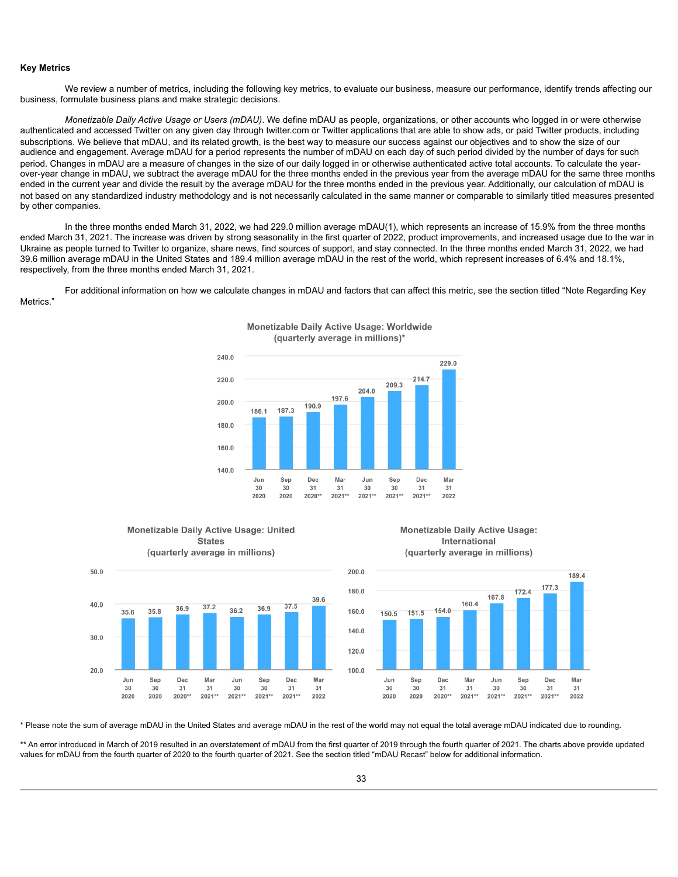#### **Key Metrics**

We review a number of metrics, including the following key metrics, to evaluate our business, measure our performance, identify trends affecting our business, formulate business plans and make strategic decisions.

*Monetizable Daily Active Usage or Users (mDAU)*. We define mDAU as people, organizations, or other accounts who logged in or were otherwise authenticated and accessed Twitter on any given day through twitter.com or Twitter applications that are able to show ads, or paid Twitter products, including subscriptions. We believe that mDAU, and its related growth, is the best way to measure our success against our objectives and to show the size of our audience and engagement. Average mDAU for a period represents the number of mDAU on each day of such period divided by the number of days for such period. Changes in mDAU are a measure of changes in the size of our daily logged in or otherwise authenticated active total accounts. To calculate the yearover-year change in mDAU, we subtract the average mDAU for the three months ended in the previous year from the average mDAU for the same three months ended in the current year and divide the result by the average mDAU for the three months ended in the previous year. Additionally, our calculation of mDAU is not based on any standardized industry methodology and is not necessarily calculated in the same manner or comparable to similarly titled measures presented by other companies.

In the three months ended March 31, 2022, we had 229.0 million average mDAU(1), which represents an increase of 15.9% from the three months ended March 31, 2021. The increase was driven by strong seasonality in the first quarter of 2022, product improvements, and increased usage due to the war in Ukraine as people turned to Twitter to organize, share news, find sources of support, and stay connected. In the three months ended March 31, 2022, we had 39.6 million average mDAU in the United States and 189.4 million average mDAU in the rest of the world, which represent increases of 6.4% and 18.1%, respectively, from the three months ended March 31, 2021.

For additional information on how we calculate changes in mDAU and factors that can affect this metric, see the section titled "Note Regarding Key Metrics."



Monetizable Daily Active Usage: Worldwide (quarterly average in millions)\*









\* Please note the sum of average mDAU in the United States and average mDAU in the rest of the world may not equal the total average mDAU indicated due to rounding.

\*\* An error introduced in March of 2019 resulted in an overstatement of mDAU from the first quarter of 2019 through the fourth quarter of 2021. The charts above provide updated values for mDAU from the fourth quarter of 2020 to the fourth quarter of 2021. See the section titled "mDAU Recast" below for additional information.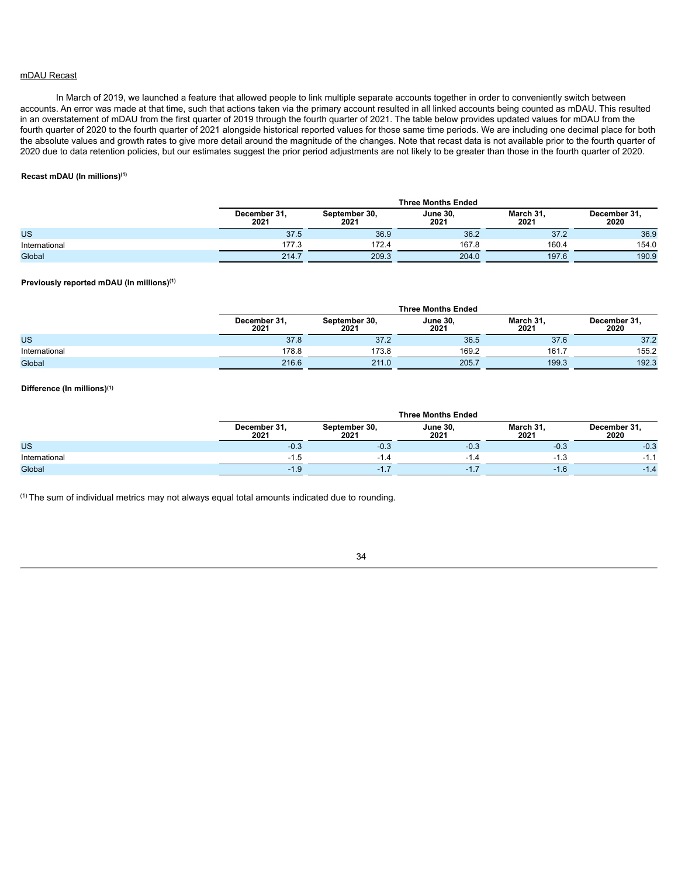#### mDAU Recast

In March of 2019, we launched a feature that allowed people to link multiple separate accounts together in order to conveniently switch between accounts. An error was made at that time, such that actions taken via the primary account resulted in all linked accounts being counted as mDAU. This resulted in an overstatement of mDAU from the first quarter of 2019 through the fourth quarter of 2021. The table below provides updated values for mDAU from the fourth quarter of 2020 to the fourth quarter of 2021 alongside historical reported values for those same time periods. We are including one decimal place for both the absolute values and growth rates to give more detail around the magnitude of the changes. Note that recast data is not available prior to the fourth quarter of 2020 due to data retention policies, but our estimates suggest the prior period adjustments are not likely to be greater than those in the fourth quarter of 2020.

#### **Recast mDAU (In millions) (1)**

|               |                      | <b>Three Months Ended</b> |                         |                   |                      |  |
|---------------|----------------------|---------------------------|-------------------------|-------------------|----------------------|--|
|               | December 31,<br>2021 | September 30,<br>2021     | <b>June 30,</b><br>2021 | March 31,<br>2021 | December 31,<br>2020 |  |
| <b>US</b>     | 37.5                 | 36.9                      | 36.2                    | 37.2              | 36.9                 |  |
| International | 177.3                | 172.4                     | 167.8                   | 160.4             | 154.0                |  |
| Global        | 214.7                | 209.3                     | 204.0                   | 197.6             | 190.9                |  |

#### **Previously reported mDAU (In millions) (1)**

|               |                      | <b>Three Months Ended</b> |                         |                   |                      |
|---------------|----------------------|---------------------------|-------------------------|-------------------|----------------------|
|               | December 31,<br>2021 | September 30,<br>2021     | <b>June 30,</b><br>2021 | March 31,<br>2021 | December 31,<br>2020 |
| <b>US</b>     | 37.8                 | 37.2                      | 36.5                    | 37.6              | 37.2                 |
| International | 178.8                | 173.8                     | 169.2                   | 161.7             | 155.2                |
| Global        | 216.6                | 211.0                     | 205.7                   | 199.3             | 192.3                |

#### **Difference (In millions) (1)**

|               | Three Months Ended   |                       |                         |                   |                      |
|---------------|----------------------|-----------------------|-------------------------|-------------------|----------------------|
|               | December 31,<br>2021 | September 30,<br>2021 | <b>June 30,</b><br>2021 | March 31,<br>2021 | December 31,<br>2020 |
| <b>US</b>     | $-0.3$               | -0.3                  | $-0.3$                  | $-0.3$            | $-0.3$               |
| International | . ن. ا               | - 1                   |                         | ن. ا              | . L.                 |
| Global        | 1.9<br>- 1           | - 1<br>.              | - 1                     | 1.C               | $-1.5$               |

 $<sup>(1)</sup>$  The sum of individual metrics may not always equal total amounts indicated due to rounding.</sup>

**Three Months Ended**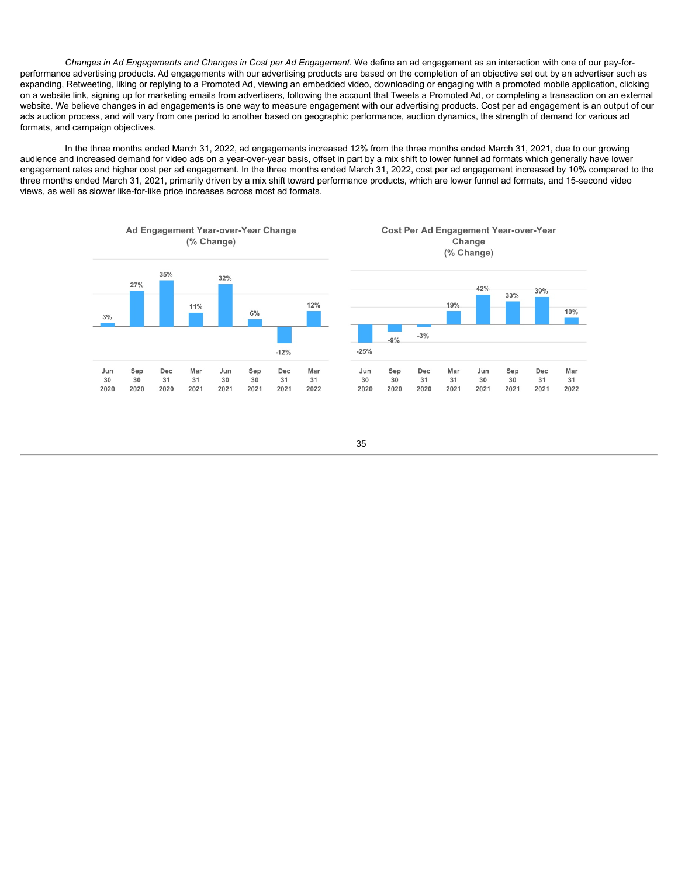*Changes in Ad Engagements and Changes in Cost per Ad Engagement*. We define an ad engagement as an interaction with one of our pay-forperformance advertising products. Ad engagements with our advertising products are based on the completion of an objective set out by an advertiser such as expanding, Retweeting, liking or replying to a Promoted Ad, viewing an embedded video, downloading or engaging with a promoted mobile application, clicking on a website link, signing up for marketing emails from advertisers, following the account that Tweets a Promoted Ad, or completing a transaction on an external website. We believe changes in ad engagements is one way to measure engagement with our advertising products. Cost per ad engagement is an output of our ads auction process, and will vary from one period to another based on geographic performance, auction dynamics, the strength of demand for various ad formats, and campaign objectives.

In the three months ended March 31, 2022, ad engagements increased 12% from the three months ended March 31, 2021, due to our growing audience and increased demand for video ads on a year-over-year basis, offset in part by a mix shift to lower funnel ad formats which generally have lower engagement rates and higher cost per ad engagement. In the three months ended March 31, 2022, cost per ad engagement increased by 10% compared to the three months ended March 31, 2021, primarily driven by a mix shift toward performance products, which are lower funnel ad formats, and 15-second video views, as well as slower like-for-like price increases across most ad formats.



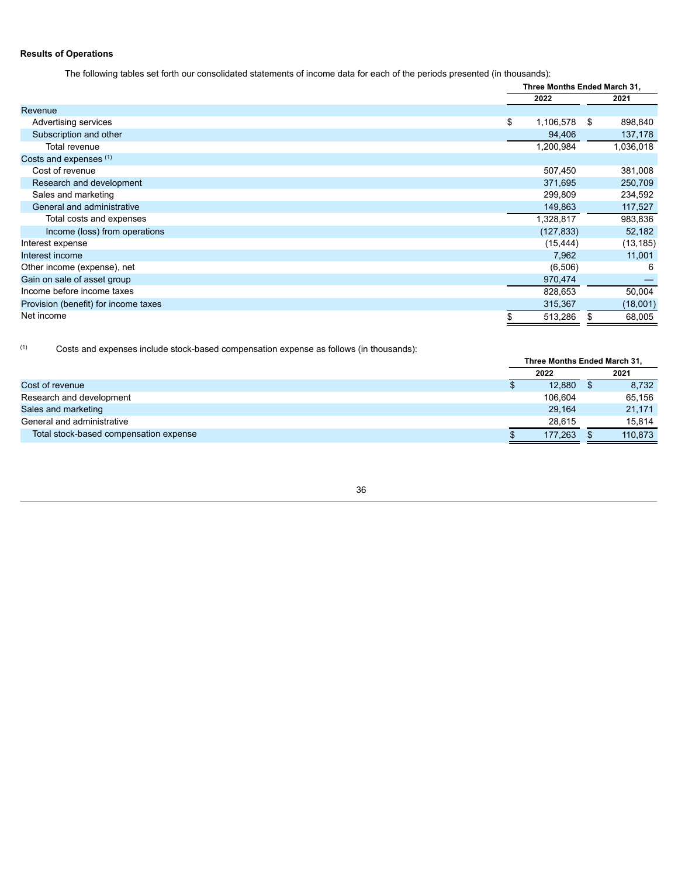## **Results of Operations**

The following tables set forth our consolidated statements of income data for each of the periods presented (in thousands):

|                                      | Three Months Ended March 31, |      |           |
|--------------------------------------|------------------------------|------|-----------|
|                                      | 2022                         |      | 2021      |
| Revenue                              |                              |      |           |
| Advertising services                 | \$<br>1,106,578              | - \$ | 898,840   |
| Subscription and other               | 94,406                       |      | 137,178   |
| Total revenue                        | 1,200,984                    |      | 1,036,018 |
| Costs and expenses (1)               |                              |      |           |
| Cost of revenue                      | 507,450                      |      | 381,008   |
| Research and development             | 371,695                      |      | 250,709   |
| Sales and marketing                  | 299,809                      |      | 234,592   |
| General and administrative           | 149,863                      |      | 117,527   |
| Total costs and expenses             | 1,328,817                    |      | 983,836   |
| Income (loss) from operations        | (127, 833)                   |      | 52,182    |
| Interest expense                     | (15, 444)                    |      | (13, 185) |
| Interest income                      | 7,962                        |      | 11,001    |
| Other income (expense), net          | (6,506)                      |      | 6         |
| Gain on sale of asset group          | 970,474                      |      |           |
| Income before income taxes           | 828,653                      |      | 50,004    |
| Provision (benefit) for income taxes | 315,367                      |      | (18,001)  |
| Net income                           | \$<br>513,286                | \$   | 68,005    |

Costs and expenses include stock-based compensation expense as follows (in thousands): (1)

| Three Months Ended March 31, |         |      |         |
|------------------------------|---------|------|---------|
| 2022                         |         | 2021 |         |
|                              | 12,880  |      | 8,732   |
|                              | 106.604 |      | 65,156  |
|                              | 29.164  |      | 21,171  |
|                              | 28.615  |      | 15.814  |
|                              | 177.263 |      | 110.873 |
|                              |         |      |         |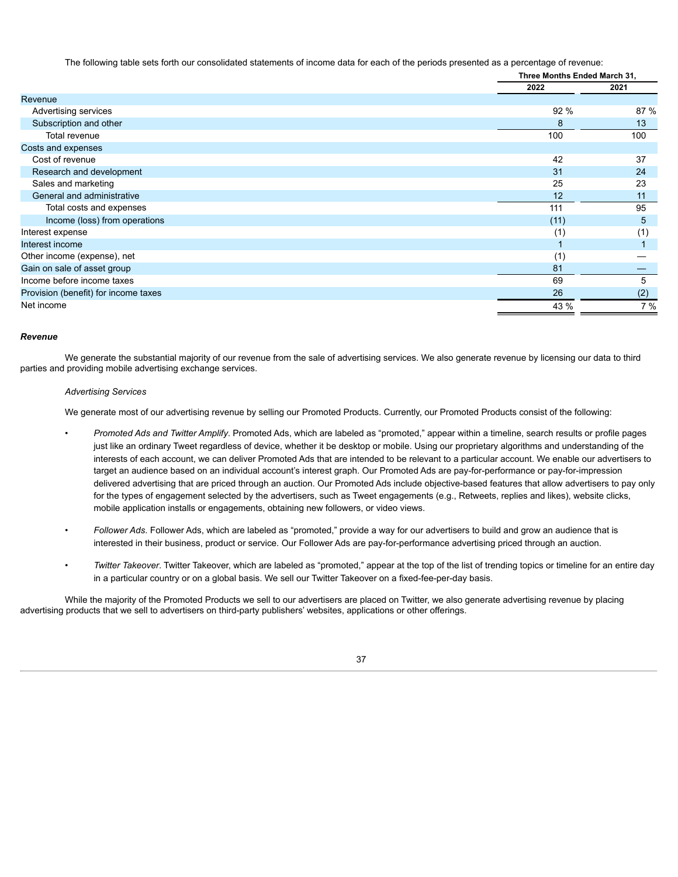The following table sets forth our consolidated statements of income data for each of the periods presented as a percentage of revenue:

|                                      | Three Months Ended March 31, |      |
|--------------------------------------|------------------------------|------|
|                                      | 2022                         | 2021 |
| Revenue                              |                              |      |
| Advertising services                 | 92 %                         | 87 % |
| Subscription and other               | 8                            | 13   |
| Total revenue                        | 100                          | 100  |
| Costs and expenses                   |                              |      |
| Cost of revenue                      | 42                           | 37   |
| Research and development             | 31                           | 24   |
| Sales and marketing                  | 25                           | 23   |
| General and administrative           | 12                           | 11   |
| Total costs and expenses             | 111                          | 95   |
| Income (loss) from operations        | (11)                         | 5    |
| Interest expense                     | (1)                          | (1)  |
| Interest income                      |                              |      |
| Other income (expense), net          | (1)                          |      |
| Gain on sale of asset group          | 81                           |      |
| Income before income taxes           | 69                           | 5    |
| Provision (benefit) for income taxes | 26                           | (2)  |
| Net income                           | 43 %                         | 7%   |

#### *Revenue*

We generate the substantial majority of our revenue from the sale of advertising services. We also generate revenue by licensing our data to third parties and providing mobile advertising exchange services.

#### *Advertising Services*

We generate most of our advertising revenue by selling our Promoted Products. Currently, our Promoted Products consist of the following:

- *• Promoted Ads and Twitter Amplify*. Promoted Ads, which are labeled as "promoted," appear within a timeline, search results or profile pages just like an ordinary Tweet regardless of device, whether it be desktop or mobile. Using our proprietary algorithms and understanding of the interests of each account, we can deliver Promoted Ads that are intended to be relevant to a particular account. We enable our advertisers to target an audience based on an individual account's interest graph. Our Promoted Ads are pay-for-performance or pay-for-impression delivered advertising that are priced through an auction. Our Promoted Ads include objective-based features that allow advertisers to pay only for the types of engagement selected by the advertisers, such as Tweet engagements (e.g., Retweets, replies and likes), website clicks, mobile application installs or engagements, obtaining new followers, or video views.
- *• Follower Ads*. Follower Ads, which are labeled as "promoted," provide a way for our advertisers to build and grow an audience that is interested in their business, product or service. Our Follower Ads are pay-for-performance advertising priced through an auction.
- *• Twitter Takeover*. Twitter Takeover, which are labeled as "promoted," appear at the top of the list of trending topics or timeline for an entire day in a particular country or on a global basis. We sell our Twitter Takeover on a fixed-fee-per-day basis.

While the majority of the Promoted Products we sell to our advertisers are placed on Twitter, we also generate advertising revenue by placing advertising products that we sell to advertisers on third-party publishers' websites, applications or other offerings.

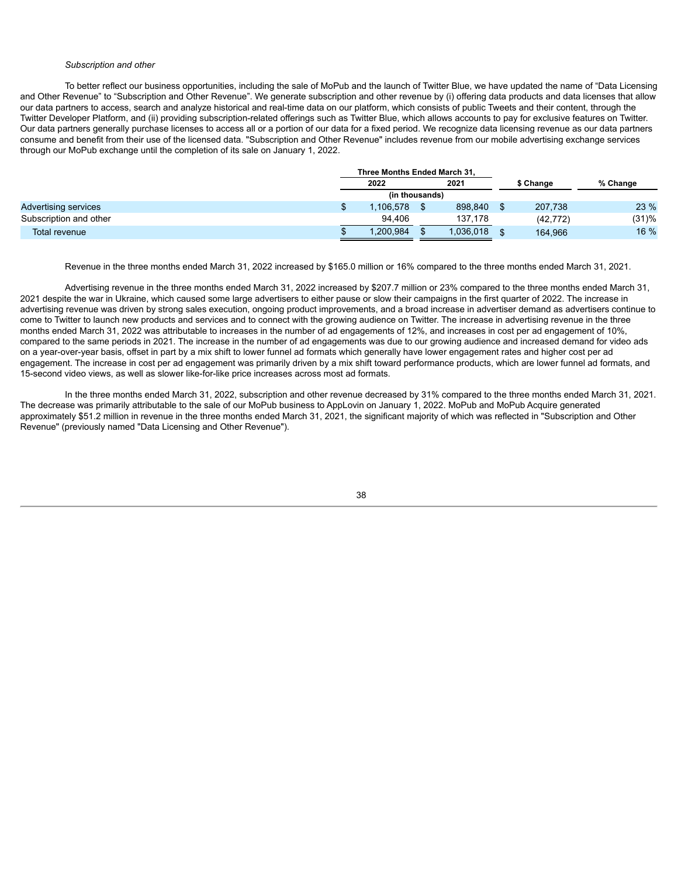#### *Subscription and other*

To better reflect our business opportunities, including the sale of MoPub and the launch of Twitter Blue, we have updated the name of "Data Licensing and Other Revenue" to "Subscription and Other Revenue". We generate subscription and other revenue by (i) offering data products and data licenses that allow our data partners to access, search and analyze historical and real-time data on our platform, which consists of public Tweets and their content, through the Twitter Developer Platform, and (ii) providing subscription-related offerings such as Twitter Blue, which allows accounts to pay for exclusive features on Twitter. Our data partners generally purchase licenses to access all or a portion of our data for a fixed period. We recognize data licensing revenue as our data partners consume and benefit from their use of the licensed data. "Subscription and Other Revenue" includes revenue from our mobile advertising exchange services through our MoPub exchange until the completion of its sale on January 1, 2022.

|                             | Three Months Ended March 31.                               |  |           |           |          |           |
|-----------------------------|------------------------------------------------------------|--|-----------|-----------|----------|-----------|
|                             | 2022                                                       |  | 2021      | \$ Change |          | % Change  |
|                             | (in thousands)<br>898.840<br>.106.578<br>94.406<br>137.178 |  |           |           |          |           |
| <b>Advertising services</b> |                                                            |  |           |           | 207.738  | 23 %      |
| Subscription and other      |                                                            |  |           |           | (42.772) | $(31) \%$ |
| Total revenue               | ,200,984                                                   |  | 1,036,018 |           | 164.966  | 16 %      |

Revenue in the three months ended March 31, 2022 increased by \$165.0 million or 16% compared to the three months ended March 31, 2021.

Advertising revenue in the three months ended March 31, 2022 increased by \$207.7 million or 23% compared to the three months ended March 31, 2021 despite the war in Ukraine, which caused some large advertisers to either pause or slow their campaigns in the first quarter of 2022. The increase in advertising revenue was driven by strong sales execution, ongoing product improvements, and a broad increase in advertiser demand as advertisers continue to come to Twitter to launch new products and services and to connect with the growing audience on Twitter. The increase in advertising revenue in the three months ended March 31, 2022 was attributable to increases in the number of ad engagements of 12%, and increases in cost per ad engagement of 10%, compared to the same periods in 2021. The increase in the number of ad engagements was due to our growing audience and increased demand for video ads on a year-over-year basis, offset in part by a mix shift to lower funnel ad formats which generally have lower engagement rates and higher cost per ad engagement. The increase in cost per ad engagement was primarily driven by a mix shift toward performance products, which are lower funnel ad formats, and 15-second video views, as well as slower like-for-like price increases across most ad formats.

In the three months ended March 31, 2022, subscription and other revenue decreased by 31% compared to the three months ended March 31, 2021. The decrease was primarily attributable to the sale of our MoPub business to AppLovin on January 1, 2022. MoPub and MoPub Acquire generated approximately \$51.2 million in revenue in the three months ended March 31, 2021, the significant majority of which was reflected in "Subscription and Other Revenue" (previously named "Data Licensing and Other Revenue").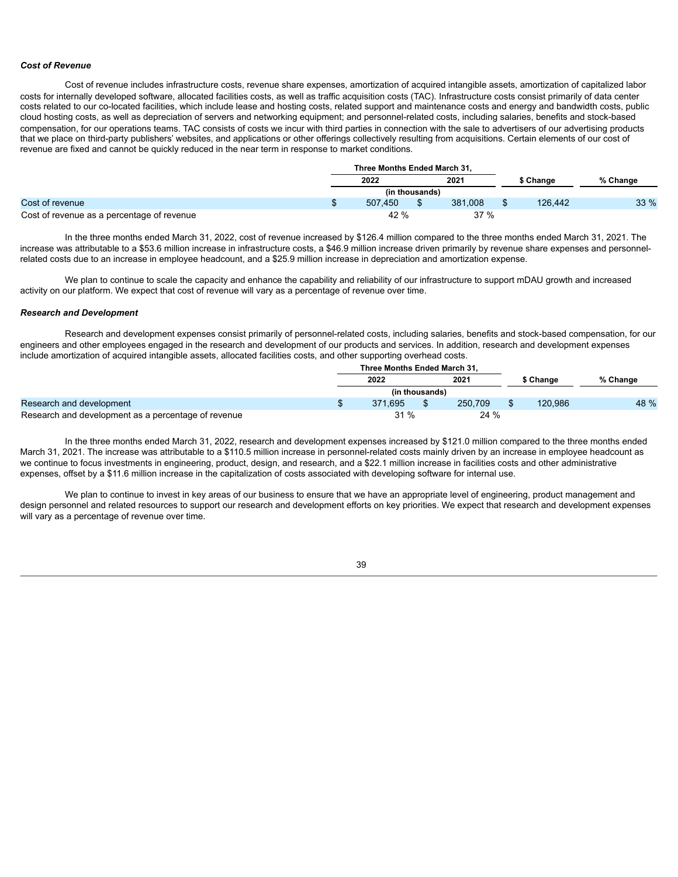# *Cost of Revenue*

Cost of revenue includes infrastructure costs, revenue share expenses, amortization of acquired intangible assets, amortization of capitalized labor costs for internally developed software, allocated facilities costs, as well as traffic acquisition costs (TAC). Infrastructure costs consist primarily of data center costs related to our co-located facilities, which include lease and hosting costs, related support and maintenance costs and energy and bandwidth costs, public cloud hosting costs, as well as depreciation of servers and networking equipment; and personnel-related costs, including salaries, benefits and stock-based compensation, for our operations teams. TAC consists of costs we incur with third parties in connection with the sale to advertisers of our advertising products that we place on third-party publishers' websites, and applications or other offerings collectively resulting from acquisitions. Certain elements of our cost of revenue are fixed and cannot be quickly reduced in the near term in response to market conditions.

|                                            | Three Months Ended March 31. |  |         |  |         |          |
|--------------------------------------------|------------------------------|--|---------|--|---------|----------|
|                                            | 2022                         |  | 2021    |  | Change  | % Change |
|                                            | (in thousands)               |  |         |  |         |          |
| Cost of revenue                            | 507.450                      |  | 381.008 |  | 126.442 | $33\%$   |
| Cost of revenue as a percentage of revenue | 42 %                         |  | 37%     |  |         |          |

In the three months ended March 31, 2022, cost of revenue increased by \$126.4 million compared to the three months ended March 31, 2021. The increase was attributable to a \$53.6 million increase in infrastructure costs, a \$46.9 million increase driven primarily by revenue share expenses and personnelrelated costs due to an increase in employee headcount, and a \$25.9 million increase in depreciation and amortization expense.

We plan to continue to scale the capacity and enhance the capability and reliability of our infrastructure to support mDAU growth and increased activity on our platform. We expect that cost of revenue will vary as a percentage of revenue over time.

# *Research and Development*

Research and development expenses consist primarily of personnel-related costs, including salaries, benefits and stock-based compensation, for our engineers and other employees engaged in the research and development of our products and services. In addition, research and development expenses include amortization of acquired intangible assets, allocated facilities costs, and other supporting overhead costs.

|                                                     | Three Months Ended March 31, |                |         |           |          |
|-----------------------------------------------------|------------------------------|----------------|---------|-----------|----------|
|                                                     | 2022                         |                | 2021    | \$ Chanɑe | % Change |
|                                                     |                              | (in thousands) |         |           |          |
| Research and development                            | 371.695                      |                | 250.709 | 120.986   | 48 %     |
| Research and development as a percentage of revenue | $31\%$                       |                | 24 %    |           |          |

In the three months ended March 31, 2022, research and development expenses increased by \$121.0 million compared to the three months ended March 31, 2021. The increase was attributable to a \$110.5 million increase in personnel-related costs mainly driven by an increase in employee headcount as we continue to focus investments in engineering, product, design, and research, and a \$22.1 million increase in facilities costs and other administrative expenses, offset by a \$11.6 million increase in the capitalization of costs associated with developing software for internal use.

We plan to continue to invest in key areas of our business to ensure that we have an appropriate level of engineering, product management and design personnel and related resources to support our research and development efforts on key priorities. We expect that research and development expenses will vary as a percentage of revenue over time.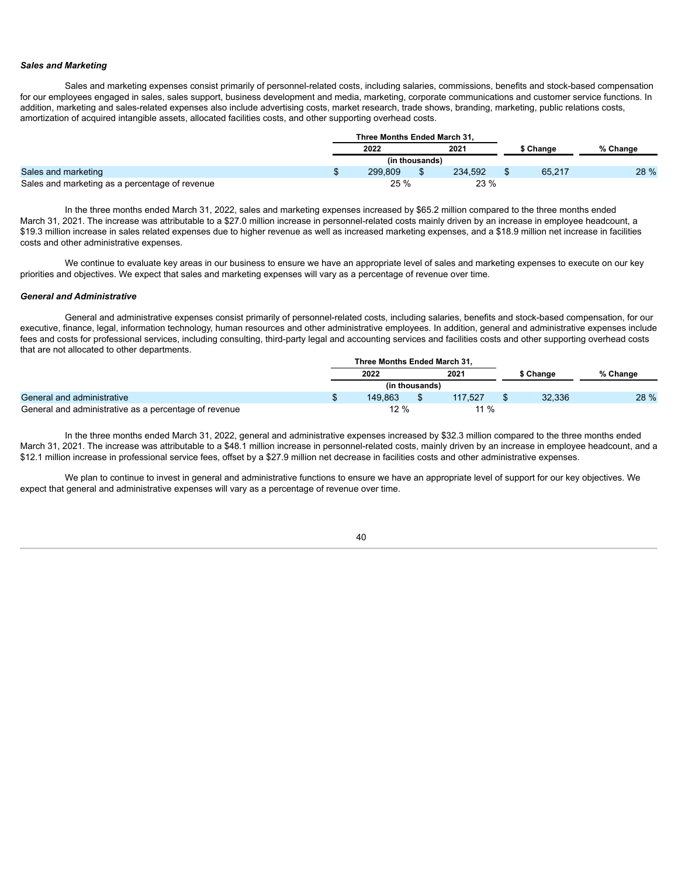## *Sales and Marketing*

Sales and marketing expenses consist primarily of personnel-related costs, including salaries, commissions, benefits and stock-based compensation for our employees engaged in sales, sales support, business development and media, marketing, corporate communications and customer service functions. In addition, marketing and sales-related expenses also include advertising costs, market research, trade shows, branding, marketing, public relations costs, amortization of acquired intangible assets, allocated facilities costs, and other supporting overhead costs.

|                                                | Three Months Ended March 31, |         |        |          |
|------------------------------------------------|------------------------------|---------|--------|----------|
|                                                | 2022                         | 2021    | Change | % Change |
|                                                | (in thousands)               |         |        |          |
| Sales and marketing                            | 299.809                      | 234.592 | 65.217 | 28 %     |
| Sales and marketing as a percentage of revenue | 25 %                         | 23 %    |        |          |

In the three months ended March 31, 2022, sales and marketing expenses increased by \$65.2 million compared to the three months ended March 31, 2021. The increase was attributable to a \$27.0 million increase in personnel-related costs mainly driven by an increase in employee headcount, a \$19.3 million increase in sales related expenses due to higher revenue as well as increased marketing expenses, and a \$18.9 million net increase in facilities costs and other administrative expenses.

We continue to evaluate key areas in our business to ensure we have an appropriate level of sales and marketing expenses to execute on our key priorities and objectives. We expect that sales and marketing expenses will vary as a percentage of revenue over time.

#### *General and Administrative*

General and administrative expenses consist primarily of personnel-related costs, including salaries, benefits and stock-based compensation, for our executive, finance, legal, information technology, human resources and other administrative employees. In addition, general and administrative expenses include fees and costs for professional services, including consulting, third-party legal and accounting services and facilities costs and other supporting overhead costs that are not allocated to other departments.

|                                                       | Three Months Ended March 31. |                |  |         |          |        |          |
|-------------------------------------------------------|------------------------------|----------------|--|---------|----------|--------|----------|
|                                                       |                              | 2022           |  | 2021    | Chanɑe ا |        | % Change |
|                                                       |                              | (in thousands) |  |         |          |        |          |
| General and administrative                            |                              | 149.863        |  | 117.527 |          | 32.336 | 28%      |
| General and administrative as a percentage of revenue |                              | 12%            |  | 11 $%$  |          |        |          |

In the three months ended March 31, 2022, general and administrative expenses increased by \$32.3 million compared to the three months ended March 31, 2021. The increase was attributable to a \$48.1 million increase in personnel-related costs, mainly driven by an increase in employee headcount, and a \$12.1 million increase in professional service fees, offset by a \$27.9 million net decrease in facilities costs and other administrative expenses.

We plan to continue to invest in general and administrative functions to ensure we have an appropriate level of support for our key objectives. We expect that general and administrative expenses will vary as a percentage of revenue over time.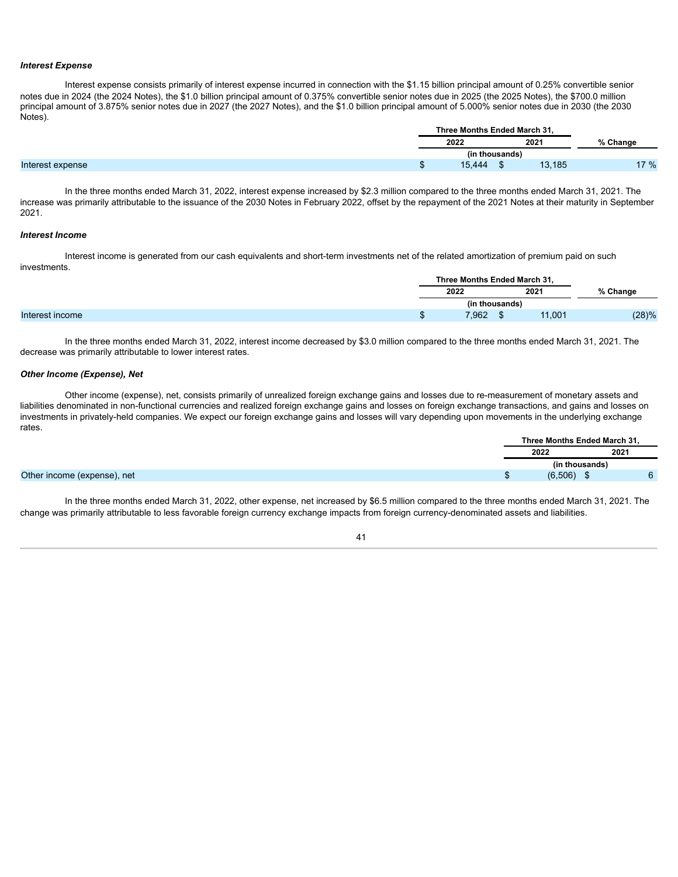### *Interest Expense*

Interest expense consists primarily of interest expense incurred in connection with the \$1.15 billion principal amount of 0.25% convertible senior notes due in 2024 (the 2024 Notes), the \$1.0 billion principal amount of 0.375% convertible senior notes due in 2025 (the 2025 Notes), the \$700.0 million principal amount of 3.875% senior notes due in 2027 (the 2027 Notes), and the \$1.0 billion principal amount of 5.000% senior notes due in 2030 (the 2030 Notes).

|                  | Three Months Ended March 31. |  |                |      |
|------------------|------------------------------|--|----------------|------|
|                  | 2021<br>2022                 |  | <b>SChange</b> |      |
|                  | (in thousands)               |  |                |      |
| Interest expense | 15.444                       |  | 13,185         | 17 % |

In the three months ended March 31, 2022, interest expense increased by \$2.3 million compared to the three months ended March 31, 2021. The increase was primarily attributable to the issuance of the 2030 Notes in February 2022, offset by the repayment of the 2021 Notes at their maturity in September 2021.

#### *Interest Income*

Interest income is generated from our cash equivalents and short-term investments net of the related amortization of premium paid on such investments.

|       |      | 2021   | % Change                                       |  |
|-------|------|--------|------------------------------------------------|--|
|       |      |        |                                                |  |
| 7,962 |      | 11,001 | (28)%                                          |  |
|       | 2022 |        | Three Months Ended March 31.<br>(in thousands) |  |

In the three months ended March 31, 2022, interest income decreased by \$3.0 million compared to the three months ended March 31, 2021. The decrease was primarily attributable to lower interest rates.

# *Other Income (Expense), Net*

Other income (expense), net, consists primarily of unrealized foreign exchange gains and losses due to re-measurement of monetary assets and liabilities denominated in non-functional currencies and realized foreign exchange gains and losses on foreign exchange transactions, and gains and losses on investments in privately-held companies. We expect our foreign exchange gains and losses will vary depending upon movements in the underlying exchange rates.

|  | Three Months Ended March 31, |                |      |
|--|------------------------------|----------------|------|
|  | 2022                         |                | 2021 |
|  |                              | (in thousands) |      |
|  |                              | $(6.506)$ \$   |      |
|  |                              |                |      |

In the three months ended March 31, 2022, other expense, net increased by \$6.5 million compared to the three months ended March 31, 2021. The change was primarily attributable to less favorable foreign currency exchange impacts from foreign currency-denominated assets and liabilities.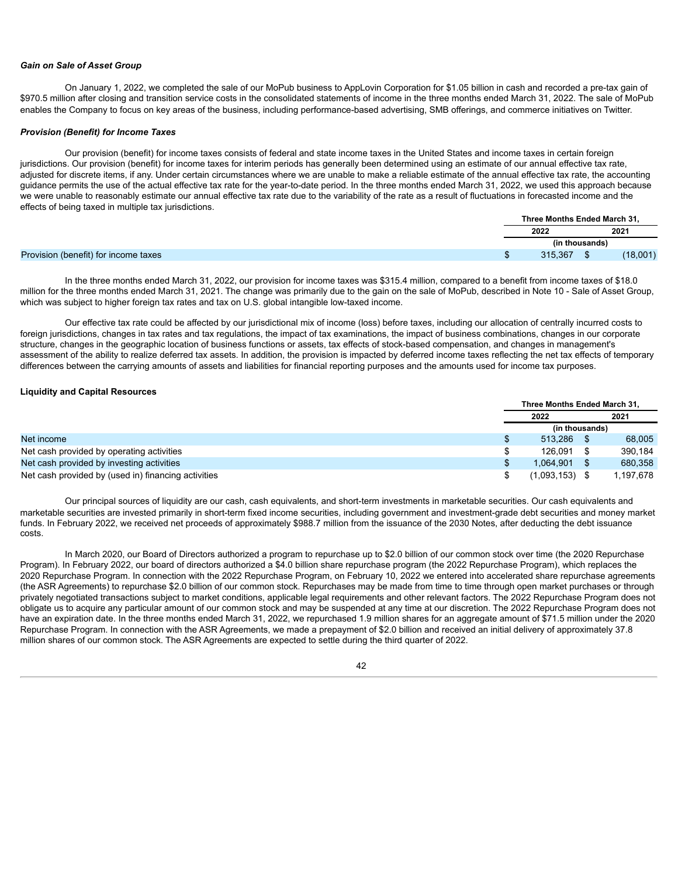# *Gain on Sale of Asset Group*

On January 1, 2022, we completed the sale of our MoPub business to AppLovin Corporation for \$1.05 billion in cash and recorded a pre-tax gain of \$970.5 million after closing and transition service costs in the consolidated statements of income in the three months ended March 31, 2022. The sale of MoPub enables the Company to focus on key areas of the business, including performance-based advertising, SMB offerings, and commerce initiatives on Twitter.

#### *Provision (Benefit) for Income Taxes*

Our provision (benefit) for income taxes consists of federal and state income taxes in the United States and income taxes in certain foreign jurisdictions. Our provision (benefit) for income taxes for interim periods has generally been determined using an estimate of our annual effective tax rate, adjusted for discrete items, if any. Under certain circumstances where we are unable to make a reliable estimate of the annual effective tax rate, the accounting guidance permits the use of the actual effective tax rate for the year-to-date period. In the three months ended March 31, 2022, we used this approach because we were unable to reasonably estimate our annual effective tax rate due to the variability of the rate as a result of fluctuations in forecasted income and the effects of being taxed in multiple tax jurisdictions.

| 2022<br>2021<br>(in thousands) |  |
|--------------------------------|--|
|                                |  |
|                                |  |
| 315.367<br>(18,001)            |  |

In the three months ended March 31, 2022, our provision for income taxes was \$315.4 million, compared to a benefit from income taxes of \$18.0 million for the three months ended March 31, 2021. The change was primarily due to the gain on the sale of MoPub, described in Note 10 - Sale of Asset Group, which was subject to higher foreign tax rates and tax on U.S. global intangible low-taxed income.

Our effective tax rate could be affected by our jurisdictional mix of income (loss) before taxes, including our allocation of centrally incurred costs to foreign jurisdictions, changes in tax rates and tax regulations, the impact of tax examinations, the impact of business combinations, changes in our corporate structure, changes in the geographic location of business functions or assets, tax effects of stock-based compensation, and changes in management's assessment of the ability to realize deferred tax assets. In addition, the provision is impacted by deferred income taxes reflecting the net tax effects of temporary differences between the carrying amounts of assets and liabilities for financial reporting purposes and the amounts used for income tax purposes.

#### **Liquidity and Capital Resources**

|                                                     | Three Months Ended March 31. |  |           |  |  |
|-----------------------------------------------------|------------------------------|--|-----------|--|--|
|                                                     | 2022                         |  | 2021      |  |  |
|                                                     | (in thousands)               |  |           |  |  |
| Net income                                          | 513.286                      |  | 68,005    |  |  |
| Net cash provided by operating activities           | 126.091                      |  | 390.184   |  |  |
| Net cash provided by investing activities           | 1.064.901                    |  | 680,358   |  |  |
| Net cash provided by (used in) financing activities | (1,093,153)                  |  | 1.197.678 |  |  |

Our principal sources of liquidity are our cash, cash equivalents, and short-term investments in marketable securities. Our cash equivalents and marketable securities are invested primarily in short-term fixed income securities, including government and investment-grade debt securities and money market funds. In February 2022, we received net proceeds of approximately \$988.7 million from the issuance of the 2030 Notes, after deducting the debt issuance costs.

In March 2020, our Board of Directors authorized a program to repurchase up to \$2.0 billion of our common stock over time (the 2020 Repurchase Program). In February 2022, our board of directors authorized a \$4.0 billion share repurchase program (the 2022 Repurchase Program), which replaces the 2020 Repurchase Program. In connection with the 2022 Repurchase Program, on February 10, 2022 we entered into accelerated share repurchase agreements (the ASR Agreements) to repurchase \$2.0 billion of our common stock. Repurchases may be made from time to time through open market purchases or through privately negotiated transactions subject to market conditions, applicable legal requirements and other relevant factors. The 2022 Repurchase Program does not obligate us to acquire any particular amount of our common stock and may be suspended at any time at our discretion. The 2022 Repurchase Program does not have an expiration date. In the three months ended March 31, 2022, we repurchased 1.9 million shares for an aggregate amount of \$71.5 million under the 2020 Repurchase Program. In connection with the ASR Agreements, we made a prepayment of \$2.0 billion and received an initial delivery of approximately 37.8 million shares of our common stock. The ASR Agreements are expected to settle during the third quarter of 2022.

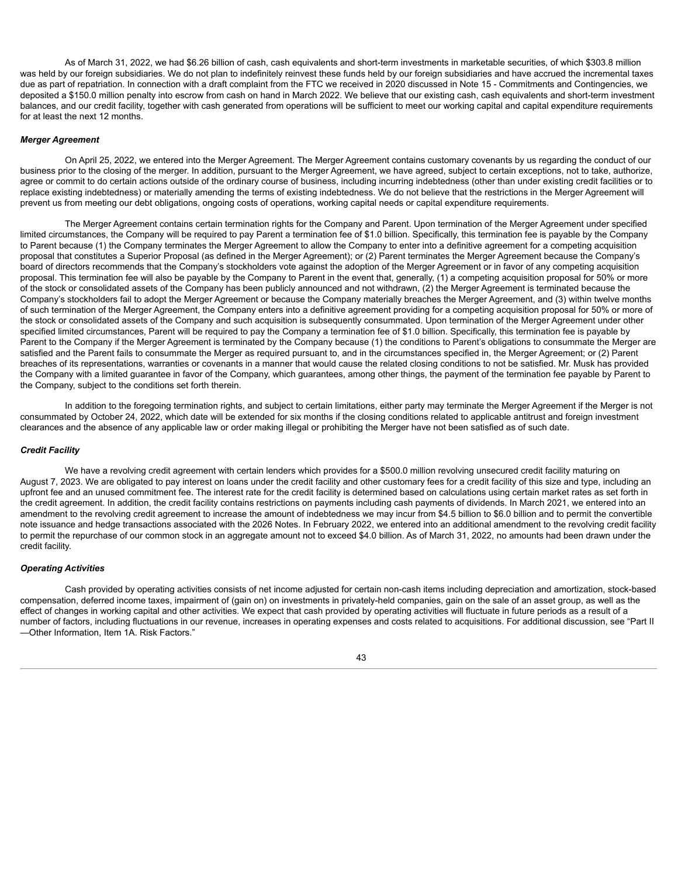As of March 31, 2022, we had \$6.26 billion of cash, cash equivalents and short-term investments in marketable securities, of which \$303.8 million was held by our foreign subsidiaries. We do not plan to indefinitely reinvest these funds held by our foreign subsidiaries and have accrued the incremental taxes due as part of repatriation. In connection with a draft complaint from the FTC we received in 2020 discussed in Note 15 - Commitments and Contingencies, we deposited a \$150.0 million penalty into escrow from cash on hand in March 2022. We believe that our existing cash, cash equivalents and short-term investment balances, and our credit facility, together with cash generated from operations will be sufficient to meet our working capital and capital expenditure requirements for at least the next 12 months.

#### *Merger Agreement*

On April 25, 2022, we entered into the Merger Agreement. The Merger Agreement contains customary covenants by us regarding the conduct of our business prior to the closing of the merger. In addition, pursuant to the Merger Agreement, we have agreed, subject to certain exceptions, not to take, authorize, agree or commit to do certain actions outside of the ordinary course of business, including incurring indebtedness (other than under existing credit facilities or to replace existing indebtedness) or materially amending the terms of existing indebtedness. We do not believe that the restrictions in the Merger Agreement will prevent us from meeting our debt obligations, ongoing costs of operations, working capital needs or capital expenditure requirements.

The Merger Agreement contains certain termination rights for the Company and Parent. Upon termination of the Merger Agreement under specified limited circumstances, the Company will be required to pay Parent a termination fee of \$1.0 billion. Specifically, this termination fee is payable by the Company to Parent because (1) the Company terminates the Merger Agreement to allow the Company to enter into a definitive agreement for a competing acquisition proposal that constitutes a Superior Proposal (as defined in the Merger Agreement); or (2) Parent terminates the Merger Agreement because the Company's board of directors recommends that the Company's stockholders vote against the adoption of the Merger Agreement or in favor of any competing acquisition proposal. This termination fee will also be payable by the Company to Parent in the event that, generally, (1) a competing acquisition proposal for 50% or more of the stock or consolidated assets of the Company has been publicly announced and not withdrawn, (2) the Merger Agreement is terminated because the Company's stockholders fail to adopt the Merger Agreement or because the Company materially breaches the Merger Agreement, and (3) within twelve months of such termination of the Merger Agreement, the Company enters into a definitive agreement providing for a competing acquisition proposal for 50% or more of the stock or consolidated assets of the Company and such acquisition is subsequently consummated. Upon termination of the Merger Agreement under other specified limited circumstances, Parent will be required to pay the Company a termination fee of \$1.0 billion. Specifically, this termination fee is payable by Parent to the Company if the Merger Agreement is terminated by the Company because (1) the conditions to Parent's obligations to consummate the Merger are satisfied and the Parent fails to consummate the Merger as required pursuant to, and in the circumstances specified in, the Merger Agreement; or (2) Parent breaches of its representations, warranties or covenants in a manner that would cause the related closing conditions to not be satisfied. Mr. Musk has provided the Company with a limited guarantee in favor of the Company, which guarantees, among other things, the payment of the termination fee payable by Parent to the Company, subject to the conditions set forth therein.

In addition to the foregoing termination rights, and subject to certain limitations, either party may terminate the Merger Agreement if the Merger is not consummated by October 24, 2022, which date will be extended for six months if the closing conditions related to applicable antitrust and foreign investment clearances and the absence of any applicable law or order making illegal or prohibiting the Merger have not been satisfied as of such date.

#### *Credit Facility*

We have a revolving credit agreement with certain lenders which provides for a \$500.0 million revolving unsecured credit facility maturing on August 7, 2023. We are obligated to pay interest on loans under the credit facility and other customary fees for a credit facility of this size and type, including an upfront fee and an unused commitment fee. The interest rate for the credit facility is determined based on calculations using certain market rates as set forth in the credit agreement. In addition, the credit facility contains restrictions on payments including cash payments of dividends. In March 2021, we entered into an amendment to the revolving credit agreement to increase the amount of indebtedness we may incur from \$4.5 billion to \$6.0 billion and to permit the convertible note issuance and hedge transactions associated with the 2026 Notes. In February 2022, we entered into an additional amendment to the revolving credit facility to permit the repurchase of our common stock in an aggregate amount not to exceed \$4.0 billion. As of March 31, 2022, no amounts had been drawn under the credit facility.

#### *Operating Activities*

Cash provided by operating activities consists of net income adjusted for certain non-cash items including depreciation and amortization, stock-based compensation, deferred income taxes, impairment of (gain on) on investments in privately-held companies, gain on the sale of an asset group, as well as the effect of changes in working capital and other activities. We expect that cash provided by operating activities will fluctuate in future periods as a result of a number of factors, including fluctuations in our revenue, increases in operating expenses and costs related to acquisitions. For additional discussion, see "Part II —Other Information, Item 1A. Risk Factors."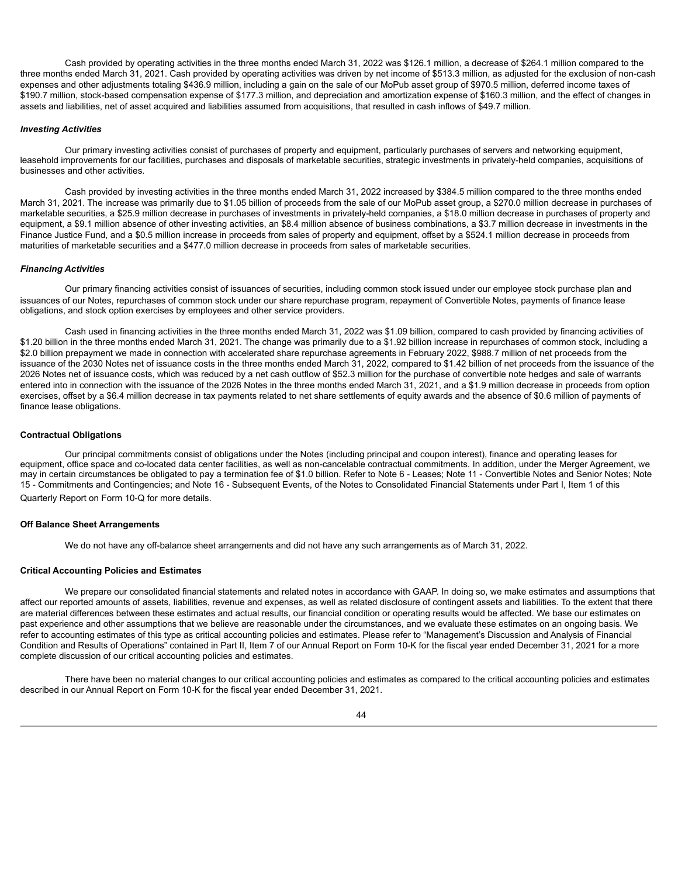Cash provided by operating activities in the three months ended March 31, 2022 was \$126.1 million, a decrease of \$264.1 million compared to the three months ended March 31, 2021. Cash provided by operating activities was driven by net income of \$513.3 million, as adjusted for the exclusion of non-cash expenses and other adjustments totaling \$436.9 million, including a gain on the sale of our MoPub asset group of \$970.5 million, deferred income taxes of \$190.7 million, stock-based compensation expense of \$177.3 million, and depreciation and amortization expense of \$160.3 million, and the effect of changes in assets and liabilities, net of asset acquired and liabilities assumed from acquisitions, that resulted in cash inflows of \$49.7 million.

#### *Investing Activities*

Our primary investing activities consist of purchases of property and equipment, particularly purchases of servers and networking equipment, leasehold improvements for our facilities, purchases and disposals of marketable securities, strategic investments in privately-held companies, acquisitions of businesses and other activities.

Cash provided by investing activities in the three months ended March 31, 2022 increased by \$384.5 million compared to the three months ended March 31, 2021. The increase was primarily due to \$1.05 billion of proceeds from the sale of our MoPub asset group, a \$270.0 million decrease in purchases of marketable securities, a \$25.9 million decrease in purchases of investments in privately-held companies, a \$18.0 million decrease in purchases of property and equipment, a \$9.1 million absence of other investing activities, an \$8.4 million absence of business combinations, a \$3.7 million decrease in investments in the Finance Justice Fund, and a \$0.5 million increase in proceeds from sales of property and equipment, offset by a \$524.1 million decrease in proceeds from maturities of marketable securities and a \$477.0 million decrease in proceeds from sales of marketable securities.

### *Financing Activities*

Our primary financing activities consist of issuances of securities, including common stock issued under our employee stock purchase plan and issuances of our Notes, repurchases of common stock under our share repurchase program, repayment of Convertible Notes, payments of finance lease obligations, and stock option exercises by employees and other service providers.

Cash used in financing activities in the three months ended March 31, 2022 was \$1.09 billion, compared to cash provided by financing activities of \$1.20 billion in the three months ended March 31, 2021. The change was primarily due to a \$1.92 billion increase in repurchases of common stock, including a \$2.0 billion prepayment we made in connection with accelerated share repurchase agreements in February 2022, \$988.7 million of net proceeds from the issuance of the 2030 Notes net of issuance costs in the three months ended March 31, 2022, compared to \$1.42 billion of net proceeds from the issuance of the 2026 Notes net of issuance costs, which was reduced by a net cash outflow of \$52.3 million for the purchase of convertible note hedges and sale of warrants entered into in connection with the issuance of the 2026 Notes in the three months ended March 31, 2021, and a \$1.9 million decrease in proceeds from option exercises, offset by a \$6.4 million decrease in tax payments related to net share settlements of equity awards and the absence of \$0.6 million of payments of finance lease obligations.

#### **Contractual Obligations**

Our principal commitments consist of obligations under the Notes (including principal and coupon interest), finance and operating leases for equipment, office space and co-located data center facilities, as well as non-cancelable contractual commitments. In addition, under the Merger Agreement, we may in certain circumstances be obligated to pay a termination fee of \$1.0 billion. Refer to Note 6 - Leases; Note 11 - Convertible Notes and Senior Notes; Note 15 - Commitments and Contingencies; and Note 16 - Subsequent Events, of the Notes to Consolidated Financial Statements under Part I, Item 1 of this Quarterly Report on Form 10-Q for more details.

# **Off Balance Sheet Arrangements**

We do not have any off-balance sheet arrangements and did not have any such arrangements as of March 31, 2022.

#### **Critical Accounting Policies and Estimates**

We prepare our consolidated financial statements and related notes in accordance with GAAP. In doing so, we make estimates and assumptions that affect our reported amounts of assets, liabilities, revenue and expenses, as well as related disclosure of contingent assets and liabilities. To the extent that there are material differences between these estimates and actual results, our financial condition or operating results would be affected. We base our estimates on past experience and other assumptions that we believe are reasonable under the circumstances, and we evaluate these estimates on an ongoing basis. We refer to accounting estimates of this type as critical accounting policies and estimates. Please refer to "Management's Discussion and Analysis of Financial Condition and Results of Operations" contained in Part II, Item 7 of our Annual Report on Form 10-K for the fiscal year ended December 31, 2021 for a more complete discussion of our critical accounting policies and estimates.

There have been no material changes to our critical accounting policies and estimates as compared to the critical accounting policies and estimates described in our Annual Report on Form 10-K for the fiscal year ended December 31, 2021.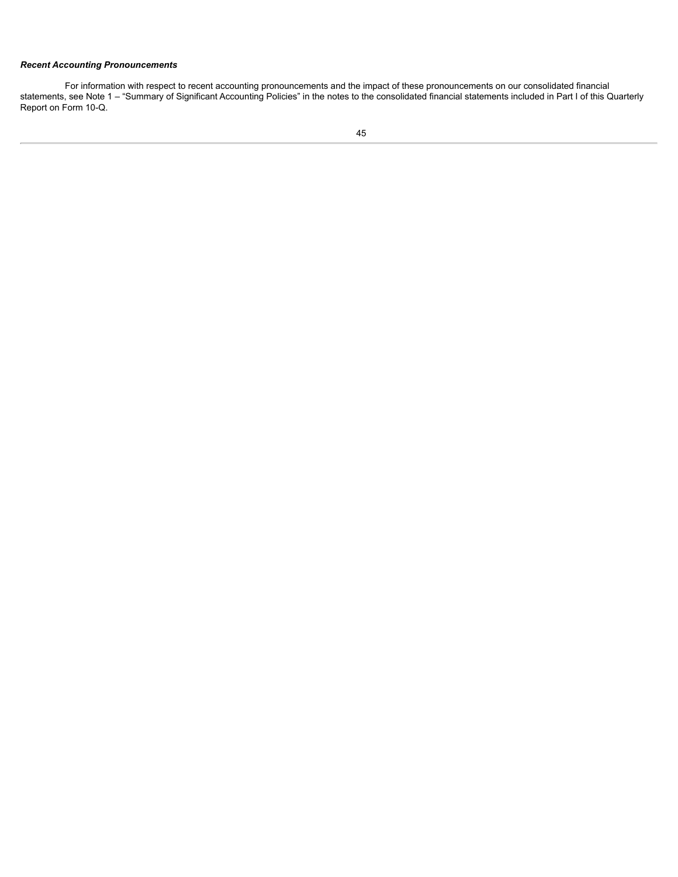# *Recent Accounting Pronouncements*

For information with respect to recent accounting pronouncements and the impact of these pronouncements on our consolidated financial statements, see Note 1 – "Summary of Significant Accounting Policies" in the notes to the consolidated financial statements included in Part I of this Quarterly Report on Form 10-Q.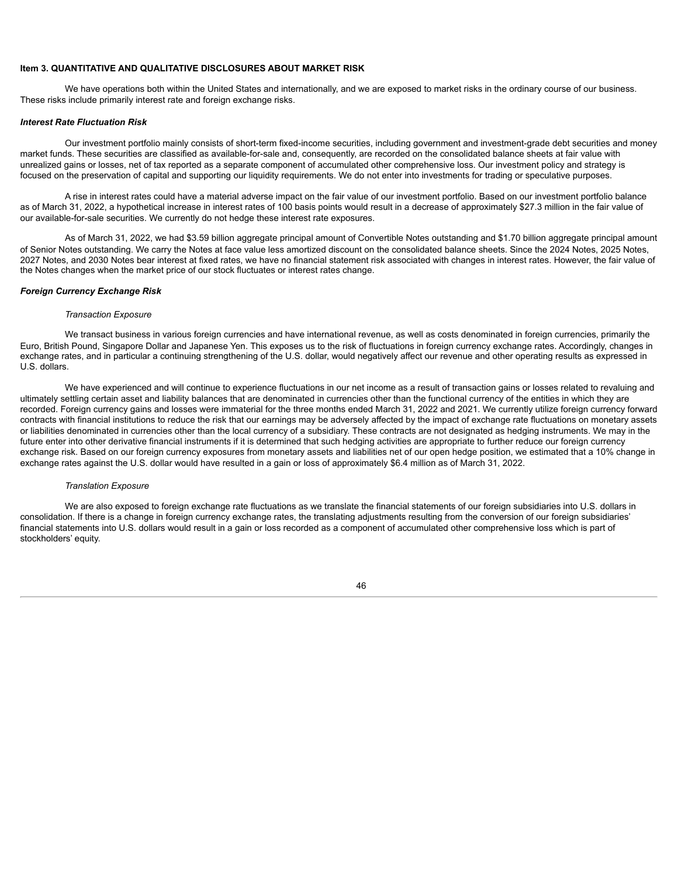# **Item 3. QUANTITATIVE AND QUALITATIVE DISCLOSURES ABOUT MARKET RISK**

We have operations both within the United States and internationally, and we are exposed to market risks in the ordinary course of our business. These risks include primarily interest rate and foreign exchange risks.

#### *Interest Rate Fluctuation Risk*

Our investment portfolio mainly consists of short-term fixed-income securities, including government and investment-grade debt securities and money market funds. These securities are classified as available-for-sale and, consequently, are recorded on the consolidated balance sheets at fair value with unrealized gains or losses, net of tax reported as a separate component of accumulated other comprehensive loss. Our investment policy and strategy is focused on the preservation of capital and supporting our liquidity requirements. We do not enter into investments for trading or speculative purposes.

A rise in interest rates could have a material adverse impact on the fair value of our investment portfolio. Based on our investment portfolio balance as of March 31, 2022, a hypothetical increase in interest rates of 100 basis points would result in a decrease of approximately \$27.3 million in the fair value of our available-for-sale securities. We currently do not hedge these interest rate exposures.

As of March 31, 2022, we had \$3.59 billion aggregate principal amount of Convertible Notes outstanding and \$1.70 billion aggregate principal amount of Senior Notes outstanding. We carry the Notes at face value less amortized discount on the consolidated balance sheets. Since the 2024 Notes, 2025 Notes, 2027 Notes, and 2030 Notes bear interest at fixed rates, we have no financial statement risk associated with changes in interest rates. However, the fair value of the Notes changes when the market price of our stock fluctuates or interest rates change.

#### *Foreign Currency Exchange Risk*

#### *Transaction Exposure*

We transact business in various foreign currencies and have international revenue, as well as costs denominated in foreign currencies, primarily the Euro, British Pound, Singapore Dollar and Japanese Yen. This exposes us to the risk of fluctuations in foreign currency exchange rates. Accordingly, changes in exchange rates, and in particular a continuing strengthening of the U.S. dollar, would negatively affect our revenue and other operating results as expressed in U.S. dollars.

We have experienced and will continue to experience fluctuations in our net income as a result of transaction gains or losses related to revaluing and ultimately settling certain asset and liability balances that are denominated in currencies other than the functional currency of the entities in which they are recorded. Foreign currency gains and losses were immaterial for the three months ended March 31, 2022 and 2021. We currently utilize foreign currency forward contracts with financial institutions to reduce the risk that our earnings may be adversely affected by the impact of exchange rate fluctuations on monetary assets or liabilities denominated in currencies other than the local currency of a subsidiary. These contracts are not designated as hedging instruments. We may in the future enter into other derivative financial instruments if it is determined that such hedging activities are appropriate to further reduce our foreign currency exchange risk. Based on our foreign currency exposures from monetary assets and liabilities net of our open hedge position, we estimated that a 10% change in exchange rates against the U.S. dollar would have resulted in a gain or loss of approximately \$6.4 million as of March 31, 2022.

# *Translation Exposure*

We are also exposed to foreign exchange rate fluctuations as we translate the financial statements of our foreign subsidiaries into U.S. dollars in consolidation. If there is a change in foreign currency exchange rates, the translating adjustments resulting from the conversion of our foreign subsidiaries' financial statements into U.S. dollars would result in a gain or loss recorded as a component of accumulated other comprehensive loss which is part of stockholders' equity.

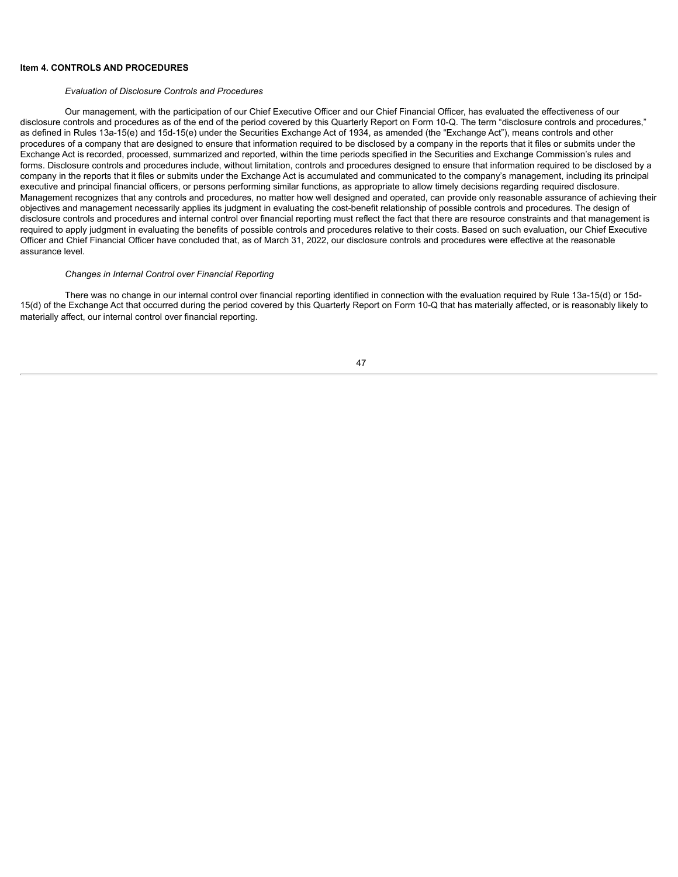### **Item 4. CONTROLS AND PROCEDURES**

### *Evaluation of Disclosure Controls and Procedures*

Our management, with the participation of our Chief Executive Officer and our Chief Financial Officer, has evaluated the effectiveness of our disclosure controls and procedures as of the end of the period covered by this Quarterly Report on Form 10-Q. The term "disclosure controls and procedures," as defined in Rules 13a-15(e) and 15d-15(e) under the Securities Exchange Act of 1934, as amended (the "Exchange Act"), means controls and other procedures of a company that are designed to ensure that information required to be disclosed by a company in the reports that it files or submits under the Exchange Act is recorded, processed, summarized and reported, within the time periods specified in the Securities and Exchange Commission's rules and forms. Disclosure controls and procedures include, without limitation, controls and procedures designed to ensure that information required to be disclosed by a company in the reports that it files or submits under the Exchange Act is accumulated and communicated to the company's management, including its principal executive and principal financial officers, or persons performing similar functions, as appropriate to allow timely decisions regarding required disclosure. Management recognizes that any controls and procedures, no matter how well designed and operated, can provide only reasonable assurance of achieving their objectives and management necessarily applies its judgment in evaluating the cost-benefit relationship of possible controls and procedures. The design of disclosure controls and procedures and internal control over financial reporting must reflect the fact that there are resource constraints and that management is required to apply judgment in evaluating the benefits of possible controls and procedures relative to their costs. Based on such evaluation, our Chief Executive Officer and Chief Financial Officer have concluded that, as of March 31, 2022, our disclosure controls and procedures were effective at the reasonable assurance level.

# *Changes in Internal Control over Financial Reporting*

There was no change in our internal control over financial reporting identified in connection with the evaluation required by Rule 13a-15(d) or 15d-15(d) of the Exchange Act that occurred during the period covered by this Quarterly Report on Form 10-Q that has materially affected, or is reasonably likely to materially affect, our internal control over financial reporting.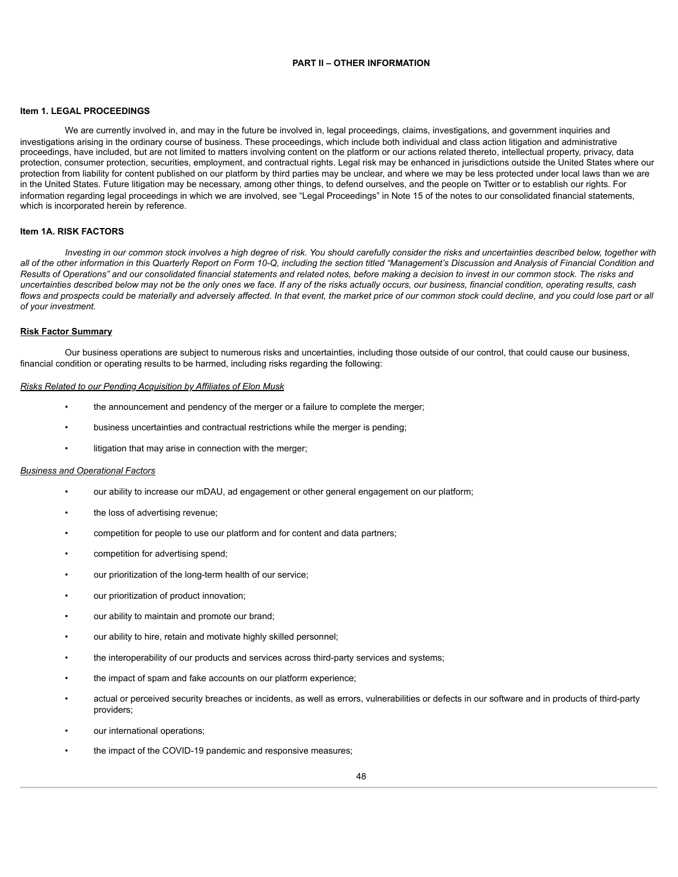# **PART II – OTHER INFORMATION**

#### **Item 1. LEGAL PROCEEDINGS**

We are currently involved in, and may in the future be involved in, legal proceedings, claims, investigations, and government inquiries and investigations arising in the ordinary course of business. These proceedings, which include both individual and class action litigation and administrative proceedings, have included, but are not limited to matters involving content on the platform or our actions related thereto, intellectual property, privacy, data protection, consumer protection, securities, employment, and contractual rights. Legal risk may be enhanced in jurisdictions outside the United States where our protection from liability for content published on our platform by third parties may be unclear, and where we may be less protected under local laws than we are in the United States. Future litigation may be necessary, among other things, to defend ourselves, and the people on Twitter or to establish our rights. For information regarding legal proceedings in which we are involved, see "Legal Proceedings" in Note 15 of the notes to our consolidated financial statements, which is incorporated herein by reference.

### **Item 1A. RISK FACTORS**

*Investing in our common stock involves a high degree of risk. You should carefully consider the risks and uncertainties described below, together with all of the other information in this Quarterly Report on Form 10-Q, including the section titled "Management's Discussion and Analysis of Financial Condition and Results of Operations" and our consolidated financial statements and related notes, before making a decision to invest in our common stock. The risks and uncertainties described below may not be the only ones we face. If any of the risks actually occurs, our business, financial condition, operating results, cash flows and prospects could be materially and adversely affected. In that event, the market price of our common stock could decline, and you could lose part or all of your investment.*

#### **Risk Factor Summary**

Our business operations are subject to numerous risks and uncertainties, including those outside of our control, that could cause our business, financial condition or operating results to be harmed, including risks regarding the following:

#### *Risks Related to our Pending Acquisition by Affiliates of Elon Musk*

- the announcement and pendency of the merger or a failure to complete the merger;
- business uncertainties and contractual restrictions while the merger is pending;
- litigation that may arise in connection with the merger;

#### *Business and Operational Factors*

- our ability to increase our mDAU, ad engagement or other general engagement on our platform;
- the loss of advertising revenue;
- competition for people to use our platform and for content and data partners;
- competition for advertising spend;
- our prioritization of the long-term health of our service;
- our prioritization of product innovation;
- our ability to maintain and promote our brand;
- our ability to hire, retain and motivate highly skilled personnel;
- the interoperability of our products and services across third-party services and systems;
- the impact of spam and fake accounts on our platform experience;
- actual or perceived security breaches or incidents, as well as errors, vulnerabilities or defects in our software and in products of third-party providers;
- our international operations;
- the impact of the COVID-19 pandemic and responsive measures;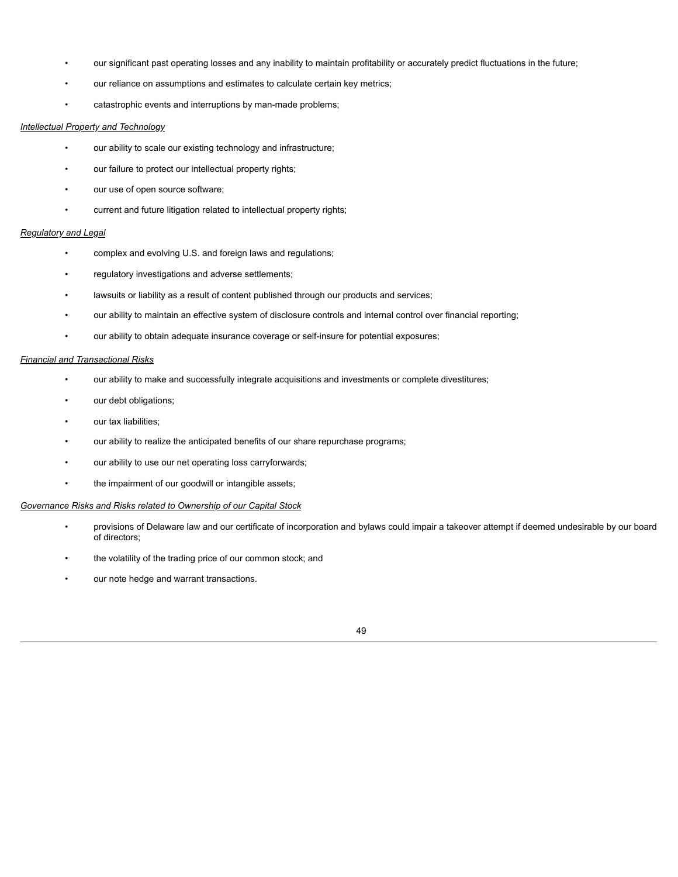- our significant past operating losses and any inability to maintain profitability or accurately predict fluctuations in the future;
- our reliance on assumptions and estimates to calculate certain key metrics;
- catastrophic events and interruptions by man-made problems;

# *Intellectual Property and Technology*

- our ability to scale our existing technology and infrastructure;
- our failure to protect our intellectual property rights;
- our use of open source software;
- current and future litigation related to intellectual property rights;

# *Regulatory and Legal*

- complex and evolving U.S. and foreign laws and regulations;
- regulatory investigations and adverse settlements;
- lawsuits or liability as a result of content published through our products and services;
- our ability to maintain an effective system of disclosure controls and internal control over financial reporting;
- our ability to obtain adequate insurance coverage or self-insure for potential exposures;

# *Financial and Transactional Risks*

- our ability to make and successfully integrate acquisitions and investments or complete divestitures;
- our debt obligations;
- our tax liabilities;
- our ability to realize the anticipated benefits of our share repurchase programs;
- our ability to use our net operating loss carryforwards;
- the impairment of our goodwill or intangible assets;

# *Governance Risks and Risks related to Ownership of our Capital Stock*

- provisions of Delaware law and our certificate of incorporation and bylaws could impair a takeover attempt if deemed undesirable by our board of directors;
- the volatility of the trading price of our common stock; and
- our note hedge and warrant transactions.

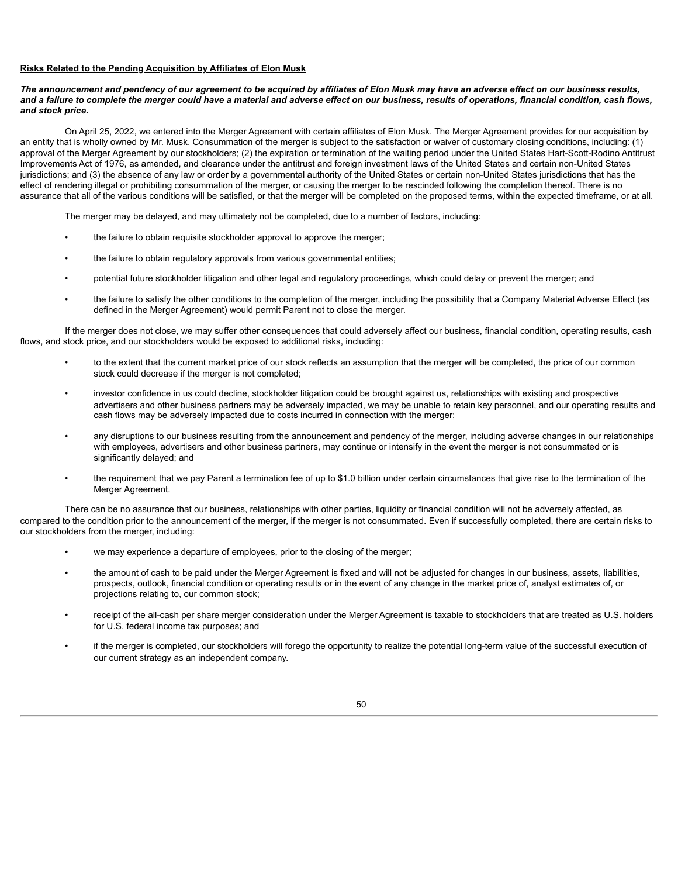# **Risks Related to the Pending Acquisition by Affiliates of Elon Musk**

### *The announcement and pendency of our agreement to be acquired by affiliates of Elon Musk may have an adverse effect on our business results, and a failure to complete the merger could have a material and adverse effect on our business, results of operations, financial condition, cash flows, and stock price.*

On April 25, 2022, we entered into the Merger Agreement with certain affiliates of Elon Musk. The Merger Agreement provides for our acquisition by an entity that is wholly owned by Mr. Musk. Consummation of the merger is subject to the satisfaction or waiver of customary closing conditions, including: (1) approval of the Merger Agreement by our stockholders; (2) the expiration or termination of the waiting period under the United States Hart-Scott-Rodino Antitrust Improvements Act of 1976, as amended, and clearance under the antitrust and foreign investment laws of the United States and certain non-United States jurisdictions; and (3) the absence of any law or order by a governmental authority of the United States or certain non-United States jurisdictions that has the effect of rendering illegal or prohibiting consummation of the merger, or causing the merger to be rescinded following the completion thereof. There is no assurance that all of the various conditions will be satisfied, or that the merger will be completed on the proposed terms, within the expected timeframe, or at all.

The merger may be delayed, and may ultimately not be completed, due to a number of factors, including:

- the failure to obtain requisite stockholder approval to approve the merger;
- the failure to obtain regulatory approvals from various governmental entities;
- potential future stockholder litigation and other legal and regulatory proceedings, which could delay or prevent the merger; and
- the failure to satisfy the other conditions to the completion of the merger, including the possibility that a Company Material Adverse Effect (as defined in the Merger Agreement) would permit Parent not to close the merger.

If the merger does not close, we may suffer other consequences that could adversely affect our business, financial condition, operating results, cash flows, and stock price, and our stockholders would be exposed to additional risks, including:

- to the extent that the current market price of our stock reflects an assumption that the merger will be completed, the price of our common stock could decrease if the merger is not completed;
- investor confidence in us could decline, stockholder litigation could be brought against us, relationships with existing and prospective advertisers and other business partners may be adversely impacted, we may be unable to retain key personnel, and our operating results and cash flows may be adversely impacted due to costs incurred in connection with the merger;
- any disruptions to our business resulting from the announcement and pendency of the merger, including adverse changes in our relationships with employees, advertisers and other business partners, may continue or intensify in the event the merger is not consummated or is significantly delayed; and
- the requirement that we pay Parent a termination fee of up to \$1.0 billion under certain circumstances that give rise to the termination of the Merger Agreement.

There can be no assurance that our business, relationships with other parties, liquidity or financial condition will not be adversely affected, as compared to the condition prior to the announcement of the merger, if the merger is not consummated. Even if successfully completed, there are certain risks to our stockholders from the merger, including:

- we may experience a departure of employees, prior to the closing of the merger;
- the amount of cash to be paid under the Merger Agreement is fixed and will not be adjusted for changes in our business, assets, liabilities, prospects, outlook, financial condition or operating results or in the event of any change in the market price of, analyst estimates of, or projections relating to, our common stock;
- receipt of the all-cash per share merger consideration under the Merger Agreement is taxable to stockholders that are treated as U.S. holders for U.S. federal income tax purposes; and
- if the merger is completed, our stockholders will forego the opportunity to realize the potential long-term value of the successful execution of our current strategy as an independent company.

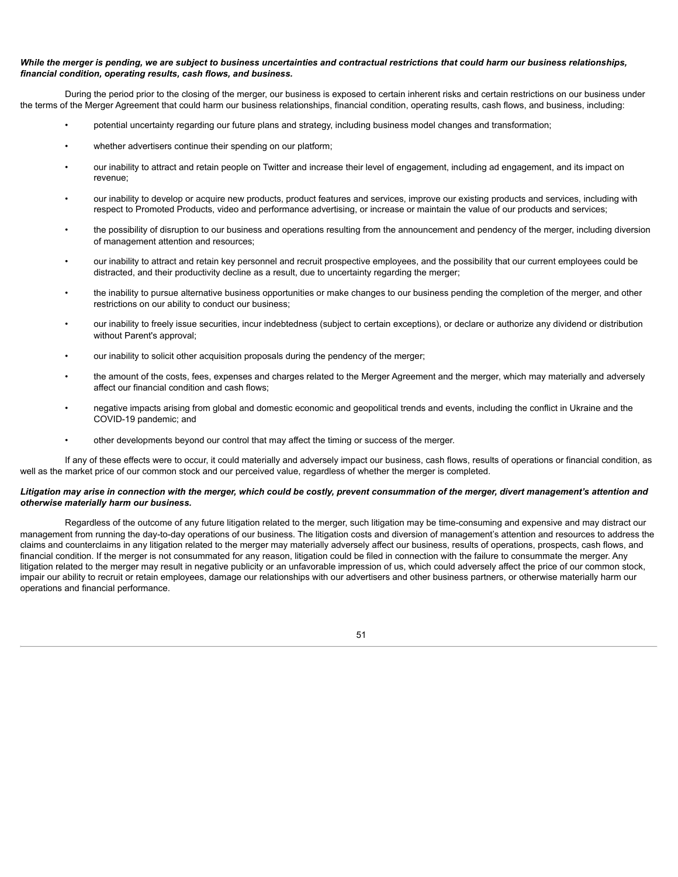# *While the merger is pending, we are subject to business uncertainties and contractual restrictions that could harm our business relationships, financial condition, operating results, cash flows, and business.*

During the period prior to the closing of the merger, our business is exposed to certain inherent risks and certain restrictions on our business under the terms of the Merger Agreement that could harm our business relationships, financial condition, operating results, cash flows, and business, including:

- potential uncertainty regarding our future plans and strategy, including business model changes and transformation;
- whether advertisers continue their spending on our platform;
- our inability to attract and retain people on Twitter and increase their level of engagement, including ad engagement, and its impact on revenue;
- our inability to develop or acquire new products, product features and services, improve our existing products and services, including with respect to Promoted Products, video and performance advertising, or increase or maintain the value of our products and services;
- the possibility of disruption to our business and operations resulting from the announcement and pendency of the merger, including diversion of management attention and resources;
- our inability to attract and retain key personnel and recruit prospective employees, and the possibility that our current employees could be distracted, and their productivity decline as a result, due to uncertainty regarding the merger;
- the inability to pursue alternative business opportunities or make changes to our business pending the completion of the merger, and other restrictions on our ability to conduct our business;
- our inability to freely issue securities, incur indebtedness (subject to certain exceptions), or declare or authorize any dividend or distribution without Parent's approval;
- our inability to solicit other acquisition proposals during the pendency of the merger;
- the amount of the costs, fees, expenses and charges related to the Merger Agreement and the merger, which may materially and adversely affect our financial condition and cash flows;
- negative impacts arising from global and domestic economic and geopolitical trends and events, including the conflict in Ukraine and the COVID-19 pandemic; and
- other developments beyond our control that may affect the timing or success of the merger.

If any of these effects were to occur, it could materially and adversely impact our business, cash flows, results of operations or financial condition, as well as the market price of our common stock and our perceived value, regardless of whether the merger is completed.

# *Litigation may arise in connection with the merger, which could be costly, prevent consummation of the merger, divert management's attention and otherwise materially harm our business.*

Regardless of the outcome of any future litigation related to the merger, such litigation may be time-consuming and expensive and may distract our management from running the day-to-day operations of our business. The litigation costs and diversion of management's attention and resources to address the claims and counterclaims in any litigation related to the merger may materially adversely affect our business, results of operations, prospects, cash flows, and financial condition. If the merger is not consummated for any reason, litigation could be filed in connection with the failure to consummate the merger. Any litigation related to the merger may result in negative publicity or an unfavorable impression of us, which could adversely affect the price of our common stock, impair our ability to recruit or retain employees, damage our relationships with our advertisers and other business partners, or otherwise materially harm our operations and financial performance.

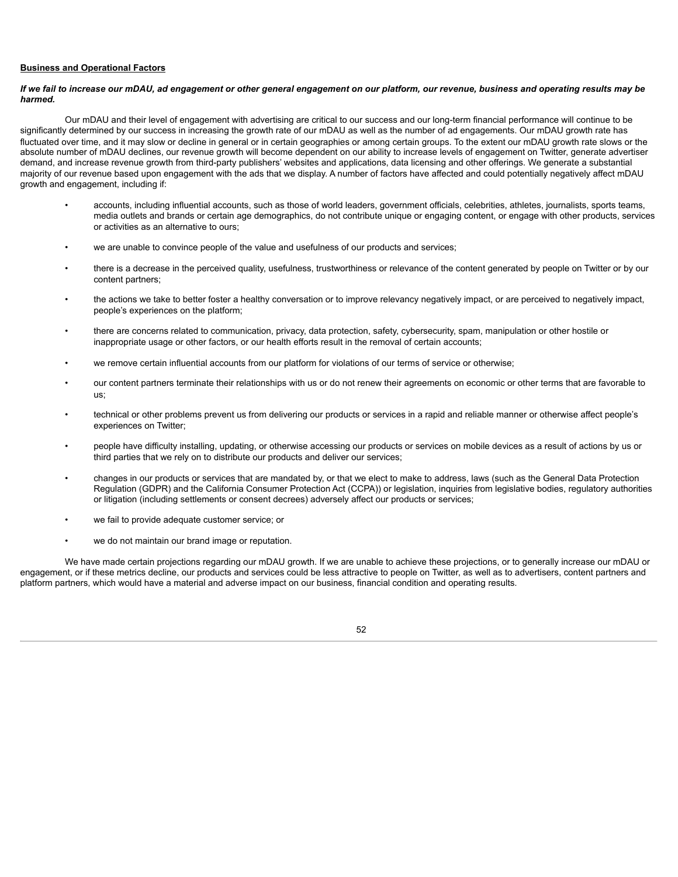# **Business and Operational Factors**

# *If we fail to increase our mDAU, ad engagement or other general engagement on our platform, our revenue, business and operating results may be harmed.*

Our mDAU and their level of engagement with advertising are critical to our success and our long-term financial performance will continue to be significantly determined by our success in increasing the growth rate of our mDAU as well as the number of ad engagements. Our mDAU growth rate has fluctuated over time, and it may slow or decline in general or in certain geographies or among certain groups. To the extent our mDAU growth rate slows or the absolute number of mDAU declines, our revenue growth will become dependent on our ability to increase levels of engagement on Twitter, generate advertiser demand, and increase revenue growth from third-party publishers' websites and applications, data licensing and other offerings. We generate a substantial majority of our revenue based upon engagement with the ads that we display. A number of factors have affected and could potentially negatively affect mDAU growth and engagement, including if:

- accounts, including influential accounts, such as those of world leaders, government officials, celebrities, athletes, journalists, sports teams, media outlets and brands or certain age demographics, do not contribute unique or engaging content, or engage with other products, services or activities as an alternative to ours;
- we are unable to convince people of the value and usefulness of our products and services;
- there is a decrease in the perceived quality, usefulness, trustworthiness or relevance of the content generated by people on Twitter or by our content partners;
- the actions we take to better foster a healthy conversation or to improve relevancy negatively impact, or are perceived to negatively impact, people's experiences on the platform;
- there are concerns related to communication, privacy, data protection, safety, cybersecurity, spam, manipulation or other hostile or inappropriate usage or other factors, or our health efforts result in the removal of certain accounts;
- we remove certain influential accounts from our platform for violations of our terms of service or otherwise;
- our content partners terminate their relationships with us or do not renew their agreements on economic or other terms that are favorable to us;
- technical or other problems prevent us from delivering our products or services in a rapid and reliable manner or otherwise affect people's experiences on Twitter;
- people have difficulty installing, updating, or otherwise accessing our products or services on mobile devices as a result of actions by us or third parties that we rely on to distribute our products and deliver our services;
- changes in our products or services that are mandated by, or that we elect to make to address, laws (such as the General Data Protection Regulation (GDPR) and the California Consumer Protection Act (CCPA)) or legislation, inquiries from legislative bodies, regulatory authorities or litigation (including settlements or consent decrees) adversely affect our products or services;
- we fail to provide adequate customer service; or
- we do not maintain our brand image or reputation.

We have made certain projections regarding our mDAU growth. If we are unable to achieve these projections, or to generally increase our mDAU or engagement, or if these metrics decline, our products and services could be less attractive to people on Twitter, as well as to advertisers, content partners and platform partners, which would have a material and adverse impact on our business, financial condition and operating results.

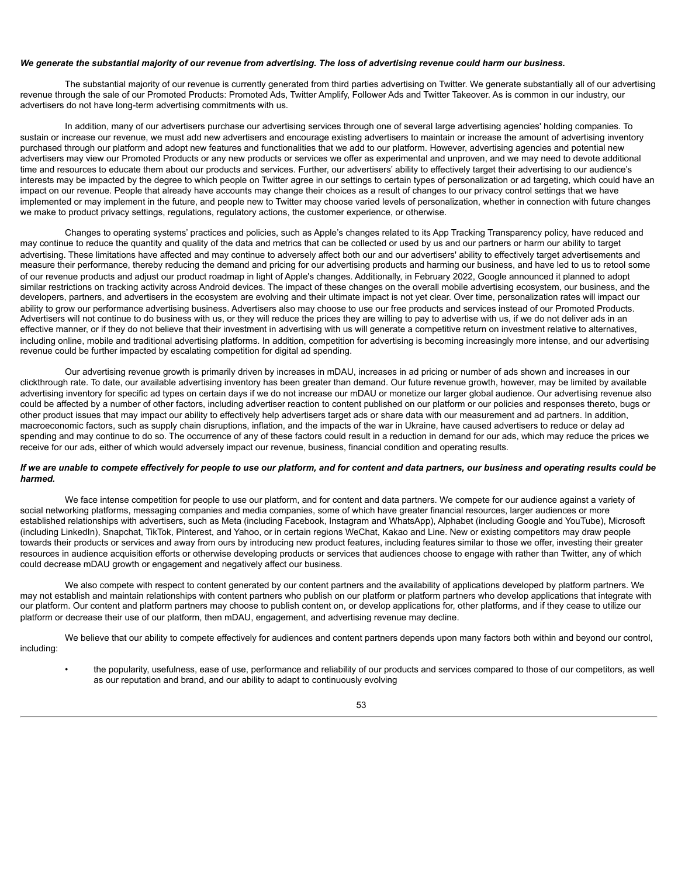#### *We generate the substantial majority of our revenue from advertising. The loss of advertising revenue could harm our business.*

The substantial majority of our revenue is currently generated from third parties advertising on Twitter. We generate substantially all of our advertising revenue through the sale of our Promoted Products: Promoted Ads, Twitter Amplify, Follower Ads and Twitter Takeover. As is common in our industry, our advertisers do not have long-term advertising commitments with us.

In addition, many of our advertisers purchase our advertising services through one of several large advertising agencies' holding companies. To sustain or increase our revenue, we must add new advertisers and encourage existing advertisers to maintain or increase the amount of advertising inventory purchased through our platform and adopt new features and functionalities that we add to our platform. However, advertising agencies and potential new advertisers may view our Promoted Products or any new products or services we offer as experimental and unproven, and we may need to devote additional time and resources to educate them about our products and services. Further, our advertisers' ability to effectively target their advertising to our audience's interests may be impacted by the degree to which people on Twitter agree in our settings to certain types of personalization or ad targeting, which could have an impact on our revenue. People that already have accounts may change their choices as a result of changes to our privacy control settings that we have implemented or may implement in the future, and people new to Twitter may choose varied levels of personalization, whether in connection with future changes we make to product privacy settings, regulations, regulatory actions, the customer experience, or otherwise.

Changes to operating systems' practices and policies, such as Apple's changes related to its App Tracking Transparency policy, have reduced and may continue to reduce the quantity and quality of the data and metrics that can be collected or used by us and our partners or harm our ability to target advertising. These limitations have affected and may continue to adversely affect both our and our advertisers' ability to effectively target advertisements and measure their performance, thereby reducing the demand and pricing for our advertising products and harming our business, and have led to us to retool some of our revenue products and adjust our product roadmap in light of Apple's changes. Additionally, in February 2022, Google announced it planned to adopt similar restrictions on tracking activity across Android devices. The impact of these changes on the overall mobile advertising ecosystem, our business, and the developers, partners, and advertisers in the ecosystem are evolving and their ultimate impact is not yet clear. Over time, personalization rates will impact our ability to grow our performance advertising business. Advertisers also may choose to use our free products and services instead of our Promoted Products. Advertisers will not continue to do business with us, or they will reduce the prices they are willing to pay to advertise with us, if we do not deliver ads in an effective manner, or if they do not believe that their investment in advertising with us will generate a competitive return on investment relative to alternatives, including online, mobile and traditional advertising platforms. In addition, competition for advertising is becoming increasingly more intense, and our advertising revenue could be further impacted by escalating competition for digital ad spending.

Our advertising revenue growth is primarily driven by increases in mDAU, increases in ad pricing or number of ads shown and increases in our clickthrough rate. To date, our available advertising inventory has been greater than demand. Our future revenue growth, however, may be limited by available advertising inventory for specific ad types on certain days if we do not increase our mDAU or monetize our larger global audience. Our advertising revenue also could be affected by a number of other factors, including advertiser reaction to content published on our platform or our policies and responses thereto, bugs or other product issues that may impact our ability to effectively help advertisers target ads or share data with our measurement and ad partners. In addition, macroeconomic factors, such as supply chain disruptions, inflation, and the impacts of the war in Ukraine, have caused advertisers to reduce or delay ad spending and may continue to do so. The occurrence of any of these factors could result in a reduction in demand for our ads, which may reduce the prices we receive for our ads, either of which would adversely impact our revenue, business, financial condition and operating results.

# *If we are unable to compete effectively for people to use our platform, and for content and data partners, our business and operating results could be harmed.*

We face intense competition for people to use our platform, and for content and data partners. We compete for our audience against a variety of social networking platforms, messaging companies and media companies, some of which have greater financial resources, larger audiences or more established relationships with advertisers, such as Meta (including Facebook, Instagram and WhatsApp), Alphabet (including Google and YouTube), Microsoft (including LinkedIn), Snapchat, TikTok, Pinterest, and Yahoo, or in certain regions WeChat, Kakao and Line. New or existing competitors may draw people towards their products or services and away from ours by introducing new product features, including features similar to those we offer, investing their greater resources in audience acquisition efforts or otherwise developing products or services that audiences choose to engage with rather than Twitter, any of which could decrease mDAU growth or engagement and negatively affect our business.

We also compete with respect to content generated by our content partners and the availability of applications developed by platform partners. We may not establish and maintain relationships with content partners who publish on our platform or platform partners who develop applications that integrate with our platform. Our content and platform partners may choose to publish content on, or develop applications for, other platforms, and if they cease to utilize our platform or decrease their use of our platform, then mDAU, engagement, and advertising revenue may decline.

We believe that our ability to compete effectively for audiences and content partners depends upon many factors both within and beyond our control, including:

• the popularity, usefulness, ease of use, performance and reliability of our products and services compared to those of our competitors, as well as our reputation and brand, and our ability to adapt to continuously evolving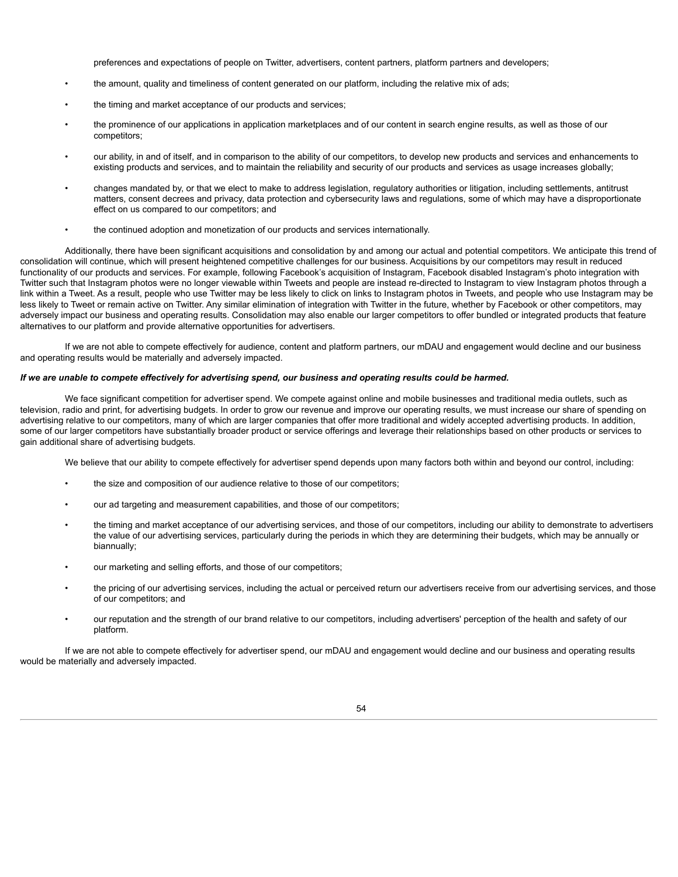preferences and expectations of people on Twitter, advertisers, content partners, platform partners and developers;

- the amount, quality and timeliness of content generated on our platform, including the relative mix of ads;
- the timing and market acceptance of our products and services;
- the prominence of our applications in application marketplaces and of our content in search engine results, as well as those of our competitors;
- our ability, in and of itself, and in comparison to the ability of our competitors, to develop new products and services and enhancements to existing products and services, and to maintain the reliability and security of our products and services as usage increases globally;
- changes mandated by, or that we elect to make to address legislation, regulatory authorities or litigation, including settlements, antitrust matters, consent decrees and privacy, data protection and cybersecurity laws and regulations, some of which may have a disproportionate effect on us compared to our competitors; and
- the continued adoption and monetization of our products and services internationally.

Additionally, there have been significant acquisitions and consolidation by and among our actual and potential competitors. We anticipate this trend of consolidation will continue, which will present heightened competitive challenges for our business. Acquisitions by our competitors may result in reduced functionality of our products and services. For example, following Facebook's acquisition of Instagram, Facebook disabled Instagram's photo integration with Twitter such that Instagram photos were no longer viewable within Tweets and people are instead re-directed to Instagram to view Instagram photos through a link within a Tweet. As a result, people who use Twitter may be less likely to click on links to Instagram photos in Tweets, and people who use Instagram may be less likely to Tweet or remain active on Twitter. Any similar elimination of integration with Twitter in the future, whether by Facebook or other competitors, may adversely impact our business and operating results. Consolidation may also enable our larger competitors to offer bundled or integrated products that feature alternatives to our platform and provide alternative opportunities for advertisers.

If we are not able to compete effectively for audience, content and platform partners, our mDAU and engagement would decline and our business and operating results would be materially and adversely impacted.

# *If we are unable to compete effectively for advertising spend, our business and operating results could be harmed.*

We face significant competition for advertiser spend. We compete against online and mobile businesses and traditional media outlets, such as television, radio and print, for advertising budgets. In order to grow our revenue and improve our operating results, we must increase our share of spending on advertising relative to our competitors, many of which are larger companies that offer more traditional and widely accepted advertising products. In addition, some of our larger competitors have substantially broader product or service offerings and leverage their relationships based on other products or services to gain additional share of advertising budgets.

We believe that our ability to compete effectively for advertiser spend depends upon many factors both within and beyond our control, including:

- the size and composition of our audience relative to those of our competitors;
- our ad targeting and measurement capabilities, and those of our competitors;
- the timing and market acceptance of our advertising services, and those of our competitors, including our ability to demonstrate to advertisers the value of our advertising services, particularly during the periods in which they are determining their budgets, which may be annually or biannually;
- our marketing and selling efforts, and those of our competitors;
- the pricing of our advertising services, including the actual or perceived return our advertisers receive from our advertising services, and those of our competitors; and
- our reputation and the strength of our brand relative to our competitors, including advertisers' perception of the health and safety of our platform.

If we are not able to compete effectively for advertiser spend, our mDAU and engagement would decline and our business and operating results would be materially and adversely impacted.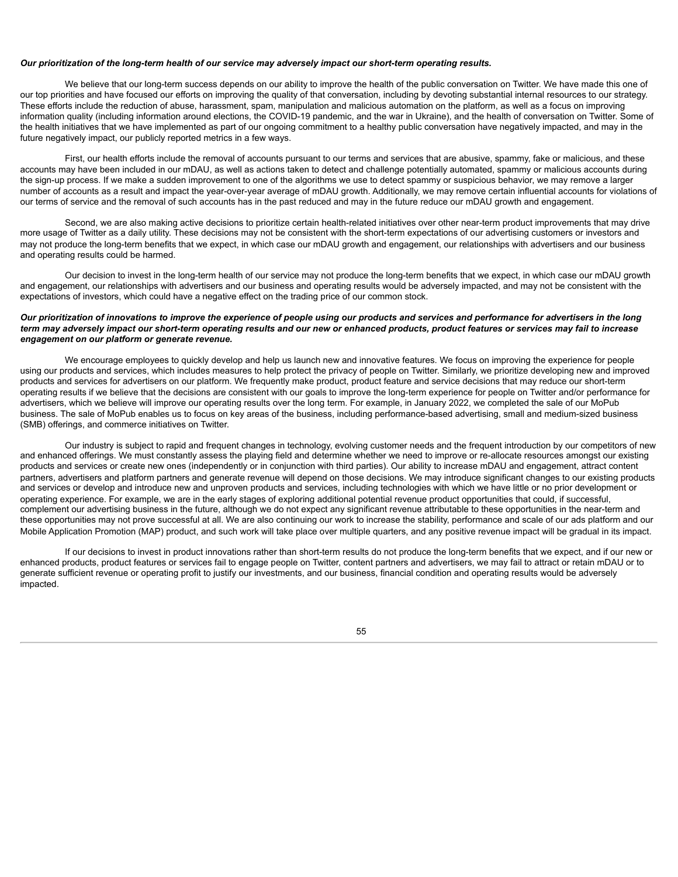#### *Our prioritization of the long-term health of our service may adversely impact our short-term operating results.*

We believe that our long-term success depends on our ability to improve the health of the public conversation on Twitter. We have made this one of our top priorities and have focused our efforts on improving the quality of that conversation, including by devoting substantial internal resources to our strategy. These efforts include the reduction of abuse, harassment, spam, manipulation and malicious automation on the platform, as well as a focus on improving information quality (including information around elections, the COVID-19 pandemic, and the war in Ukraine), and the health of conversation on Twitter. Some of the health initiatives that we have implemented as part of our ongoing commitment to a healthy public conversation have negatively impacted, and may in the future negatively impact, our publicly reported metrics in a few ways.

First, our health efforts include the removal of accounts pursuant to our terms and services that are abusive, spammy, fake or malicious, and these accounts may have been included in our mDAU, as well as actions taken to detect and challenge potentially automated, spammy or malicious accounts during the sign-up process. If we make a sudden improvement to one of the algorithms we use to detect spammy or suspicious behavior, we may remove a larger number of accounts as a result and impact the year-over-year average of mDAU growth. Additionally, we may remove certain influential accounts for violations of our terms of service and the removal of such accounts has in the past reduced and may in the future reduce our mDAU growth and engagement.

Second, we are also making active decisions to prioritize certain health-related initiatives over other near-term product improvements that may drive more usage of Twitter as a daily utility. These decisions may not be consistent with the short-term expectations of our advertising customers or investors and may not produce the long-term benefits that we expect, in which case our mDAU growth and engagement, our relationships with advertisers and our business and operating results could be harmed.

Our decision to invest in the long-term health of our service may not produce the long-term benefits that we expect, in which case our mDAU growth and engagement, our relationships with advertisers and our business and operating results would be adversely impacted, and may not be consistent with the expectations of investors, which could have a negative effect on the trading price of our common stock.

# *Our prioritization of innovations to improve the experience of people using our products and services and performance for advertisers in the long term may adversely impact our short-term operating results and our new or enhanced products, product features or services may fail to increase engagement on our platform or generate revenue.*

We encourage employees to quickly develop and help us launch new and innovative features. We focus on improving the experience for people using our products and services, which includes measures to help protect the privacy of people on Twitter. Similarly, we prioritize developing new and improved products and services for advertisers on our platform. We frequently make product, product feature and service decisions that may reduce our short-term operating results if we believe that the decisions are consistent with our goals to improve the long-term experience for people on Twitter and/or performance for advertisers, which we believe will improve our operating results over the long term. For example, in January 2022, we completed the sale of our MoPub business. The sale of MoPub enables us to focus on key areas of the business, including performance-based advertising, small and medium-sized business (SMB) offerings, and commerce initiatives on Twitter.

Our industry is subject to rapid and frequent changes in technology, evolving customer needs and the frequent introduction by our competitors of new and enhanced offerings. We must constantly assess the playing field and determine whether we need to improve or re-allocate resources amongst our existing products and services or create new ones (independently or in conjunction with third parties). Our ability to increase mDAU and engagement, attract content partners, advertisers and platform partners and generate revenue will depend on those decisions. We may introduce significant changes to our existing products and services or develop and introduce new and unproven products and services, including technologies with which we have little or no prior development or operating experience. For example, we are in the early stages of exploring additional potential revenue product opportunities that could, if successful, complement our advertising business in the future, although we do not expect any significant revenue attributable to these opportunities in the near-term and these opportunities may not prove successful at all. We are also continuing our work to increase the stability, performance and scale of our ads platform and our Mobile Application Promotion (MAP) product, and such work will take place over multiple quarters, and any positive revenue impact will be gradual in its impact.

If our decisions to invest in product innovations rather than short-term results do not produce the long-term benefits that we expect, and if our new or enhanced products, product features or services fail to engage people on Twitter, content partners and advertisers, we may fail to attract or retain mDAU or to generate sufficient revenue or operating profit to justify our investments, and our business, financial condition and operating results would be adversely impacted.

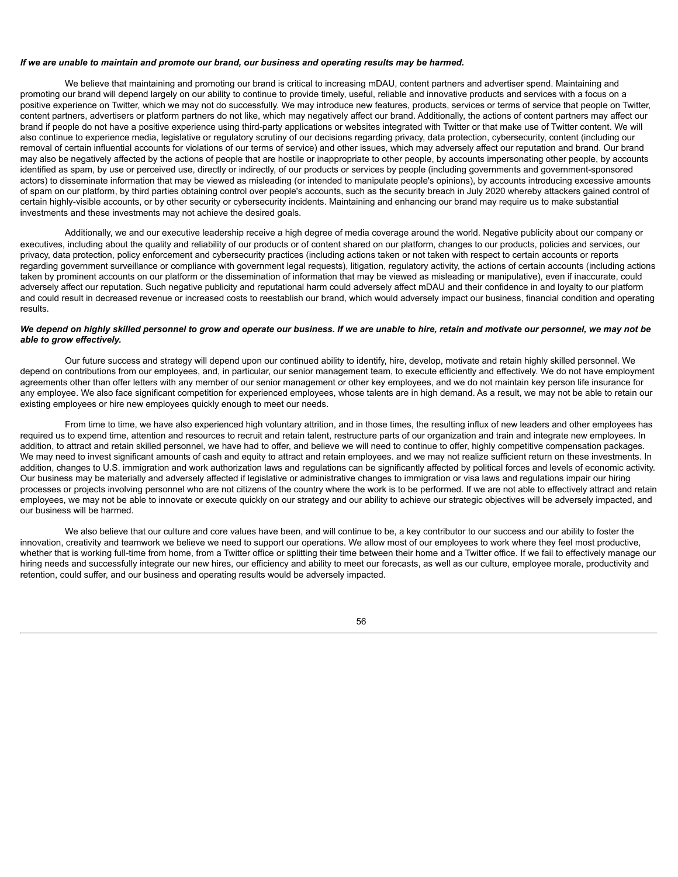# *If we are unable to maintain and promote our brand, our business and operating results may be harmed.*

We believe that maintaining and promoting our brand is critical to increasing mDAU, content partners and advertiser spend. Maintaining and promoting our brand will depend largely on our ability to continue to provide timely, useful, reliable and innovative products and services with a focus on a positive experience on Twitter, which we may not do successfully. We may introduce new features, products, services or terms of service that people on Twitter, content partners, advertisers or platform partners do not like, which may negatively affect our brand. Additionally, the actions of content partners may affect our brand if people do not have a positive experience using third-party applications or websites integrated with Twitter or that make use of Twitter content. We will also continue to experience media, legislative or regulatory scrutiny of our decisions regarding privacy, data protection, cybersecurity, content (including our removal of certain influential accounts for violations of our terms of service) and other issues, which may adversely affect our reputation and brand. Our brand may also be negatively affected by the actions of people that are hostile or inappropriate to other people, by accounts impersonating other people, by accounts identified as spam, by use or perceived use, directly or indirectly, of our products or services by people (including governments and government-sponsored actors) to disseminate information that may be viewed as misleading (or intended to manipulate people's opinions), by accounts introducing excessive amounts of spam on our platform, by third parties obtaining control over people's accounts, such as the security breach in July 2020 whereby attackers gained control of certain highly-visible accounts, or by other security or cybersecurity incidents. Maintaining and enhancing our brand may require us to make substantial investments and these investments may not achieve the desired goals.

Additionally, we and our executive leadership receive a high degree of media coverage around the world. Negative publicity about our company or executives, including about the quality and reliability of our products or of content shared on our platform, changes to our products, policies and services, our privacy, data protection, policy enforcement and cybersecurity practices (including actions taken or not taken with respect to certain accounts or reports regarding government surveillance or compliance with government legal requests), litigation, regulatory activity, the actions of certain accounts (including actions taken by prominent accounts on our platform or the dissemination of information that may be viewed as misleading or manipulative), even if inaccurate, could adversely affect our reputation. Such negative publicity and reputational harm could adversely affect mDAU and their confidence in and loyalty to our platform and could result in decreased revenue or increased costs to reestablish our brand, which would adversely impact our business, financial condition and operating results.

### *We depend on highly skilled personnel to grow and operate our business. If we are unable to hire, retain and motivate our personnel, we may not be able to grow effectively.*

Our future success and strategy will depend upon our continued ability to identify, hire, develop, motivate and retain highly skilled personnel. We depend on contributions from our employees, and, in particular, our senior management team, to execute efficiently and effectively. We do not have employment agreements other than offer letters with any member of our senior management or other key employees, and we do not maintain key person life insurance for any employee. We also face significant competition for experienced employees, whose talents are in high demand. As a result, we may not be able to retain our existing employees or hire new employees quickly enough to meet our needs.

From time to time, we have also experienced high voluntary attrition, and in those times, the resulting influx of new leaders and other employees has required us to expend time, attention and resources to recruit and retain talent, restructure parts of our organization and train and integrate new employees. In addition, to attract and retain skilled personnel, we have had to offer, and believe we will need to continue to offer, highly competitive compensation packages. We may need to invest significant amounts of cash and equity to attract and retain employees. and we may not realize sufficient return on these investments. In addition, changes to U.S. immigration and work authorization laws and regulations can be significantly affected by political forces and levels of economic activity. Our business may be materially and adversely affected if legislative or administrative changes to immigration or visa laws and regulations impair our hiring processes or projects involving personnel who are not citizens of the country where the work is to be performed. If we are not able to effectively attract and retain employees, we may not be able to innovate or execute quickly on our strategy and our ability to achieve our strategic objectives will be adversely impacted, and our business will be harmed.

We also believe that our culture and core values have been, and will continue to be, a key contributor to our success and our ability to foster the innovation, creativity and teamwork we believe we need to support our operations. We allow most of our employees to work where they feel most productive, whether that is working full-time from home, from a Twitter office or splitting their time between their home and a Twitter office. If we fail to effectively manage our hiring needs and successfully integrate our new hires, our efficiency and ability to meet our forecasts, as well as our culture, employee morale, productivity and retention, could suffer, and our business and operating results would be adversely impacted.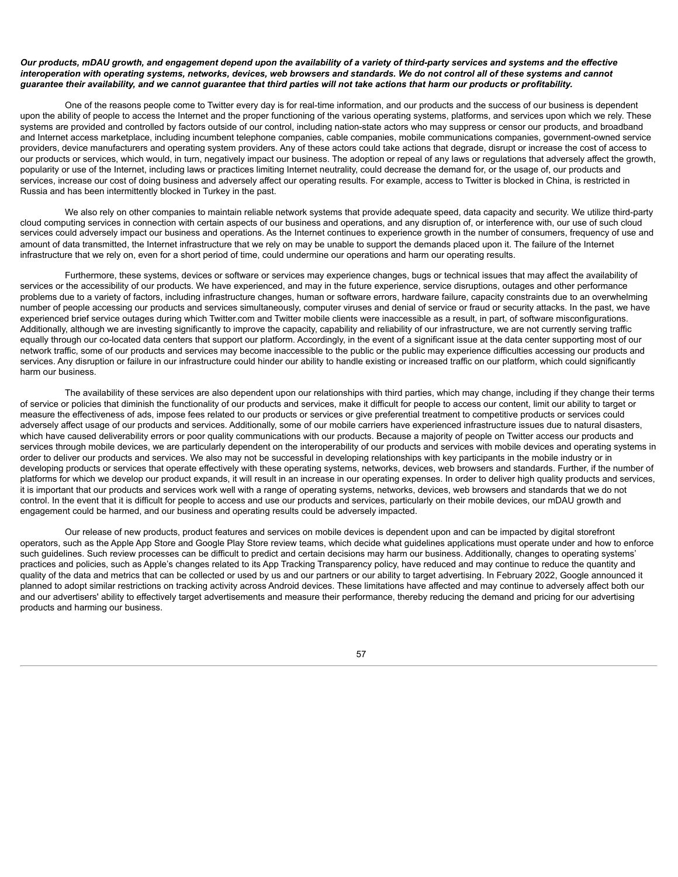# *Our products, mDAU growth, and engagement depend upon the availability of a variety of third-party services and systems and the effective interoperation with operating systems, networks, devices, web browsers and standards. We do not control all of these systems and cannot guarantee their availability, and we cannot guarantee that third parties will not take actions that harm our products or profitability.*

One of the reasons people come to Twitter every day is for real-time information, and our products and the success of our business is dependent upon the ability of people to access the Internet and the proper functioning of the various operating systems, platforms, and services upon which we rely. These systems are provided and controlled by factors outside of our control, including nation-state actors who may suppress or censor our products, and broadband and Internet access marketplace, including incumbent telephone companies, cable companies, mobile communications companies, government-owned service providers, device manufacturers and operating system providers. Any of these actors could take actions that degrade, disrupt or increase the cost of access to our products or services, which would, in turn, negatively impact our business. The adoption or repeal of any laws or regulations that adversely affect the growth, popularity or use of the Internet, including laws or practices limiting Internet neutrality, could decrease the demand for, or the usage of, our products and services, increase our cost of doing business and adversely affect our operating results. For example, access to Twitter is blocked in China, is restricted in Russia and has been intermittently blocked in Turkey in the past.

We also rely on other companies to maintain reliable network systems that provide adequate speed, data capacity and security. We utilize third-party cloud computing services in connection with certain aspects of our business and operations, and any disruption of, or interference with, our use of such cloud services could adversely impact our business and operations. As the Internet continues to experience growth in the number of consumers, frequency of use and amount of data transmitted, the Internet infrastructure that we rely on may be unable to support the demands placed upon it. The failure of the Internet infrastructure that we rely on, even for a short period of time, could undermine our operations and harm our operating results.

Furthermore, these systems, devices or software or services may experience changes, bugs or technical issues that may affect the availability of services or the accessibility of our products. We have experienced, and may in the future experience, service disruptions, outages and other performance problems due to a variety of factors, including infrastructure changes, human or software errors, hardware failure, capacity constraints due to an overwhelming number of people accessing our products and services simultaneously, computer viruses and denial of service or fraud or security attacks. In the past, we have experienced brief service outages during which Twitter.com and Twitter mobile clients were inaccessible as a result, in part, of software misconfigurations. Additionally, although we are investing significantly to improve the capacity, capability and reliability of our infrastructure, we are not currently serving traffic equally through our co-located data centers that support our platform. Accordingly, in the event of a significant issue at the data center supporting most of our network traffic, some of our products and services may become inaccessible to the public or the public may experience difficulties accessing our products and services. Any disruption or failure in our infrastructure could hinder our ability to handle existing or increased traffic on our platform, which could significantly harm our business.

The availability of these services are also dependent upon our relationships with third parties, which may change, including if they change their terms of service or policies that diminish the functionality of our products and services, make it difficult for people to access our content, limit our ability to target or measure the effectiveness of ads, impose fees related to our products or services or give preferential treatment to competitive products or services could adversely affect usage of our products and services. Additionally, some of our mobile carriers have experienced infrastructure issues due to natural disasters, which have caused deliverability errors or poor quality communications with our products. Because a majority of people on Twitter access our products and services through mobile devices, we are particularly dependent on the interoperability of our products and services with mobile devices and operating systems in order to deliver our products and services. We also may not be successful in developing relationships with key participants in the mobile industry or in developing products or services that operate effectively with these operating systems, networks, devices, web browsers and standards. Further, if the number of platforms for which we develop our product expands, it will result in an increase in our operating expenses. In order to deliver high quality products and services, it is important that our products and services work well with a range of operating systems, networks, devices, web browsers and standards that we do not control. In the event that it is difficult for people to access and use our products and services, particularly on their mobile devices, our mDAU growth and engagement could be harmed, and our business and operating results could be adversely impacted.

Our release of new products, product features and services on mobile devices is dependent upon and can be impacted by digital storefront operators, such as the Apple App Store and Google Play Store review teams, which decide what guidelines applications must operate under and how to enforce such guidelines. Such review processes can be difficult to predict and certain decisions may harm our business. Additionally, changes to operating systems' practices and policies, such as Apple's changes related to its App Tracking Transparency policy, have reduced and may continue to reduce the quantity and quality of the data and metrics that can be collected or used by us and our partners or our ability to target advertising. In February 2022, Google announced it planned to adopt similar restrictions on tracking activity across Android devices. These limitations have affected and may continue to adversely affect both our and our advertisers' ability to effectively target advertisements and measure their performance, thereby reducing the demand and pricing for our advertising products and harming our business.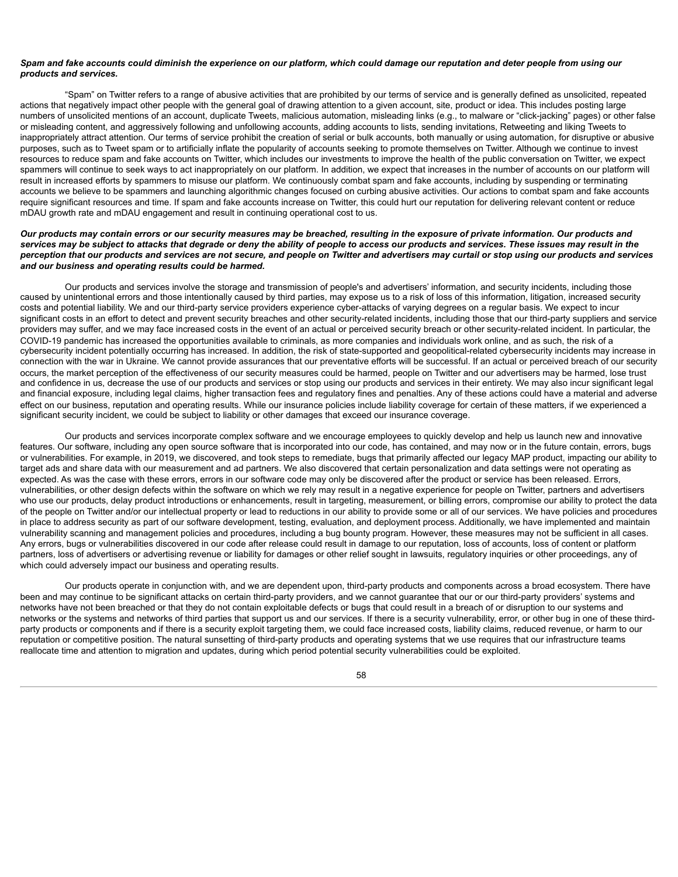#### *Spam and fake accounts could diminish the experience on our platform, which could damage our reputation and deter people from using our products and services.*

"Spam" on Twitter refers to a range of abusive activities that are prohibited by our terms of service and is generally defined as unsolicited, repeated actions that negatively impact other people with the general goal of drawing attention to a given account, site, product or idea. This includes posting large numbers of unsolicited mentions of an account, duplicate Tweets, malicious automation, misleading links (e.g., to malware or "click-jacking" pages) or other false or misleading content, and aggressively following and unfollowing accounts, adding accounts to lists, sending invitations, Retweeting and liking Tweets to inappropriately attract attention. Our terms of service prohibit the creation of serial or bulk accounts, both manually or using automation, for disruptive or abusive purposes, such as to Tweet spam or to artificially inflate the popularity of accounts seeking to promote themselves on Twitter. Although we continue to invest resources to reduce spam and fake accounts on Twitter, which includes our investments to improve the health of the public conversation on Twitter, we expect spammers will continue to seek ways to act inappropriately on our platform. In addition, we expect that increases in the number of accounts on our platform will result in increased efforts by spammers to misuse our platform. We continuously combat spam and fake accounts, including by suspending or terminating accounts we believe to be spammers and launching algorithmic changes focused on curbing abusive activities. Our actions to combat spam and fake accounts require significant resources and time. If spam and fake accounts increase on Twitter, this could hurt our reputation for delivering relevant content or reduce mDAU growth rate and mDAU engagement and result in continuing operational cost to us.

### *Our products may contain errors or our security measures may be breached, resulting in the exposure of private information. Our products and services may be subject to attacks that degrade or deny the ability of people to access our products and services. These issues may result in the perception that our products and services are not secure, and people on Twitter and advertisers may curtail or stop using our products and services and our business and operating results could be harmed.*

Our products and services involve the storage and transmission of people's and advertisers' information, and security incidents, including those caused by unintentional errors and those intentionally caused by third parties, may expose us to a risk of loss of this information, litigation, increased security costs and potential liability. We and our third-party service providers experience cyber-attacks of varying degrees on a regular basis. We expect to incur significant costs in an effort to detect and prevent security breaches and other security-related incidents, including those that our third-party suppliers and service providers may suffer, and we may face increased costs in the event of an actual or perceived security breach or other security-related incident. In particular, the COVID-19 pandemic has increased the opportunities available to criminals, as more companies and individuals work online, and as such, the risk of a cybersecurity incident potentially occurring has increased. In addition, the risk of state-supported and geopolitical-related cybersecurity incidents may increase in connection with the war in Ukraine. We cannot provide assurances that our preventative efforts will be successful. If an actual or perceived breach of our security occurs, the market perception of the effectiveness of our security measures could be harmed, people on Twitter and our advertisers may be harmed, lose trust and confidence in us, decrease the use of our products and services or stop using our products and services in their entirety. We may also incur significant legal and financial exposure, including legal claims, higher transaction fees and regulatory fines and penalties. Any of these actions could have a material and adverse effect on our business, reputation and operating results. While our insurance policies include liability coverage for certain of these matters, if we experienced a significant security incident, we could be subject to liability or other damages that exceed our insurance coverage.

Our products and services incorporate complex software and we encourage employees to quickly develop and help us launch new and innovative features. Our software, including any open source software that is incorporated into our code, has contained, and may now or in the future contain, errors, bugs or vulnerabilities. For example, in 2019, we discovered, and took steps to remediate, bugs that primarily affected our legacy MAP product, impacting our ability to target ads and share data with our measurement and ad partners. We also discovered that certain personalization and data settings were not operating as expected. As was the case with these errors, errors in our software code may only be discovered after the product or service has been released. Errors, vulnerabilities, or other design defects within the software on which we rely may result in a negative experience for people on Twitter, partners and advertisers who use our products, delay product introductions or enhancements, result in targeting, measurement, or billing errors, compromise our ability to protect the data of the people on Twitter and/or our intellectual property or lead to reductions in our ability to provide some or all of our services. We have policies and procedures in place to address security as part of our software development, testing, evaluation, and deployment process. Additionally, we have implemented and maintain vulnerability scanning and management policies and procedures, including a bug bounty program. However, these measures may not be sufficient in all cases. Any errors, bugs or vulnerabilities discovered in our code after release could result in damage to our reputation, loss of accounts, loss of content or platform partners, loss of advertisers or advertising revenue or liability for damages or other relief sought in lawsuits, regulatory inquiries or other proceedings, any of which could adversely impact our business and operating results.

Our products operate in conjunction with, and we are dependent upon, third-party products and components across a broad ecosystem. There have been and may continue to be significant attacks on certain third-party providers, and we cannot guarantee that our or our third-party providers' systems and networks have not been breached or that they do not contain exploitable defects or bugs that could result in a breach of or disruption to our systems and networks or the systems and networks of third parties that support us and our services. If there is a security vulnerability, error, or other bug in one of these thirdparty products or components and if there is a security exploit targeting them, we could face increased costs, liability claims, reduced revenue, or harm to our reputation or competitive position. The natural sunsetting of third-party products and operating systems that we use requires that our infrastructure teams reallocate time and attention to migration and updates, during which period potential security vulnerabilities could be exploited.

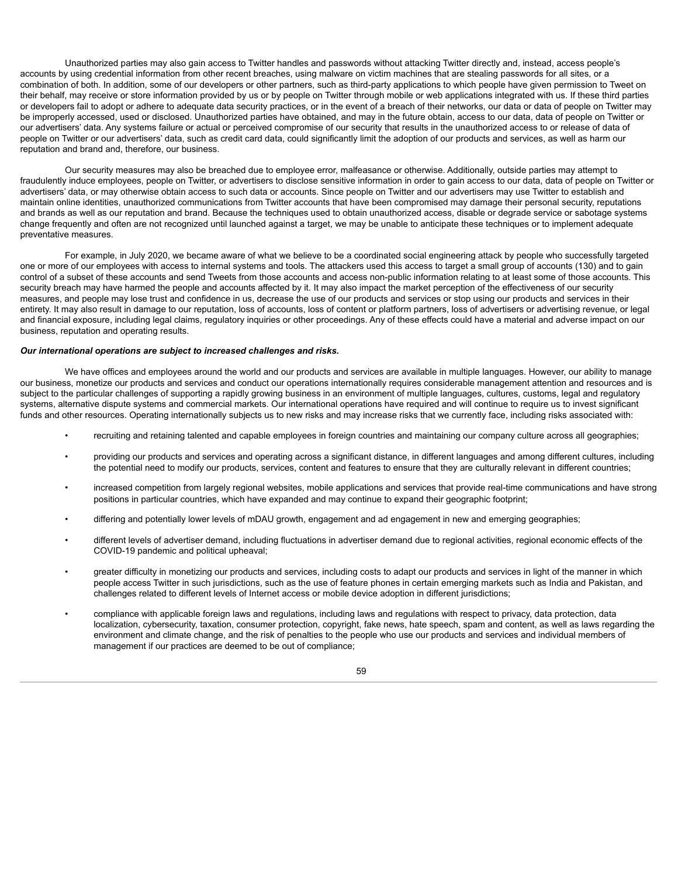Unauthorized parties may also gain access to Twitter handles and passwords without attacking Twitter directly and, instead, access people's accounts by using credential information from other recent breaches, using malware on victim machines that are stealing passwords for all sites, or a combination of both. In addition, some of our developers or other partners, such as third-party applications to which people have given permission to Tweet on their behalf, may receive or store information provided by us or by people on Twitter through mobile or web applications integrated with us. If these third parties or developers fail to adopt or adhere to adequate data security practices, or in the event of a breach of their networks, our data or data of people on Twitter may be improperly accessed, used or disclosed. Unauthorized parties have obtained, and may in the future obtain, access to our data, data of people on Twitter or our advertisers' data. Any systems failure or actual or perceived compromise of our security that results in the unauthorized access to or release of data of people on Twitter or our advertisers' data, such as credit card data, could significantly limit the adoption of our products and services, as well as harm our reputation and brand and, therefore, our business.

Our security measures may also be breached due to employee error, malfeasance or otherwise. Additionally, outside parties may attempt to fraudulently induce employees, people on Twitter, or advertisers to disclose sensitive information in order to gain access to our data, data of people on Twitter or advertisers' data, or may otherwise obtain access to such data or accounts. Since people on Twitter and our advertisers may use Twitter to establish and maintain online identities, unauthorized communications from Twitter accounts that have been compromised may damage their personal security, reputations and brands as well as our reputation and brand. Because the techniques used to obtain unauthorized access, disable or degrade service or sabotage systems change frequently and often are not recognized until launched against a target, we may be unable to anticipate these techniques or to implement adequate preventative measures.

For example, in July 2020, we became aware of what we believe to be a coordinated social engineering attack by people who successfully targeted one or more of our employees with access to internal systems and tools. The attackers used this access to target a small group of accounts (130) and to gain control of a subset of these accounts and send Tweets from those accounts and access non-public information relating to at least some of those accounts. This security breach may have harmed the people and accounts affected by it. It may also impact the market perception of the effectiveness of our security measures, and people may lose trust and confidence in us, decrease the use of our products and services or stop using our products and services in their entirety. It may also result in damage to our reputation, loss of accounts, loss of content or platform partners, loss of advertisers or advertising revenue, or legal and financial exposure, including legal claims, regulatory inquiries or other proceedings. Any of these effects could have a material and adverse impact on our business, reputation and operating results.

#### *Our international operations are subject to increased challenges and risks.*

We have offices and employees around the world and our products and services are available in multiple languages. However, our ability to manage our business, monetize our products and services and conduct our operations internationally requires considerable management attention and resources and is subject to the particular challenges of supporting a rapidly growing business in an environment of multiple languages, cultures, customs, legal and regulatory systems, alternative dispute systems and commercial markets. Our international operations have required and will continue to require us to invest significant funds and other resources. Operating internationally subjects us to new risks and may increase risks that we currently face, including risks associated with:

- recruiting and retaining talented and capable employees in foreign countries and maintaining our company culture across all geographies;
- providing our products and services and operating across a significant distance, in different languages and among different cultures, including the potential need to modify our products, services, content and features to ensure that they are culturally relevant in different countries;
- increased competition from largely regional websites, mobile applications and services that provide real-time communications and have strong positions in particular countries, which have expanded and may continue to expand their geographic footprint;
- differing and potentially lower levels of mDAU growth, engagement and ad engagement in new and emerging geographies;
- different levels of advertiser demand, including fluctuations in advertiser demand due to regional activities, regional economic effects of the COVID-19 pandemic and political upheaval;
- greater difficulty in monetizing our products and services, including costs to adapt our products and services in light of the manner in which people access Twitter in such jurisdictions, such as the use of feature phones in certain emerging markets such as India and Pakistan, and challenges related to different levels of Internet access or mobile device adoption in different jurisdictions;
- compliance with applicable foreign laws and regulations, including laws and regulations with respect to privacy, data protection, data localization, cybersecurity, taxation, consumer protection, copyright, fake news, hate speech, spam and content, as well as laws regarding the environment and climate change, and the risk of penalties to the people who use our products and services and individual members of management if our practices are deemed to be out of compliance;

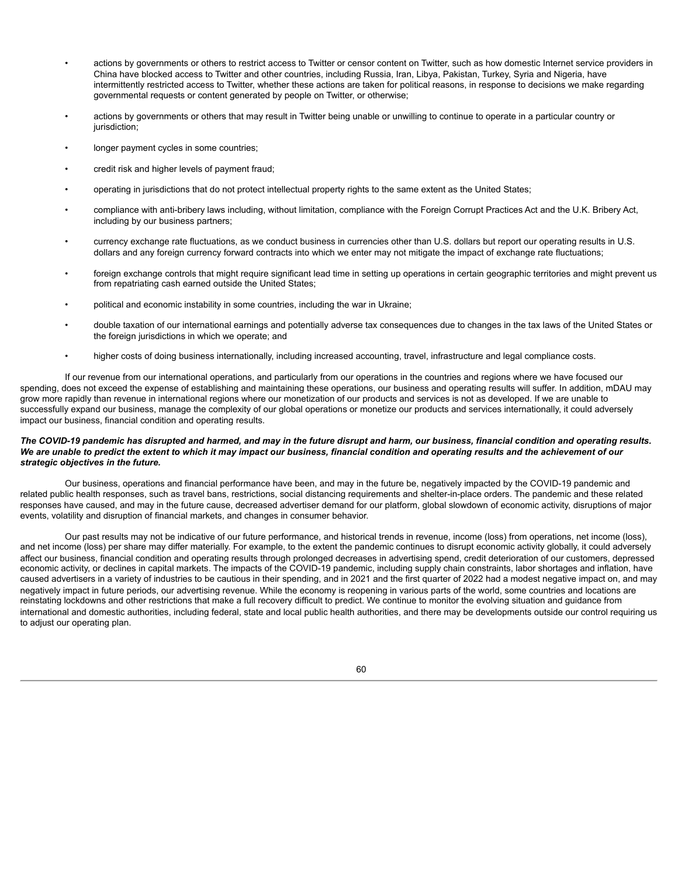- actions by governments or others to restrict access to Twitter or censor content on Twitter, such as how domestic Internet service providers in China have blocked access to Twitter and other countries, including Russia, Iran, Libya, Pakistan, Turkey, Syria and Nigeria, have intermittently restricted access to Twitter, whether these actions are taken for political reasons, in response to decisions we make regarding governmental requests or content generated by people on Twitter, or otherwise;
- actions by governments or others that may result in Twitter being unable or unwilling to continue to operate in a particular country or jurisdiction;
- longer payment cycles in some countries;
- credit risk and higher levels of payment fraud;
- operating in jurisdictions that do not protect intellectual property rights to the same extent as the United States;
- compliance with anti-bribery laws including, without limitation, compliance with the Foreign Corrupt Practices Act and the U.K. Bribery Act, including by our business partners;
- currency exchange rate fluctuations, as we conduct business in currencies other than U.S. dollars but report our operating results in U.S. dollars and any foreign currency forward contracts into which we enter may not mitigate the impact of exchange rate fluctuations;
- foreign exchange controls that might require significant lead time in setting up operations in certain geographic territories and might prevent us from repatriating cash earned outside the United States;
- political and economic instability in some countries, including the war in Ukraine;
- double taxation of our international earnings and potentially adverse tax consequences due to changes in the tax laws of the United States or the foreign jurisdictions in which we operate; and
- higher costs of doing business internationally, including increased accounting, travel, infrastructure and legal compliance costs.

If our revenue from our international operations, and particularly from our operations in the countries and regions where we have focused our spending, does not exceed the expense of establishing and maintaining these operations, our business and operating results will suffer. In addition, mDAU may grow more rapidly than revenue in international regions where our monetization of our products and services is not as developed. If we are unable to successfully expand our business, manage the complexity of our global operations or monetize our products and services internationally, it could adversely impact our business, financial condition and operating results.

# *The COVID-19 pandemic has disrupted and harmed, and may in the future disrupt and harm, our business, financial condition and operating results. We are unable to predict the extent to which it may impact our business, financial condition and operating results and the achievement of our strategic objectives in the future.*

Our business, operations and financial performance have been, and may in the future be, negatively impacted by the COVID-19 pandemic and related public health responses, such as travel bans, restrictions, social distancing requirements and shelter-in-place orders. The pandemic and these related responses have caused, and may in the future cause, decreased advertiser demand for our platform, global slowdown of economic activity, disruptions of major events, volatility and disruption of financial markets, and changes in consumer behavior.

Our past results may not be indicative of our future performance, and historical trends in revenue, income (loss) from operations, net income (loss), and net income (loss) per share may differ materially. For example, to the extent the pandemic continues to disrupt economic activity globally, it could adversely affect our business, financial condition and operating results through prolonged decreases in advertising spend, credit deterioration of our customers, depressed economic activity, or declines in capital markets. The impacts of the COVID-19 pandemic, including supply chain constraints, labor shortages and inflation, have caused advertisers in a variety of industries to be cautious in their spending, and in 2021 and the first quarter of 2022 had a modest negative impact on, and may negatively impact in future periods, our advertising revenue. While the economy is reopening in various parts of the world, some countries and locations are reinstating lockdowns and other restrictions that make a full recovery difficult to predict. We continue to monitor the evolving situation and guidance from international and domestic authorities, including federal, state and local public health authorities, and there may be developments outside our control requiring us to adjust our operating plan.

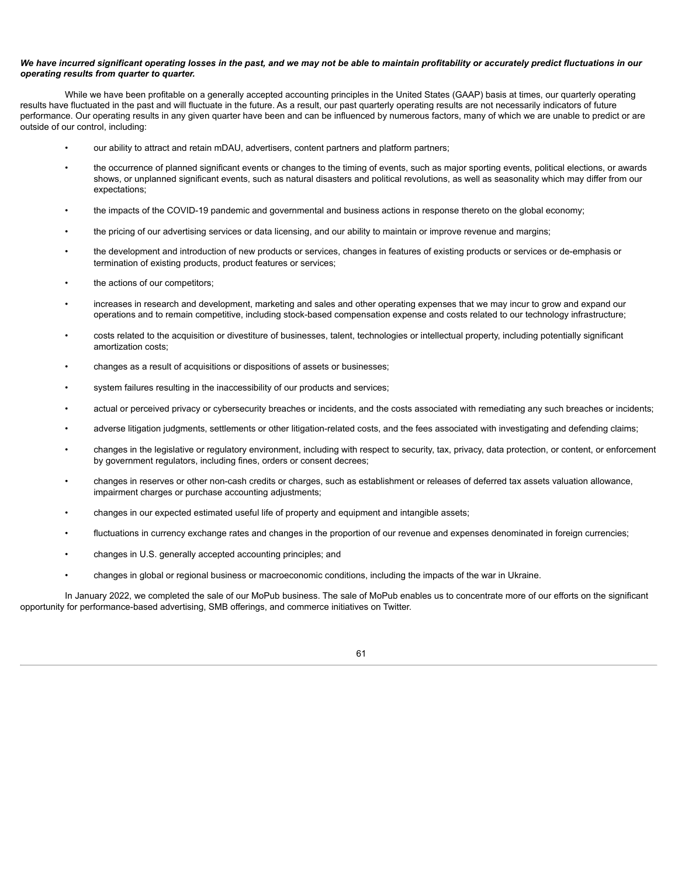## *We have incurred significant operating losses in the past, and we may not be able to maintain profitability or accurately predict fluctuations in our operating results from quarter to quarter.*

While we have been profitable on a generally accepted accounting principles in the United States (GAAP) basis at times, our quarterly operating results have fluctuated in the past and will fluctuate in the future. As a result, our past quarterly operating results are not necessarily indicators of future performance. Our operating results in any given quarter have been and can be influenced by numerous factors, many of which we are unable to predict or are outside of our control, including:

- our ability to attract and retain mDAU, advertisers, content partners and platform partners;
- the occurrence of planned significant events or changes to the timing of events, such as major sporting events, political elections, or awards shows, or unplanned significant events, such as natural disasters and political revolutions, as well as seasonality which may differ from our expectations;
- the impacts of the COVID-19 pandemic and governmental and business actions in response thereto on the global economy;
- the pricing of our advertising services or data licensing, and our ability to maintain or improve revenue and margins;
- the development and introduction of new products or services, changes in features of existing products or services or de-emphasis or termination of existing products, product features or services;
- the actions of our competitors;
- increases in research and development, marketing and sales and other operating expenses that we may incur to grow and expand our operations and to remain competitive, including stock-based compensation expense and costs related to our technology infrastructure;
- costs related to the acquisition or divestiture of businesses, talent, technologies or intellectual property, including potentially significant amortization costs;
- changes as a result of acquisitions or dispositions of assets or businesses;
- system failures resulting in the inaccessibility of our products and services;
- actual or perceived privacy or cybersecurity breaches or incidents, and the costs associated with remediating any such breaches or incidents;
- adverse litigation judgments, settlements or other litigation-related costs, and the fees associated with investigating and defending claims;
- changes in the legislative or regulatory environment, including with respect to security, tax, privacy, data protection, or content, or enforcement by government regulators, including fines, orders or consent decrees;
- changes in reserves or other non-cash credits or charges, such as establishment or releases of deferred tax assets valuation allowance, impairment charges or purchase accounting adjustments;
- changes in our expected estimated useful life of property and equipment and intangible assets;
- fluctuations in currency exchange rates and changes in the proportion of our revenue and expenses denominated in foreign currencies;
- changes in U.S. generally accepted accounting principles; and
- changes in global or regional business or macroeconomic conditions, including the impacts of the war in Ukraine.

In January 2022, we completed the sale of our MoPub business. The sale of MoPub enables us to concentrate more of our efforts on the significant opportunity for performance-based advertising, SMB offerings, and commerce initiatives on Twitter.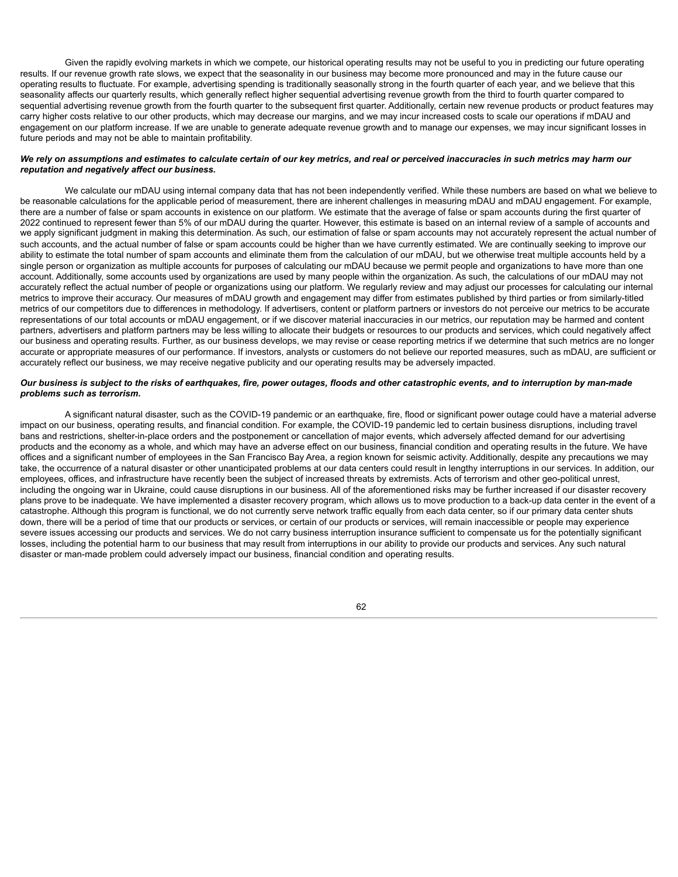Given the rapidly evolving markets in which we compete, our historical operating results may not be useful to you in predicting our future operating results. If our revenue growth rate slows, we expect that the seasonality in our business may become more pronounced and may in the future cause our operating results to fluctuate. For example, advertising spending is traditionally seasonally strong in the fourth quarter of each year, and we believe that this seasonality affects our quarterly results, which generally reflect higher sequential advertising revenue growth from the third to fourth quarter compared to sequential advertising revenue growth from the fourth quarter to the subsequent first quarter. Additionally, certain new revenue products or product features may carry higher costs relative to our other products, which may decrease our margins, and we may incur increased costs to scale our operations if mDAU and engagement on our platform increase. If we are unable to generate adequate revenue growth and to manage our expenses, we may incur significant losses in future periods and may not be able to maintain profitability.

# *We rely on assumptions and estimates to calculate certain of our key metrics, and real or perceived inaccuracies in such metrics may harm our reputation and negatively affect our business.*

We calculate our mDAU using internal company data that has not been independently verified. While these numbers are based on what we believe to be reasonable calculations for the applicable period of measurement, there are inherent challenges in measuring mDAU and mDAU engagement. For example, there are a number of false or spam accounts in existence on our platform. We estimate that the average of false or spam accounts during the first quarter of 2022 continued to represent fewer than 5% of our mDAU during the quarter. However, this estimate is based on an internal review of a sample of accounts and we apply significant judgment in making this determination. As such, our estimation of false or spam accounts may not accurately represent the actual number of such accounts, and the actual number of false or spam accounts could be higher than we have currently estimated. We are continually seeking to improve our ability to estimate the total number of spam accounts and eliminate them from the calculation of our mDAU, but we otherwise treat multiple accounts held by a single person or organization as multiple accounts for purposes of calculating our mDAU because we permit people and organizations to have more than one account. Additionally, some accounts used by organizations are used by many people within the organization. As such, the calculations of our mDAU may not accurately reflect the actual number of people or organizations using our platform. We regularly review and may adjust our processes for calculating our internal metrics to improve their accuracy. Our measures of mDAU growth and engagement may differ from estimates published by third parties or from similarly-titled metrics of our competitors due to differences in methodology. If advertisers, content or platform partners or investors do not perceive our metrics to be accurate representations of our total accounts or mDAU engagement, or if we discover material inaccuracies in our metrics, our reputation may be harmed and content partners, advertisers and platform partners may be less willing to allocate their budgets or resources to our products and services, which could negatively affect our business and operating results. Further, as our business develops, we may revise or cease reporting metrics if we determine that such metrics are no longer accurate or appropriate measures of our performance. If investors, analysts or customers do not believe our reported measures, such as mDAU, are sufficient or accurately reflect our business, we may receive negative publicity and our operating results may be adversely impacted.

# *Our business is subject to the risks of earthquakes, fire, power outages, floods and other catastrophic events, and to interruption by man-made problems such as terrorism.*

A significant natural disaster, such as the COVID-19 pandemic or an earthquake, fire, flood or significant power outage could have a material adverse impact on our business, operating results, and financial condition. For example, the COVID-19 pandemic led to certain business disruptions, including travel bans and restrictions, shelter-in-place orders and the postponement or cancellation of major events, which adversely affected demand for our advertising products and the economy as a whole, and which may have an adverse effect on our business, financial condition and operating results in the future. We have offices and a significant number of employees in the San Francisco Bay Area, a region known for seismic activity. Additionally, despite any precautions we may take, the occurrence of a natural disaster or other unanticipated problems at our data centers could result in lengthy interruptions in our services. In addition, our employees, offices, and infrastructure have recently been the subject of increased threats by extremists. Acts of terrorism and other geo-political unrest, including the ongoing war in Ukraine, could cause disruptions in our business. All of the aforementioned risks may be further increased if our disaster recovery plans prove to be inadequate. We have implemented a disaster recovery program, which allows us to move production to a back-up data center in the event of a catastrophe. Although this program is functional, we do not currently serve network traffic equally from each data center, so if our primary data center shuts down, there will be a period of time that our products or services, or certain of our products or services, will remain inaccessible or people may experience severe issues accessing our products and services. We do not carry business interruption insurance sufficient to compensate us for the potentially significant losses, including the potential harm to our business that may result from interruptions in our ability to provide our products and services. Any such natural disaster or man-made problem could adversely impact our business, financial condition and operating results.

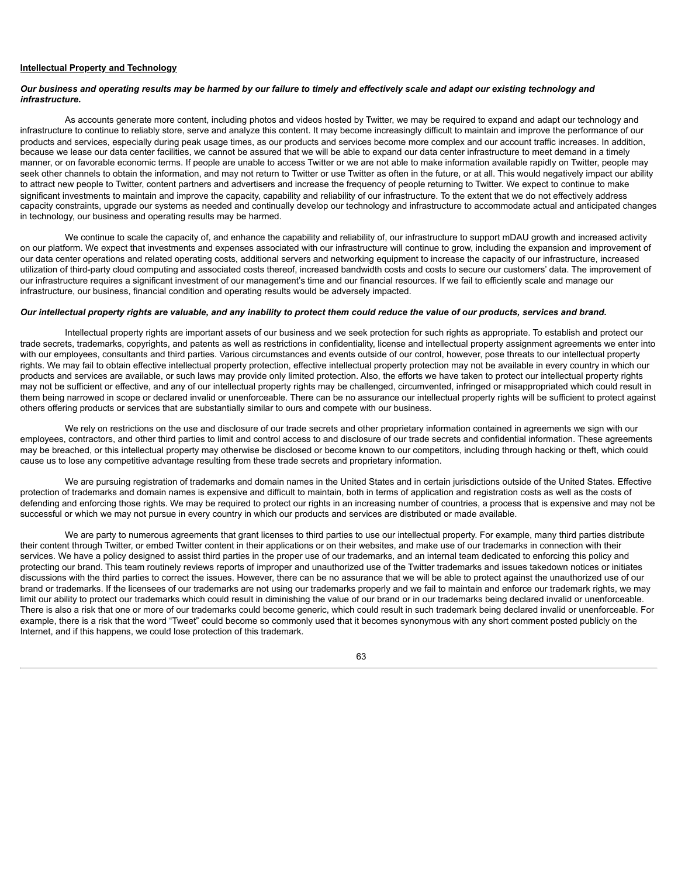# **Intellectual Property and Technology**

### *Our business and operating results may be harmed by our failure to timely and effectively scale and adapt our existing technology and infrastructure.*

As accounts generate more content, including photos and videos hosted by Twitter, we may be required to expand and adapt our technology and infrastructure to continue to reliably store, serve and analyze this content. It may become increasingly difficult to maintain and improve the performance of our products and services, especially during peak usage times, as our products and services become more complex and our account traffic increases. In addition, because we lease our data center facilities, we cannot be assured that we will be able to expand our data center infrastructure to meet demand in a timely manner, or on favorable economic terms. If people are unable to access Twitter or we are not able to make information available rapidly on Twitter, people may seek other channels to obtain the information, and may not return to Twitter or use Twitter as often in the future, or at all. This would negatively impact our ability to attract new people to Twitter, content partners and advertisers and increase the frequency of people returning to Twitter. We expect to continue to make significant investments to maintain and improve the capacity, capability and reliability of our infrastructure. To the extent that we do not effectively address capacity constraints, upgrade our systems as needed and continually develop our technology and infrastructure to accommodate actual and anticipated changes in technology, our business and operating results may be harmed.

We continue to scale the capacity of, and enhance the capability and reliability of, our infrastructure to support mDAU growth and increased activity on our platform. We expect that investments and expenses associated with our infrastructure will continue to grow, including the expansion and improvement of our data center operations and related operating costs, additional servers and networking equipment to increase the capacity of our infrastructure, increased utilization of third-party cloud computing and associated costs thereof, increased bandwidth costs and costs to secure our customers' data. The improvement of our infrastructure requires a significant investment of our management's time and our financial resources. If we fail to efficiently scale and manage our infrastructure, our business, financial condition and operating results would be adversely impacted.

# *Our intellectual property rights are valuable, and any inability to protect them could reduce the value of our products, services and brand.*

Intellectual property rights are important assets of our business and we seek protection for such rights as appropriate. To establish and protect our trade secrets, trademarks, copyrights, and patents as well as restrictions in confidentiality, license and intellectual property assignment agreements we enter into with our employees, consultants and third parties. Various circumstances and events outside of our control, however, pose threats to our intellectual property rights. We may fail to obtain effective intellectual property protection, effective intellectual property protection may not be available in every country in which our products and services are available, or such laws may provide only limited protection. Also, the efforts we have taken to protect our intellectual property rights may not be sufficient or effective, and any of our intellectual property rights may be challenged, circumvented, infringed or misappropriated which could result in them being narrowed in scope or declared invalid or unenforceable. There can be no assurance our intellectual property rights will be sufficient to protect against others offering products or services that are substantially similar to ours and compete with our business.

We rely on restrictions on the use and disclosure of our trade secrets and other proprietary information contained in agreements we sign with our employees, contractors, and other third parties to limit and control access to and disclosure of our trade secrets and confidential information. These agreements may be breached, or this intellectual property may otherwise be disclosed or become known to our competitors, including through hacking or theft, which could cause us to lose any competitive advantage resulting from these trade secrets and proprietary information.

We are pursuing registration of trademarks and domain names in the United States and in certain jurisdictions outside of the United States. Effective protection of trademarks and domain names is expensive and difficult to maintain, both in terms of application and registration costs as well as the costs of defending and enforcing those rights. We may be required to protect our rights in an increasing number of countries, a process that is expensive and may not be successful or which we may not pursue in every country in which our products and services are distributed or made available.

We are party to numerous agreements that grant licenses to third parties to use our intellectual property. For example, many third parties distribute their content through Twitter, or embed Twitter content in their applications or on their websites, and make use of our trademarks in connection with their services. We have a policy designed to assist third parties in the proper use of our trademarks, and an internal team dedicated to enforcing this policy and protecting our brand. This team routinely reviews reports of improper and unauthorized use of the Twitter trademarks and issues takedown notices or initiates discussions with the third parties to correct the issues. However, there can be no assurance that we will be able to protect against the unauthorized use of our brand or trademarks. If the licensees of our trademarks are not using our trademarks properly and we fail to maintain and enforce our trademark rights, we may limit our ability to protect our trademarks which could result in diminishing the value of our brand or in our trademarks being declared invalid or unenforceable. There is also a risk that one or more of our trademarks could become generic, which could result in such trademark being declared invalid or unenforceable. For example, there is a risk that the word "Tweet" could become so commonly used that it becomes synonymous with any short comment posted publicly on the Internet, and if this happens, we could lose protection of this trademark.

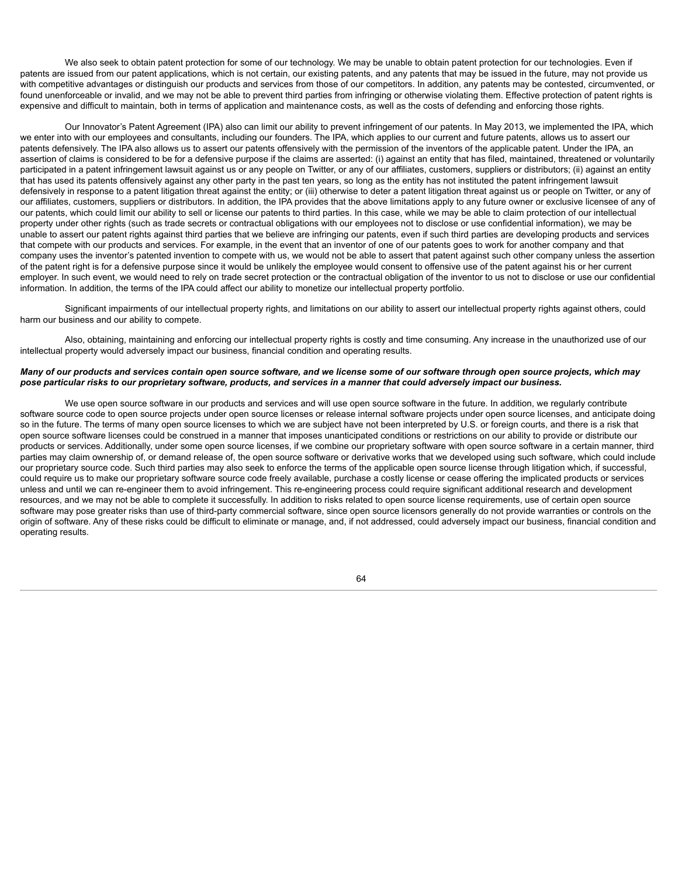We also seek to obtain patent protection for some of our technology. We may be unable to obtain patent protection for our technologies. Even if patents are issued from our patent applications, which is not certain, our existing patents, and any patents that may be issued in the future, may not provide us with competitive advantages or distinguish our products and services from those of our competitors. In addition, any patents may be contested, circumvented, or found unenforceable or invalid, and we may not be able to prevent third parties from infringing or otherwise violating them. Effective protection of patent rights is expensive and difficult to maintain, both in terms of application and maintenance costs, as well as the costs of defending and enforcing those rights.

Our Innovator's Patent Agreement (IPA) also can limit our ability to prevent infringement of our patents. In May 2013, we implemented the IPA, which we enter into with our employees and consultants, including our founders. The IPA, which applies to our current and future patents, allows us to assert our patents defensively. The IPA also allows us to assert our patents offensively with the permission of the inventors of the applicable patent. Under the IPA, an assertion of claims is considered to be for a defensive purpose if the claims are asserted: (i) against an entity that has filed, maintained, threatened or voluntarily participated in a patent infringement lawsuit against us or any people on Twitter, or any of our affiliates, customers, suppliers or distributors; (ii) against an entity that has used its patents offensively against any other party in the past ten years, so long as the entity has not instituted the patent infringement lawsuit defensively in response to a patent litigation threat against the entity; or (iii) otherwise to deter a patent litigation threat against us or people on Twitter, or any of our affiliates, customers, suppliers or distributors. In addition, the IPA provides that the above limitations apply to any future owner or exclusive licensee of any of our patents, which could limit our ability to sell or license our patents to third parties. In this case, while we may be able to claim protection of our intellectual property under other rights (such as trade secrets or contractual obligations with our employees not to disclose or use confidential information), we may be unable to assert our patent rights against third parties that we believe are infringing our patents, even if such third parties are developing products and services that compete with our products and services. For example, in the event that an inventor of one of our patents goes to work for another company and that company uses the inventor's patented invention to compete with us, we would not be able to assert that patent against such other company unless the assertion of the patent right is for a defensive purpose since it would be unlikely the employee would consent to offensive use of the patent against his or her current employer. In such event, we would need to rely on trade secret protection or the contractual obligation of the inventor to us not to disclose or use our confidential information. In addition, the terms of the IPA could affect our ability to monetize our intellectual property portfolio.

Significant impairments of our intellectual property rights, and limitations on our ability to assert our intellectual property rights against others, could harm our business and our ability to compete.

Also, obtaining, maintaining and enforcing our intellectual property rights is costly and time consuming. Any increase in the unauthorized use of our intellectual property would adversely impact our business, financial condition and operating results.

# *Many of our products and services contain open source software, and we license some of our software through open source projects, which may pose particular risks to our proprietary software, products, and services in a manner that could adversely impact our business.*

We use open source software in our products and services and will use open source software in the future. In addition, we regularly contribute software source code to open source projects under open source licenses or release internal software projects under open source licenses, and anticipate doing so in the future. The terms of many open source licenses to which we are subject have not been interpreted by U.S. or foreign courts, and there is a risk that open source software licenses could be construed in a manner that imposes unanticipated conditions or restrictions on our ability to provide or distribute our products or services. Additionally, under some open source licenses, if we combine our proprietary software with open source software in a certain manner, third parties may claim ownership of, or demand release of, the open source software or derivative works that we developed using such software, which could include our proprietary source code. Such third parties may also seek to enforce the terms of the applicable open source license through litigation which, if successful, could require us to make our proprietary software source code freely available, purchase a costly license or cease offering the implicated products or services unless and until we can re-engineer them to avoid infringement. This re-engineering process could require significant additional research and development resources, and we may not be able to complete it successfully. In addition to risks related to open source license requirements, use of certain open source software may pose greater risks than use of third-party commercial software, since open source licensors generally do not provide warranties or controls on the origin of software. Any of these risks could be difficult to eliminate or manage, and, if not addressed, could adversely impact our business, financial condition and operating results.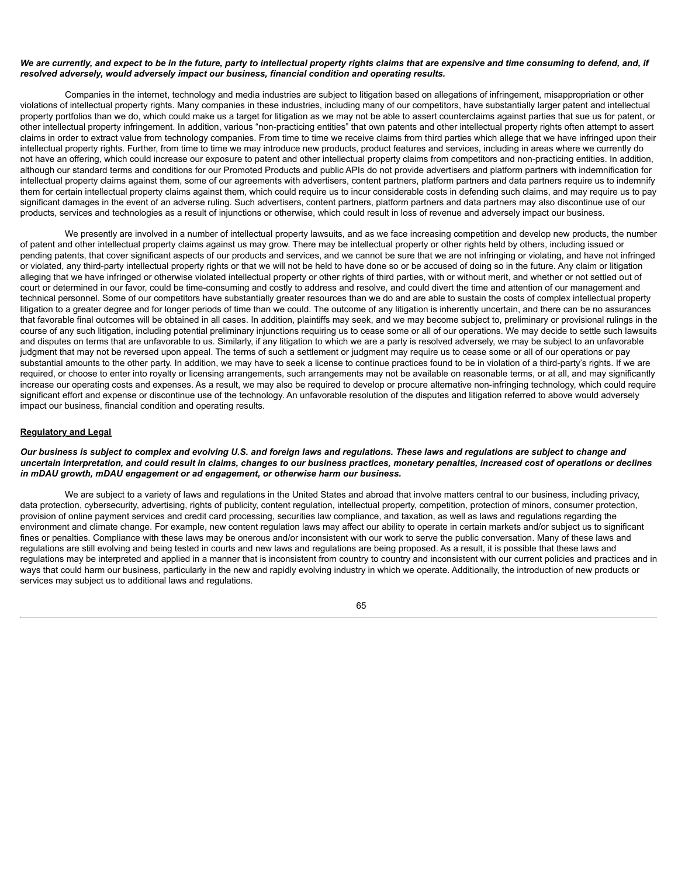#### *We are currently, and expect to be in the future, party to intellectual property rights claims that are expensive and time consuming to defend, and, if resolved adversely, would adversely impact our business, financial condition and operating results.*

Companies in the internet, technology and media industries are subject to litigation based on allegations of infringement, misappropriation or other violations of intellectual property rights. Many companies in these industries, including many of our competitors, have substantially larger patent and intellectual property portfolios than we do, which could make us a target for litigation as we may not be able to assert counterclaims against parties that sue us for patent, or other intellectual property infringement. In addition, various "non-practicing entities" that own patents and other intellectual property rights often attempt to assert claims in order to extract value from technology companies. From time to time we receive claims from third parties which allege that we have infringed upon their intellectual property rights. Further, from time to time we may introduce new products, product features and services, including in areas where we currently do not have an offering, which could increase our exposure to patent and other intellectual property claims from competitors and non-practicing entities. In addition, although our standard terms and conditions for our Promoted Products and public APIs do not provide advertisers and platform partners with indemnification for intellectual property claims against them, some of our agreements with advertisers, content partners, platform partners and data partners require us to indemnify them for certain intellectual property claims against them, which could require us to incur considerable costs in defending such claims, and may require us to pay significant damages in the event of an adverse ruling. Such advertisers, content partners, platform partners and data partners may also discontinue use of our products, services and technologies as a result of injunctions or otherwise, which could result in loss of revenue and adversely impact our business.

We presently are involved in a number of intellectual property lawsuits, and as we face increasing competition and develop new products, the number of patent and other intellectual property claims against us may grow. There may be intellectual property or other rights held by others, including issued or pending patents, that cover significant aspects of our products and services, and we cannot be sure that we are not infringing or violating, and have not infringed or violated, any third-party intellectual property rights or that we will not be held to have done so or be accused of doing so in the future. Any claim or litigation alleging that we have infringed or otherwise violated intellectual property or other rights of third parties, with or without merit, and whether or not settled out of court or determined in our favor, could be time-consuming and costly to address and resolve, and could divert the time and attention of our management and technical personnel. Some of our competitors have substantially greater resources than we do and are able to sustain the costs of complex intellectual property litigation to a greater degree and for longer periods of time than we could. The outcome of any litigation is inherently uncertain, and there can be no assurances that favorable final outcomes will be obtained in all cases. In addition, plaintiffs may seek, and we may become subject to, preliminary or provisional rulings in the course of any such litigation, including potential preliminary injunctions requiring us to cease some or all of our operations. We may decide to settle such lawsuits and disputes on terms that are unfavorable to us. Similarly, if any litigation to which we are a party is resolved adversely, we may be subject to an unfavorable judgment that may not be reversed upon appeal. The terms of such a settlement or judgment may require us to cease some or all of our operations or pay substantial amounts to the other party. In addition, we may have to seek a license to continue practices found to be in violation of a third-party's rights. If we are required, or choose to enter into royalty or licensing arrangements, such arrangements may not be available on reasonable terms, or at all, and may significantly increase our operating costs and expenses. As a result, we may also be required to develop or procure alternative non-infringing technology, which could require significant effort and expense or discontinue use of the technology. An unfavorable resolution of the disputes and litigation referred to above would adversely impact our business, financial condition and operating results.

## **Regulatory and Legal**

### *Our business is subject to complex and evolving U.S. and foreign laws and regulations. These laws and regulations are subject to change and uncertain interpretation, and could result in claims, changes to our business practices, monetary penalties, increased cost of operations or declines in mDAU growth, mDAU engagement or ad engagement, or otherwise harm our business.*

We are subject to a variety of laws and regulations in the United States and abroad that involve matters central to our business, including privacy, data protection, cybersecurity, advertising, rights of publicity, content regulation, intellectual property, competition, protection of minors, consumer protection, provision of online payment services and credit card processing, securities law compliance, and taxation, as well as laws and regulations regarding the environment and climate change. For example, new content regulation laws may affect our ability to operate in certain markets and/or subject us to significant fines or penalties. Compliance with these laws may be onerous and/or inconsistent with our work to serve the public conversation. Many of these laws and regulations are still evolving and being tested in courts and new laws and regulations are being proposed. As a result, it is possible that these laws and regulations may be interpreted and applied in a manner that is inconsistent from country to country and inconsistent with our current policies and practices and in ways that could harm our business, particularly in the new and rapidly evolving industry in which we operate. Additionally, the introduction of new products or services may subject us to additional laws and regulations.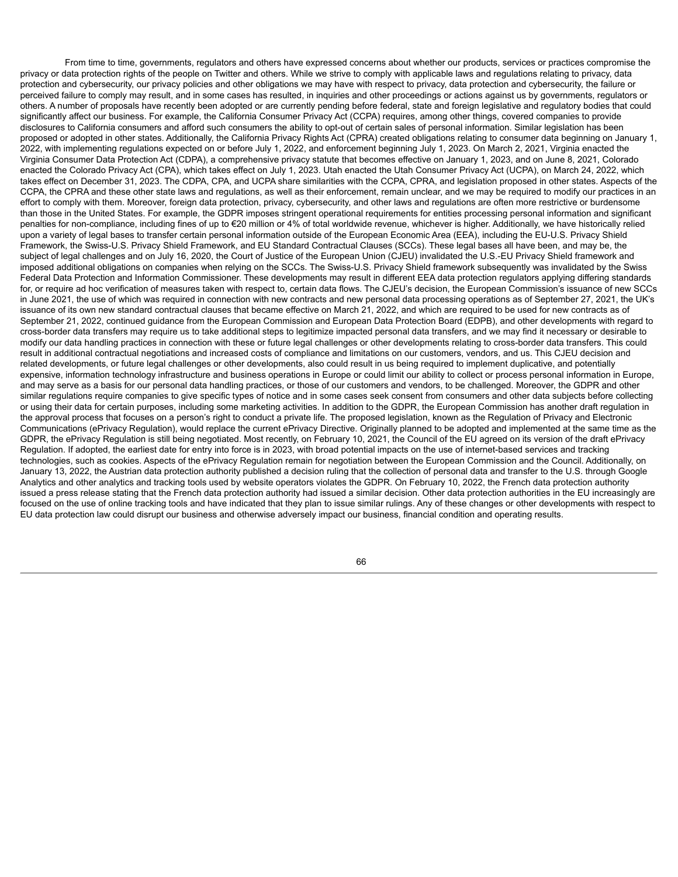From time to time, governments, regulators and others have expressed concerns about whether our products, services or practices compromise the privacy or data protection rights of the people on Twitter and others. While we strive to comply with applicable laws and regulations relating to privacy, data protection and cybersecurity, our privacy policies and other obligations we may have with respect to privacy, data protection and cybersecurity, the failure or perceived failure to comply may result, and in some cases has resulted, in inquiries and other proceedings or actions against us by governments, regulators or others. A number of proposals have recently been adopted or are currently pending before federal, state and foreign legislative and regulatory bodies that could significantly affect our business. For example, the California Consumer Privacy Act (CCPA) requires, among other things, covered companies to provide disclosures to California consumers and afford such consumers the ability to opt-out of certain sales of personal information. Similar legislation has been proposed or adopted in other states. Additionally, the California Privacy Rights Act (CPRA) created obligations relating to consumer data beginning on January 1, 2022, with implementing regulations expected on or before July 1, 2022, and enforcement beginning July 1, 2023. On March 2, 2021, Virginia enacted the Virginia Consumer Data Protection Act (CDPA), a comprehensive privacy statute that becomes effective on January 1, 2023, and on June 8, 2021, Colorado enacted the Colorado Privacy Act (CPA), which takes effect on July 1, 2023. Utah enacted the Utah Consumer Privacy Act (UCPA), on March 24, 2022, which takes effect on December 31, 2023. The CDPA, CPA, and UCPA share similarities with the CCPA, CPRA, and legislation proposed in other states. Aspects of the CCPA, the CPRA and these other state laws and regulations, as well as their enforcement, remain unclear, and we may be required to modify our practices in an effort to comply with them. Moreover, foreign data protection, privacy, cybersecurity, and other laws and regulations are often more restrictive or burdensome than those in the United States. For example, the GDPR imposes stringent operational requirements for entities processing personal information and significant penalties for non-compliance, including fines of up to €20 million or 4% of total worldwide revenue, whichever is higher. Additionally, we have historically relied upon a variety of legal bases to transfer certain personal information outside of the European Economic Area (EEA), including the EU-U.S. Privacy Shield Framework, the Swiss-U.S. Privacy Shield Framework, and EU Standard Contractual Clauses (SCCs). These legal bases all have been, and may be, the subject of legal challenges and on July 16, 2020, the Court of Justice of the European Union (CJEU) invalidated the U.S.-EU Privacy Shield framework and imposed additional obligations on companies when relying on the SCCs. The Swiss-U.S. Privacy Shield framework subsequently was invalidated by the Swiss Federal Data Protection and Information Commissioner. These developments may result in different EEA data protection regulators applying differing standards for, or require ad hoc verification of measures taken with respect to, certain data flows. The CJEU's decision, the European Commission's issuance of new SCCs in June 2021, the use of which was required in connection with new contracts and new personal data processing operations as of September 27, 2021, the UK's issuance of its own new standard contractual clauses that became effective on March 21, 2022, and which are required to be used for new contracts as of September 21, 2022, continued guidance from the European Commission and European Data Protection Board (EDPB), and other developments with regard to cross-border data transfers may require us to take additional steps to legitimize impacted personal data transfers, and we may find it necessary or desirable to modify our data handling practices in connection with these or future legal challenges or other developments relating to cross-border data transfers. This could result in additional contractual negotiations and increased costs of compliance and limitations on our customers, vendors, and us. This CJEU decision and related developments, or future legal challenges or other developments, also could result in us being required to implement duplicative, and potentially expensive, information technology infrastructure and business operations in Europe or could limit our ability to collect or process personal information in Europe, and may serve as a basis for our personal data handling practices, or those of our customers and vendors, to be challenged. Moreover, the GDPR and other similar regulations require companies to give specific types of notice and in some cases seek consent from consumers and other data subjects before collecting or using their data for certain purposes, including some marketing activities. In addition to the GDPR, the European Commission has another draft regulation in the approval process that focuses on a person's right to conduct a private life. The proposed legislation, known as the Regulation of Privacy and Electronic Communications (ePrivacy Regulation), would replace the current ePrivacy Directive. Originally planned to be adopted and implemented at the same time as the GDPR, the ePrivacy Regulation is still being negotiated. Most recently, on February 10, 2021, the Council of the EU agreed on its version of the draft ePrivacy Regulation. If adopted, the earliest date for entry into force is in 2023, with broad potential impacts on the use of internet-based services and tracking technologies, such as cookies. Aspects of the ePrivacy Regulation remain for negotiation between the European Commission and the Council. Additionally, on January 13, 2022, the Austrian data protection authority published a decision ruling that the collection of personal data and transfer to the U.S. through Google Analytics and other analytics and tracking tools used by website operators violates the GDPR. On February 10, 2022, the French data protection authority issued a press release stating that the French data protection authority had issued a similar decision. Other data protection authorities in the EU increasingly are focused on the use of online tracking tools and have indicated that they plan to issue similar rulings. Any of these changes or other developments with respect to EU data protection law could disrupt our business and otherwise adversely impact our business, financial condition and operating results.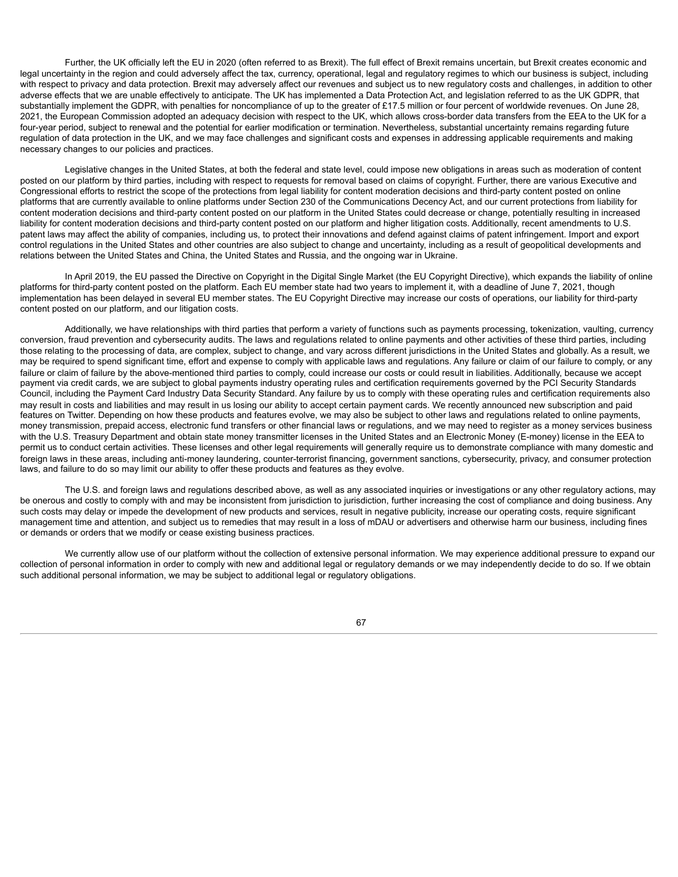Further, the UK officially left the EU in 2020 (often referred to as Brexit). The full effect of Brexit remains uncertain, but Brexit creates economic and legal uncertainty in the region and could adversely affect the tax, currency, operational, legal and regulatory regimes to which our business is subject, including with respect to privacy and data protection. Brexit may adversely affect our revenues and subject us to new regulatory costs and challenges, in addition to other adverse effects that we are unable effectively to anticipate. The UK has implemented a Data Protection Act, and legislation referred to as the UK GDPR, that substantially implement the GDPR, with penalties for noncompliance of up to the greater of £17.5 million or four percent of worldwide revenues. On June 28, 2021, the European Commission adopted an adequacy decision with respect to the UK, which allows cross-border data transfers from the EEA to the UK for a four-year period, subject to renewal and the potential for earlier modification or termination. Nevertheless, substantial uncertainty remains regarding future regulation of data protection in the UK, and we may face challenges and significant costs and expenses in addressing applicable requirements and making necessary changes to our policies and practices.

Legislative changes in the United States, at both the federal and state level, could impose new obligations in areas such as moderation of content posted on our platform by third parties, including with respect to requests for removal based on claims of copyright. Further, there are various Executive and Congressional efforts to restrict the scope of the protections from legal liability for content moderation decisions and third-party content posted on online platforms that are currently available to online platforms under Section 230 of the Communications Decency Act, and our current protections from liability for content moderation decisions and third-party content posted on our platform in the United States could decrease or change, potentially resulting in increased liability for content moderation decisions and third-party content posted on our platform and higher litigation costs. Additionally, recent amendments to U.S. patent laws may affect the ability of companies, including us, to protect their innovations and defend against claims of patent infringement. Import and export control regulations in the United States and other countries are also subject to change and uncertainty, including as a result of geopolitical developments and relations between the United States and China, the United States and Russia, and the ongoing war in Ukraine.

In April 2019, the EU passed the Directive on Copyright in the Digital Single Market (the EU Copyright Directive), which expands the liability of online platforms for third-party content posted on the platform. Each EU member state had two years to implement it, with a deadline of June 7, 2021, though implementation has been delayed in several EU member states. The EU Copyright Directive may increase our costs of operations, our liability for third-party content posted on our platform, and our litigation costs.

Additionally, we have relationships with third parties that perform a variety of functions such as payments processing, tokenization, vaulting, currency conversion, fraud prevention and cybersecurity audits. The laws and regulations related to online payments and other activities of these third parties, including those relating to the processing of data, are complex, subject to change, and vary across different jurisdictions in the United States and globally. As a result, we may be required to spend significant time, effort and expense to comply with applicable laws and regulations. Any failure or claim of our failure to comply, or any failure or claim of failure by the above-mentioned third parties to comply, could increase our costs or could result in liabilities. Additionally, because we accept payment via credit cards, we are subject to global payments industry operating rules and certification requirements governed by the PCI Security Standards Council, including the Payment Card Industry Data Security Standard. Any failure by us to comply with these operating rules and certification requirements also may result in costs and liabilities and may result in us losing our ability to accept certain payment cards. We recently announced new subscription and paid features on Twitter. Depending on how these products and features evolve, we may also be subject to other laws and regulations related to online payments, money transmission, prepaid access, electronic fund transfers or other financial laws or regulations, and we may need to register as a money services business with the U.S. Treasury Department and obtain state money transmitter licenses in the United States and an Electronic Money (E-money) license in the EEA to permit us to conduct certain activities. These licenses and other legal requirements will generally require us to demonstrate compliance with many domestic and foreign laws in these areas, including anti-money laundering, counter-terrorist financing, government sanctions, cybersecurity, privacy, and consumer protection laws, and failure to do so may limit our ability to offer these products and features as they evolve.

The U.S. and foreign laws and regulations described above, as well as any associated inquiries or investigations or any other regulatory actions, may be onerous and costly to comply with and may be inconsistent from jurisdiction to jurisdiction, further increasing the cost of compliance and doing business. Any such costs may delay or impede the development of new products and services, result in negative publicity, increase our operating costs, require significant management time and attention, and subject us to remedies that may result in a loss of mDAU or advertisers and otherwise harm our business, including fines or demands or orders that we modify or cease existing business practices.

We currently allow use of our platform without the collection of extensive personal information. We may experience additional pressure to expand our collection of personal information in order to comply with new and additional legal or regulatory demands or we may independently decide to do so. If we obtain such additional personal information, we may be subject to additional legal or regulatory obligations.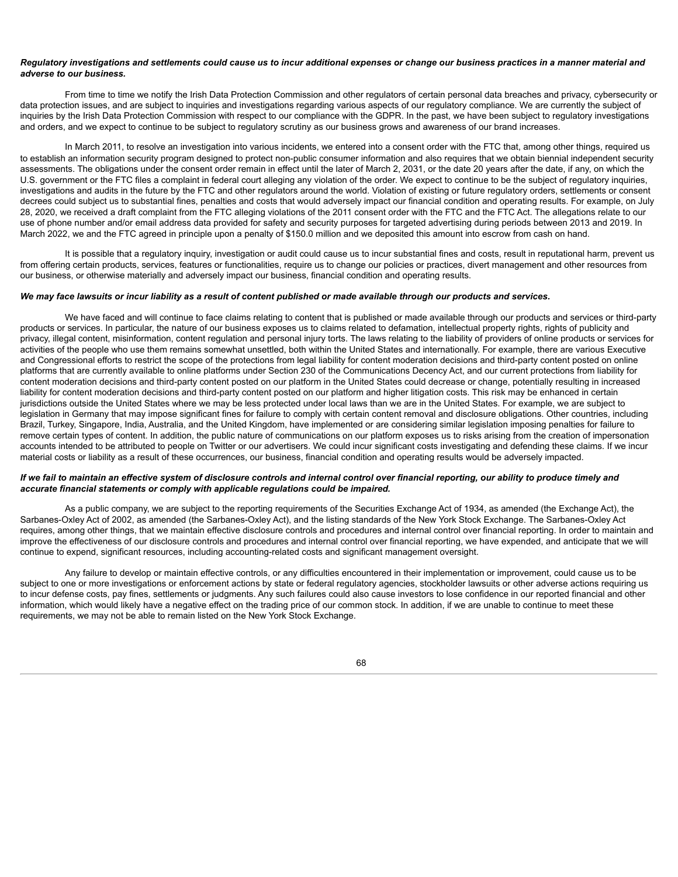### *Regulatory investigations and settlements could cause us to incur additional expenses or change our business practices in a manner material and adverse to our business.*

From time to time we notify the Irish Data Protection Commission and other regulators of certain personal data breaches and privacy, cybersecurity or data protection issues, and are subject to inquiries and investigations regarding various aspects of our regulatory compliance. We are currently the subject of inquiries by the Irish Data Protection Commission with respect to our compliance with the GDPR. In the past, we have been subject to regulatory investigations and orders, and we expect to continue to be subject to regulatory scrutiny as our business grows and awareness of our brand increases.

In March 2011, to resolve an investigation into various incidents, we entered into a consent order with the FTC that, among other things, required us to establish an information security program designed to protect non-public consumer information and also requires that we obtain biennial independent security assessments. The obligations under the consent order remain in effect until the later of March 2, 2031, or the date 20 years after the date, if any, on which the U.S. government or the FTC files a complaint in federal court alleging any violation of the order. We expect to continue to be the subject of regulatory inquiries, investigations and audits in the future by the FTC and other regulators around the world. Violation of existing or future regulatory orders, settlements or consent decrees could subject us to substantial fines, penalties and costs that would adversely impact our financial condition and operating results. For example, on July 28, 2020, we received a draft complaint from the FTC alleging violations of the 2011 consent order with the FTC and the FTC Act. The allegations relate to our use of phone number and/or email address data provided for safety and security purposes for targeted advertising during periods between 2013 and 2019. In March 2022, we and the FTC agreed in principle upon a penalty of \$150.0 million and we deposited this amount into escrow from cash on hand.

It is possible that a regulatory inquiry, investigation or audit could cause us to incur substantial fines and costs, result in reputational harm, prevent us from offering certain products, services, features or functionalities, require us to change our policies or practices, divert management and other resources from our business, or otherwise materially and adversely impact our business, financial condition and operating results.

#### *We may face lawsuits or incur liability as a result of content published or made available through our products and services.*

We have faced and will continue to face claims relating to content that is published or made available through our products and services or third-party products or services. In particular, the nature of our business exposes us to claims related to defamation, intellectual property rights, rights of publicity and privacy, illegal content, misinformation, content regulation and personal injury torts. The laws relating to the liability of providers of online products or services for activities of the people who use them remains somewhat unsettled, both within the United States and internationally. For example, there are various Executive and Congressional efforts to restrict the scope of the protections from legal liability for content moderation decisions and third-party content posted on online platforms that are currently available to online platforms under Section 230 of the Communications Decency Act, and our current protections from liability for content moderation decisions and third-party content posted on our platform in the United States could decrease or change, potentially resulting in increased liability for content moderation decisions and third-party content posted on our platform and higher litigation costs. This risk may be enhanced in certain jurisdictions outside the United States where we may be less protected under local laws than we are in the United States. For example, we are subject to legislation in Germany that may impose significant fines for failure to comply with certain content removal and disclosure obligations. Other countries, including Brazil, Turkey, Singapore, India, Australia, and the United Kingdom, have implemented or are considering similar legislation imposing penalties for failure to remove certain types of content. In addition, the public nature of communications on our platform exposes us to risks arising from the creation of impersonation accounts intended to be attributed to people on Twitter or our advertisers. We could incur significant costs investigating and defending these claims. If we incur material costs or liability as a result of these occurrences, our business, financial condition and operating results would be adversely impacted.

#### *If we fail to maintain an effective system of disclosure controls and internal control over financial reporting, our ability to produce timely and accurate financial statements or comply with applicable regulations could be impaired.*

As a public company, we are subject to the reporting requirements of the Securities Exchange Act of 1934, as amended (the Exchange Act), the Sarbanes-Oxley Act of 2002, as amended (the Sarbanes-Oxley Act), and the listing standards of the New York Stock Exchange. The Sarbanes-Oxley Act requires, among other things, that we maintain effective disclosure controls and procedures and internal control over financial reporting. In order to maintain and improve the effectiveness of our disclosure controls and procedures and internal control over financial reporting, we have expended, and anticipate that we will continue to expend, significant resources, including accounting-related costs and significant management oversight.

Any failure to develop or maintain effective controls, or any difficulties encountered in their implementation or improvement, could cause us to be subject to one or more investigations or enforcement actions by state or federal regulatory agencies, stockholder lawsuits or other adverse actions requiring us to incur defense costs, pay fines, settlements or judgments. Any such failures could also cause investors to lose confidence in our reported financial and other information, which would likely have a negative effect on the trading price of our common stock. In addition, if we are unable to continue to meet these requirements, we may not be able to remain listed on the New York Stock Exchange.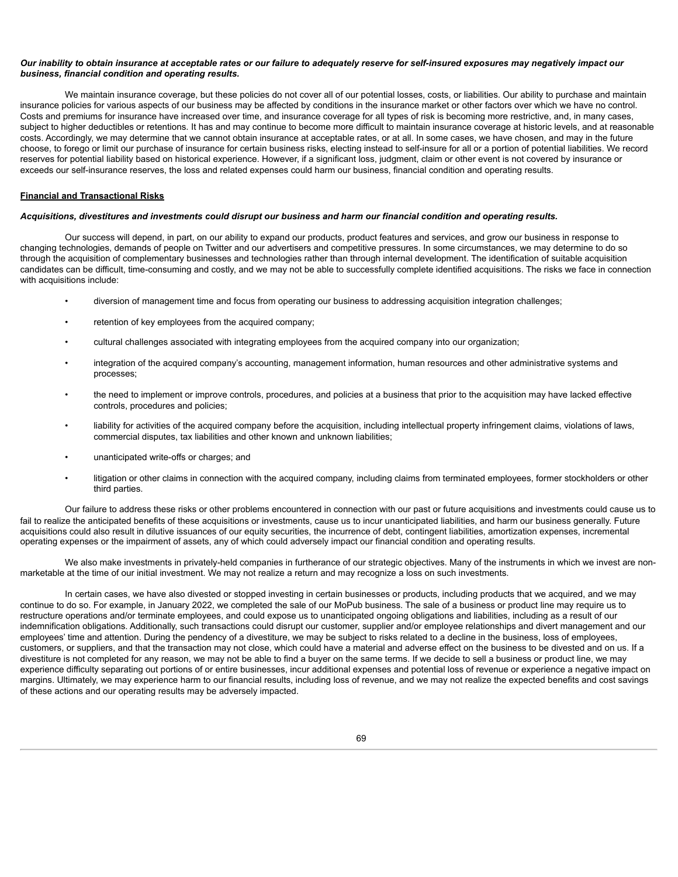#### *Our inability to obtain insurance at acceptable rates or our failure to adequately reserve for self-insured exposures may negatively impact our business, financial condition and operating results.*

We maintain insurance coverage, but these policies do not cover all of our potential losses, costs, or liabilities. Our ability to purchase and maintain insurance policies for various aspects of our business may be affected by conditions in the insurance market or other factors over which we have no control. Costs and premiums for insurance have increased over time, and insurance coverage for all types of risk is becoming more restrictive, and, in many cases, subject to higher deductibles or retentions. It has and may continue to become more difficult to maintain insurance coverage at historic levels, and at reasonable costs. Accordingly, we may determine that we cannot obtain insurance at acceptable rates, or at all. In some cases, we have chosen, and may in the future choose, to forego or limit our purchase of insurance for certain business risks, electing instead to self-insure for all or a portion of potential liabilities. We record reserves for potential liability based on historical experience. However, if a significant loss, judgment, claim or other event is not covered by insurance or exceeds our self-insurance reserves, the loss and related expenses could harm our business, financial condition and operating results.

# **Financial and Transactional Risks**

### *Acquisitions, divestitures and investments could disrupt our business and harm our financial condition and operating results.*

Our success will depend, in part, on our ability to expand our products, product features and services, and grow our business in response to changing technologies, demands of people on Twitter and our advertisers and competitive pressures. In some circumstances, we may determine to do so through the acquisition of complementary businesses and technologies rather than through internal development. The identification of suitable acquisition candidates can be difficult, time-consuming and costly, and we may not be able to successfully complete identified acquisitions. The risks we face in connection with acquisitions include:

- diversion of management time and focus from operating our business to addressing acquisition integration challenges;
- retention of key employees from the acquired company;
- cultural challenges associated with integrating employees from the acquired company into our organization;
- integration of the acquired company's accounting, management information, human resources and other administrative systems and processes;
- the need to implement or improve controls, procedures, and policies at a business that prior to the acquisition may have lacked effective controls, procedures and policies;
- liability for activities of the acquired company before the acquisition, including intellectual property infringement claims, violations of laws, commercial disputes, tax liabilities and other known and unknown liabilities;
- unanticipated write-offs or charges; and
- litigation or other claims in connection with the acquired company, including claims from terminated employees, former stockholders or other third parties.

Our failure to address these risks or other problems encountered in connection with our past or future acquisitions and investments could cause us to fail to realize the anticipated benefits of these acquisitions or investments, cause us to incur unanticipated liabilities, and harm our business generally. Future acquisitions could also result in dilutive issuances of our equity securities, the incurrence of debt, contingent liabilities, amortization expenses, incremental operating expenses or the impairment of assets, any of which could adversely impact our financial condition and operating results.

We also make investments in privately-held companies in furtherance of our strategic objectives. Many of the instruments in which we invest are nonmarketable at the time of our initial investment. We may not realize a return and may recognize a loss on such investments.

In certain cases, we have also divested or stopped investing in certain businesses or products, including products that we acquired, and we may continue to do so. For example, in January 2022, we completed the sale of our MoPub business. The sale of a business or product line may require us to restructure operations and/or terminate employees, and could expose us to unanticipated ongoing obligations and liabilities, including as a result of our indemnification obligations. Additionally, such transactions could disrupt our customer, supplier and/or employee relationships and divert management and our employees' time and attention. During the pendency of a divestiture, we may be subject to risks related to a decline in the business, loss of employees, customers, or suppliers, and that the transaction may not close, which could have a material and adverse effect on the business to be divested and on us. If a divestiture is not completed for any reason, we may not be able to find a buyer on the same terms. If we decide to sell a business or product line, we may experience difficulty separating out portions of or entire businesses, incur additional expenses and potential loss of revenue or experience a negative impact on margins. Ultimately, we may experience harm to our financial results, including loss of revenue, and we may not realize the expected benefits and cost savings of these actions and our operating results may be adversely impacted.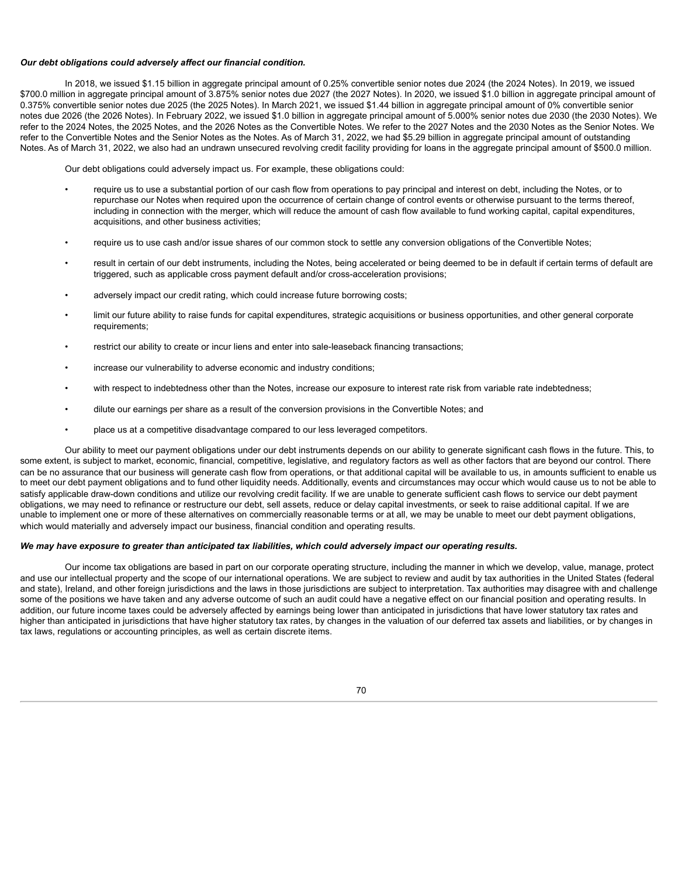### *Our debt obligations could adversely affect our financial condition.*

In 2018, we issued \$1.15 billion in aggregate principal amount of 0.25% convertible senior notes due 2024 (the 2024 Notes). In 2019, we issued \$700.0 million in aggregate principal amount of 3.875% senior notes due 2027 (the 2027 Notes). In 2020, we issued \$1.0 billion in aggregate principal amount of 0.375% convertible senior notes due 2025 (the 2025 Notes). In March 2021, we issued \$1.44 billion in aggregate principal amount of 0% convertible senior notes due 2026 (the 2026 Notes). In February 2022, we issued \$1.0 billion in aggregate principal amount of 5.000% senior notes due 2030 (the 2030 Notes). We refer to the 2024 Notes, the 2025 Notes, and the 2026 Notes as the Convertible Notes. We refer to the 2027 Notes and the 2030 Notes as the Senior Notes. We refer to the Convertible Notes and the Senior Notes as the Notes. As of March 31, 2022, we had \$5.29 billion in aggregate principal amount of outstanding Notes. As of March 31, 2022, we also had an undrawn unsecured revolving credit facility providing for loans in the aggregate principal amount of \$500.0 million.

Our debt obligations could adversely impact us. For example, these obligations could:

- require us to use a substantial portion of our cash flow from operations to pay principal and interest on debt, including the Notes, or to repurchase our Notes when required upon the occurrence of certain change of control events or otherwise pursuant to the terms thereof, including in connection with the merger, which will reduce the amount of cash flow available to fund working capital, capital expenditures, acquisitions, and other business activities;
- require us to use cash and/or issue shares of our common stock to settle any conversion obligations of the Convertible Notes;
- result in certain of our debt instruments, including the Notes, being accelerated or being deemed to be in default if certain terms of default are triggered, such as applicable cross payment default and/or cross-acceleration provisions;
- adversely impact our credit rating, which could increase future borrowing costs;
- limit our future ability to raise funds for capital expenditures, strategic acquisitions or business opportunities, and other general corporate requirements;
- restrict our ability to create or incur liens and enter into sale-leaseback financing transactions;
- increase our vulnerability to adverse economic and industry conditions;
- with respect to indebtedness other than the Notes, increase our exposure to interest rate risk from variable rate indebtedness;
- dilute our earnings per share as a result of the conversion provisions in the Convertible Notes; and
- place us at a competitive disadvantage compared to our less leveraged competitors.

Our ability to meet our payment obligations under our debt instruments depends on our ability to generate significant cash flows in the future. This, to some extent, is subject to market, economic, financial, competitive, legislative, and regulatory factors as well as other factors that are beyond our control. There can be no assurance that our business will generate cash flow from operations, or that additional capital will be available to us, in amounts sufficient to enable us to meet our debt payment obligations and to fund other liquidity needs. Additionally, events and circumstances may occur which would cause us to not be able to satisfy applicable draw-down conditions and utilize our revolving credit facility. If we are unable to generate sufficient cash flows to service our debt payment obligations, we may need to refinance or restructure our debt, sell assets, reduce or delay capital investments, or seek to raise additional capital. If we are unable to implement one or more of these alternatives on commercially reasonable terms or at all, we may be unable to meet our debt payment obligations, which would materially and adversely impact our business, financial condition and operating results.

# *We may have exposure to greater than anticipated tax liabilities, which could adversely impact our operating results.*

Our income tax obligations are based in part on our corporate operating structure, including the manner in which we develop, value, manage, protect and use our intellectual property and the scope of our international operations. We are subject to review and audit by tax authorities in the United States (federal and state), Ireland, and other foreign jurisdictions and the laws in those jurisdictions are subject to interpretation. Tax authorities may disagree with and challenge some of the positions we have taken and any adverse outcome of such an audit could have a negative effect on our financial position and operating results. In addition, our future income taxes could be adversely affected by earnings being lower than anticipated in jurisdictions that have lower statutory tax rates and higher than anticipated in jurisdictions that have higher statutory tax rates, by changes in the valuation of our deferred tax assets and liabilities, or by changes in tax laws, regulations or accounting principles, as well as certain discrete items.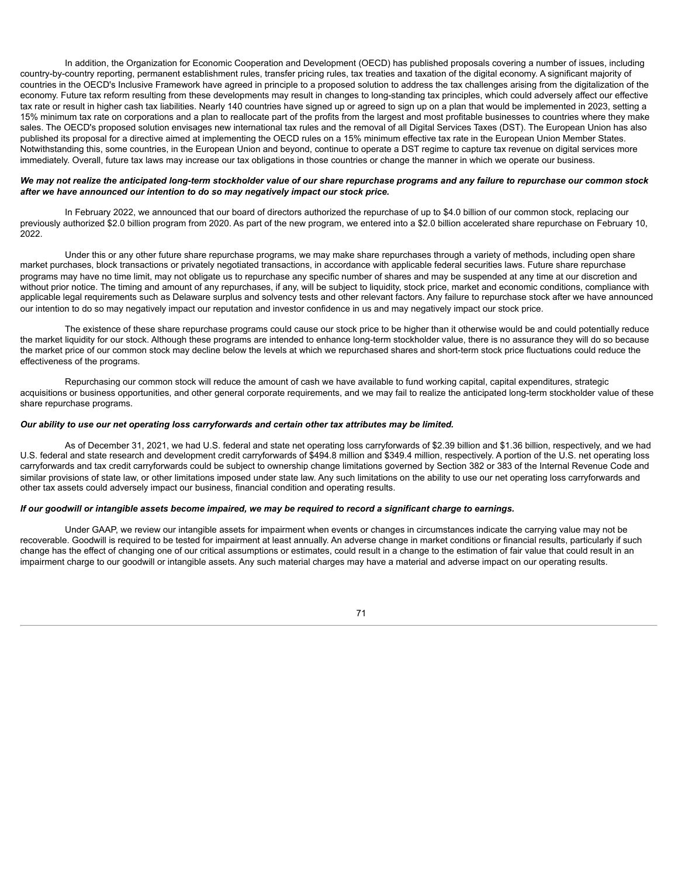In addition, the Organization for Economic Cooperation and Development (OECD) has published proposals covering a number of issues, including country-by-country reporting, permanent establishment rules, transfer pricing rules, tax treaties and taxation of the digital economy. A significant majority of countries in the OECD's Inclusive Framework have agreed in principle to a proposed solution to address the tax challenges arising from the digitalization of the economy. Future tax reform resulting from these developments may result in changes to long-standing tax principles, which could adversely affect our effective tax rate or result in higher cash tax liabilities. Nearly 140 countries have signed up or agreed to sign up on a plan that would be implemented in 2023, setting a 15% minimum tax rate on corporations and a plan to reallocate part of the profits from the largest and most profitable businesses to countries where they make sales. The OECD's proposed solution envisages new international tax rules and the removal of all Digital Services Taxes (DST). The European Union has also published its proposal for a directive aimed at implementing the OECD rules on a 15% minimum effective tax rate in the European Union Member States. Notwithstanding this, some countries, in the European Union and beyond, continue to operate a DST regime to capture tax revenue on digital services more immediately. Overall, future tax laws may increase our tax obligations in those countries or change the manner in which we operate our business.

## *We may not realize the anticipated long-term stockholder value of our share repurchase programs and any failure to repurchase our common stock after we have announced our intention to do so may negatively impact our stock price.*

In February 2022, we announced that our board of directors authorized the repurchase of up to \$4.0 billion of our common stock, replacing our previously authorized \$2.0 billion program from 2020. As part of the new program, we entered into a \$2.0 billion accelerated share repurchase on February 10, 2022.

Under this or any other future share repurchase programs, we may make share repurchases through a variety of methods, including open share market purchases, block transactions or privately negotiated transactions, in accordance with applicable federal securities laws. Future share repurchase programs may have no time limit, may not obligate us to repurchase any specific number of shares and may be suspended at any time at our discretion and without prior notice. The timing and amount of any repurchases, if any, will be subject to liquidity, stock price, market and economic conditions, compliance with applicable legal requirements such as Delaware surplus and solvency tests and other relevant factors. Any failure to repurchase stock after we have announced our intention to do so may negatively impact our reputation and investor confidence in us and may negatively impact our stock price.

The existence of these share repurchase programs could cause our stock price to be higher than it otherwise would be and could potentially reduce the market liquidity for our stock. Although these programs are intended to enhance long-term stockholder value, there is no assurance they will do so because the market price of our common stock may decline below the levels at which we repurchased shares and short-term stock price fluctuations could reduce the effectiveness of the programs.

Repurchasing our common stock will reduce the amount of cash we have available to fund working capital, capital expenditures, strategic acquisitions or business opportunities, and other general corporate requirements, and we may fail to realize the anticipated long-term stockholder value of these share repurchase programs.

# *Our ability to use our net operating loss carryforwards and certain other tax attributes may be limited.*

As of December 31, 2021, we had U.S. federal and state net operating loss carryforwards of \$2.39 billion and \$1.36 billion, respectively, and we had U.S. federal and state research and development credit carryforwards of \$494.8 million and \$349.4 million, respectively. A portion of the U.S. net operating loss carryforwards and tax credit carryforwards could be subject to ownership change limitations governed by Section 382 or 383 of the Internal Revenue Code and similar provisions of state law, or other limitations imposed under state law. Any such limitations on the ability to use our net operating loss carryforwards and other tax assets could adversely impact our business, financial condition and operating results.

### *If our goodwill or intangible assets become impaired, we may be required to record a significant charge to earnings.*

Under GAAP, we review our intangible assets for impairment when events or changes in circumstances indicate the carrying value may not be recoverable. Goodwill is required to be tested for impairment at least annually. An adverse change in market conditions or financial results, particularly if such change has the effect of changing one of our critical assumptions or estimates, could result in a change to the estimation of fair value that could result in an impairment charge to our goodwill or intangible assets. Any such material charges may have a material and adverse impact on our operating results.

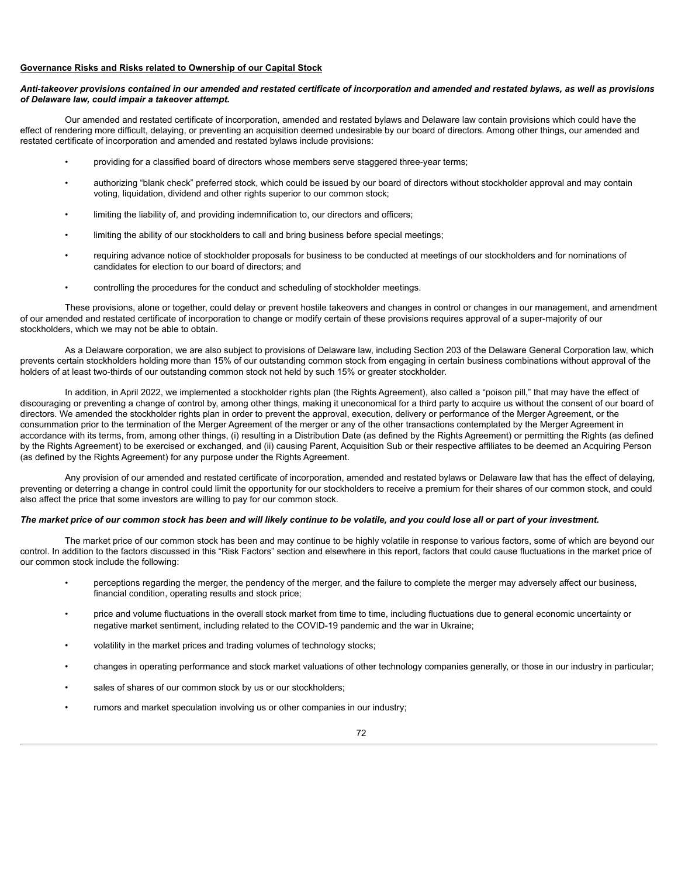# **Governance Risks and Risks related to Ownership of our Capital Stock**

# *Anti-takeover provisions contained in our amended and restated certificate of incorporation and amended and restated bylaws, as well as provisions of Delaware law, could impair a takeover attempt.*

Our amended and restated certificate of incorporation, amended and restated bylaws and Delaware law contain provisions which could have the effect of rendering more difficult, delaying, or preventing an acquisition deemed undesirable by our board of directors. Among other things, our amended and restated certificate of incorporation and amended and restated bylaws include provisions:

- providing for a classified board of directors whose members serve staggered three-year terms;
- authorizing "blank check" preferred stock, which could be issued by our board of directors without stockholder approval and may contain voting, liquidation, dividend and other rights superior to our common stock;
- limiting the liability of, and providing indemnification to, our directors and officers;
- limiting the ability of our stockholders to call and bring business before special meetings;
- requiring advance notice of stockholder proposals for business to be conducted at meetings of our stockholders and for nominations of candidates for election to our board of directors; and
- controlling the procedures for the conduct and scheduling of stockholder meetings.

These provisions, alone or together, could delay or prevent hostile takeovers and changes in control or changes in our management, and amendment of our amended and restated certificate of incorporation to change or modify certain of these provisions requires approval of a super-majority of our stockholders, which we may not be able to obtain.

As a Delaware corporation, we are also subject to provisions of Delaware law, including Section 203 of the Delaware General Corporation law, which prevents certain stockholders holding more than 15% of our outstanding common stock from engaging in certain business combinations without approval of the holders of at least two-thirds of our outstanding common stock not held by such 15% or greater stockholder.

In addition, in April 2022, we implemented a stockholder rights plan (the Rights Agreement), also called a "poison pill," that may have the effect of discouraging or preventing a change of control by, among other things, making it uneconomical for a third party to acquire us without the consent of our board of directors. We amended the stockholder rights plan in order to prevent the approval, execution, delivery or performance of the Merger Agreement, or the consummation prior to the termination of the Merger Agreement of the merger or any of the other transactions contemplated by the Merger Agreement in accordance with its terms, from, among other things, (i) resulting in a Distribution Date (as defined by the Rights Agreement) or permitting the Rights (as defined by the Rights Agreement) to be exercised or exchanged, and (ii) causing Parent, Acquisition Sub or their respective affiliates to be deemed an Acquiring Person (as defined by the Rights Agreement) for any purpose under the Rights Agreement.

Any provision of our amended and restated certificate of incorporation, amended and restated bylaws or Delaware law that has the effect of delaying, preventing or deterring a change in control could limit the opportunity for our stockholders to receive a premium for their shares of our common stock, and could also affect the price that some investors are willing to pay for our common stock.

### *The market price of our common stock has been and will likely continue to be volatile, and you could lose all or part of your investment.*

The market price of our common stock has been and may continue to be highly volatile in response to various factors, some of which are beyond our control. In addition to the factors discussed in this "Risk Factors" section and elsewhere in this report, factors that could cause fluctuations in the market price of our common stock include the following:

- perceptions regarding the merger, the pendency of the merger, and the failure to complete the merger may adversely affect our business, financial condition, operating results and stock price;
- price and volume fluctuations in the overall stock market from time to time, including fluctuations due to general economic uncertainty or negative market sentiment, including related to the COVID-19 pandemic and the war in Ukraine;
- volatility in the market prices and trading volumes of technology stocks;
- changes in operating performance and stock market valuations of other technology companies generally, or those in our industry in particular;
- sales of shares of our common stock by us or our stockholders;
- rumors and market speculation involving us or other companies in our industry;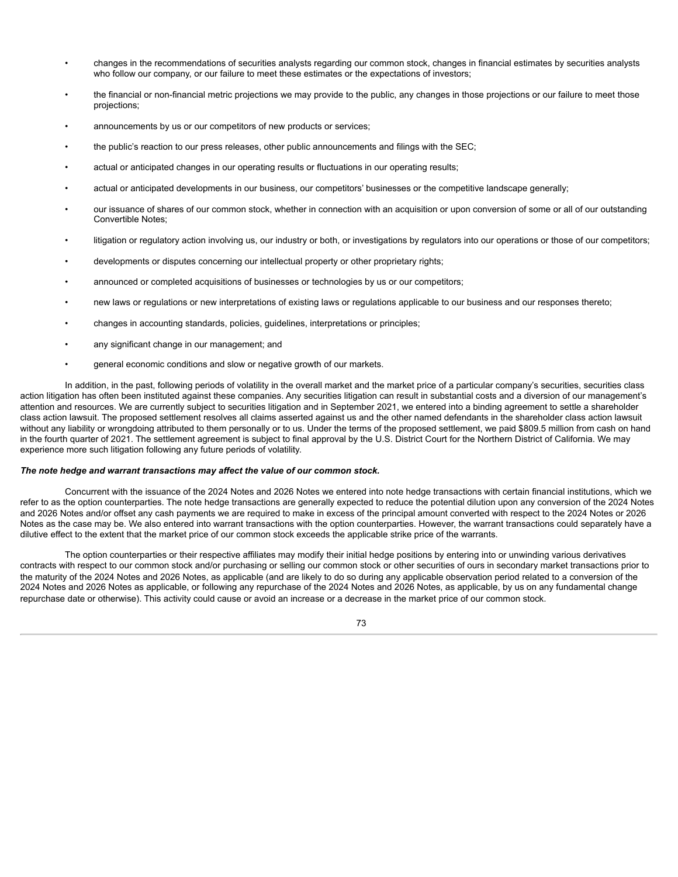- changes in the recommendations of securities analysts regarding our common stock, changes in financial estimates by securities analysts who follow our company, or our failure to meet these estimates or the expectations of investors;
- the financial or non-financial metric projections we may provide to the public, any changes in those projections or our failure to meet those projections;
- announcements by us or our competitors of new products or services;
- the public's reaction to our press releases, other public announcements and filings with the SEC;
- actual or anticipated changes in our operating results or fluctuations in our operating results;
- actual or anticipated developments in our business, our competitors' businesses or the competitive landscape generally;
- our issuance of shares of our common stock, whether in connection with an acquisition or upon conversion of some or all of our outstanding Convertible Notes;
- litigation or regulatory action involving us, our industry or both, or investigations by regulators into our operations or those of our competitors;
- developments or disputes concerning our intellectual property or other proprietary rights;
- announced or completed acquisitions of businesses or technologies by us or our competitors;
- new laws or regulations or new interpretations of existing laws or regulations applicable to our business and our responses thereto;
- changes in accounting standards, policies, guidelines, interpretations or principles;
- any significant change in our management; and
- general economic conditions and slow or negative growth of our markets.

In addition, in the past, following periods of volatility in the overall market and the market price of a particular company's securities, securities class action litigation has often been instituted against these companies. Any securities litigation can result in substantial costs and a diversion of our management's attention and resources. We are currently subject to securities litigation and in September 2021, we entered into a binding agreement to settle a shareholder class action lawsuit. The proposed settlement resolves all claims asserted against us and the other named defendants in the shareholder class action lawsuit without any liability or wrongdoing attributed to them personally or to us. Under the terms of the proposed settlement, we paid \$809.5 million from cash on hand in the fourth quarter of 2021. The settlement agreement is subject to final approval by the U.S. District Court for the Northern District of California. We may experience more such litigation following any future periods of volatility.

#### *The note hedge and warrant transactions may affect the value of our common stock.*

Concurrent with the issuance of the 2024 Notes and 2026 Notes we entered into note hedge transactions with certain financial institutions, which we refer to as the option counterparties. The note hedge transactions are generally expected to reduce the potential dilution upon any conversion of the 2024 Notes and 2026 Notes and/or offset any cash payments we are required to make in excess of the principal amount converted with respect to the 2024 Notes or 2026 Notes as the case may be. We also entered into warrant transactions with the option counterparties. However, the warrant transactions could separately have a dilutive effect to the extent that the market price of our common stock exceeds the applicable strike price of the warrants.

The option counterparties or their respective affiliates may modify their initial hedge positions by entering into or unwinding various derivatives contracts with respect to our common stock and/or purchasing or selling our common stock or other securities of ours in secondary market transactions prior to the maturity of the 2024 Notes and 2026 Notes, as applicable (and are likely to do so during any applicable observation period related to a conversion of the 2024 Notes and 2026 Notes as applicable, or following any repurchase of the 2024 Notes and 2026 Notes, as applicable, by us on any fundamental change repurchase date or otherwise). This activity could cause or avoid an increase or a decrease in the market price of our common stock.

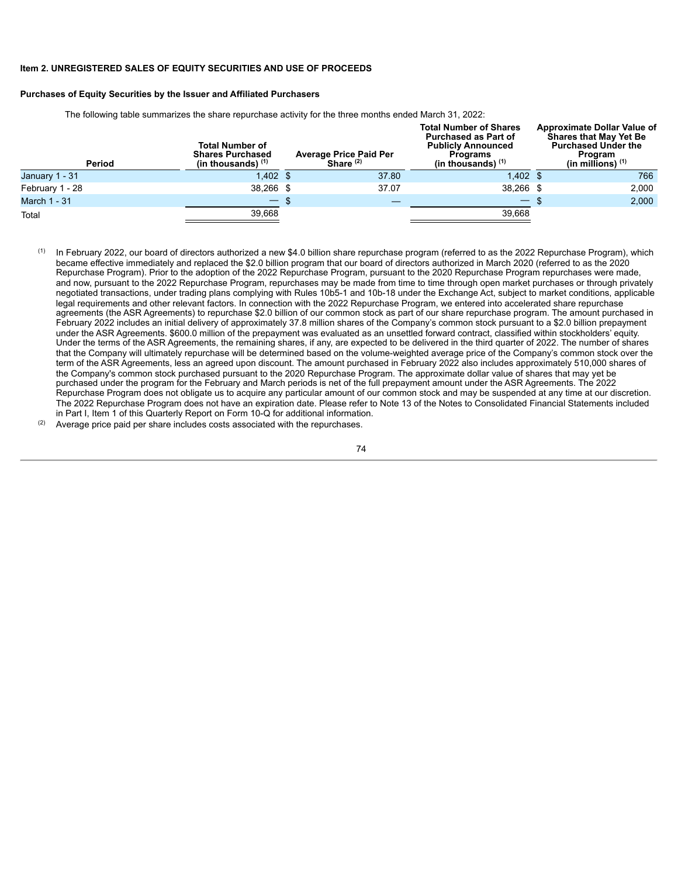### **Item 2. UNREGISTERED SALES OF EQUITY SECURITIES AND USE OF PROCEEDS**

#### **Purchases of Equity Securities by the Issuer and Affiliated Purchasers**

| Period          | <b>Total Number of</b><br><b>Shares Purchased</b><br>(in thousands) $(1)$ |      | <b>Average Price Paid Per</b><br>Share $(2)$ | <b>Total Number of Shares</b><br><b>Purchased as Part of</b><br><b>Publicly Announced</b><br><b>Programs</b><br>(in thousands) $(1)$ |  | <b>Approximate Dollar Value of</b><br><b>Shares that May Yet Be</b><br><b>Purchased Under the</b><br>Program<br>(in millions) $(1)$ |  |
|-----------------|---------------------------------------------------------------------------|------|----------------------------------------------|--------------------------------------------------------------------------------------------------------------------------------------|--|-------------------------------------------------------------------------------------------------------------------------------------|--|
| January 1 - 31  | 1,402 \$                                                                  |      | 37.80                                        | $1,402$ \$                                                                                                                           |  | 766                                                                                                                                 |  |
| February 1 - 28 | 38,266 \$                                                                 |      | 37.07                                        | 38,266 \$                                                                                                                            |  | 2,000                                                                                                                               |  |
| March 1 - 31    |                                                                           | - \$ |                                              | $-$ \$                                                                                                                               |  | 2,000                                                                                                                               |  |
| Total           | 39,668                                                                    |      |                                              | 39,668                                                                                                                               |  |                                                                                                                                     |  |
|                 |                                                                           |      |                                              |                                                                                                                                      |  |                                                                                                                                     |  |

The following table summarizes the share repurchase activity for the three months ended March 31, 2022:

- In February 2022, our board of directors authorized a new \$4.0 billion share repurchase program (referred to as the 2022 Repurchase Program), which became effective immediately and replaced the \$2.0 billion program that our board of directors authorized in March 2020 (referred to as the 2020 Repurchase Program). Prior to the adoption of the 2022 Repurchase Program, pursuant to the 2020 Repurchase Program repurchases were made, and now, pursuant to the 2022 Repurchase Program, repurchases may be made from time to time through open market purchases or through privately negotiated transactions, under trading plans complying with Rules 10b5-1 and 10b-18 under the Exchange Act, subject to market conditions, applicable legal requirements and other relevant factors. In connection with the 2022 Repurchase Program, we entered into accelerated share repurchase agreements (the ASR Agreements) to repurchase \$2.0 billion of our common stock as part of our share repurchase program. The amount purchased in February 2022 includes an initial delivery of approximately 37.8 million shares of the Company's common stock pursuant to a \$2.0 billion prepayment under the ASR Agreements. \$600.0 million of the prepayment was evaluated as an unsettled forward contract, classified within stockholders' equity. Under the terms of the ASR Agreements, the remaining shares, if any, are expected to be delivered in the third quarter of 2022. The number of shares that the Company will ultimately repurchase will be determined based on the volume-weighted average price of the Company's common stock over the term of the ASR Agreements, less an agreed upon discount. The amount purchased in February 2022 also includes approximately 510,000 shares of the Company's common stock purchased pursuant to the 2020 Repurchase Program. The approximate dollar value of shares that may yet be purchased under the program for the February and March periods is net of the full prepayment amount under the ASR Agreements. The 2022 Repurchase Program does not obligate us to acquire any particular amount of our common stock and may be suspended at any time at our discretion. The 2022 Repurchase Program does not have an expiration date. Please refer to Note 13 of the Notes to Consolidated Financial Statements included in Part I, Item 1 of this Quarterly Report on Form 10-Q for additional information. (1)
- Average price paid per share includes costs associated with the repurchases. (2)

74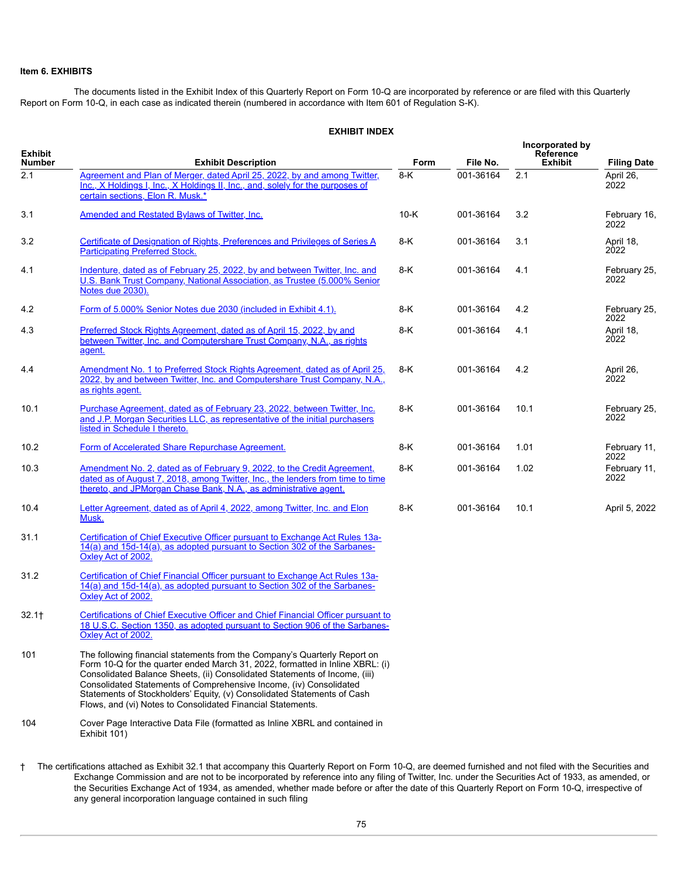## **Item 6. EXHIBITS**

The documents listed in the Exhibit Index of this Quarterly Report on Form 10-Q are incorporated by reference or are filed with this Quarterly Report on Form 10-Q, in each case as indicated therein (numbered in accordance with Item 601 of Regulation S-K).

## **EXHIBIT INDEX**

| <b>Exhibit</b><br><b>Number</b> | <b>Exhibit Description</b>                                                                                                                                                                                                                                                                                                                                                                                                                               | Form   | File No.  | Incorporated by<br>Reference<br><b>Exhibit</b> | <b>Filing Date</b>   |
|---------------------------------|----------------------------------------------------------------------------------------------------------------------------------------------------------------------------------------------------------------------------------------------------------------------------------------------------------------------------------------------------------------------------------------------------------------------------------------------------------|--------|-----------|------------------------------------------------|----------------------|
| 2.1                             | Agreement and Plan of Merger, dated April 25, 2022, by and among Twitter,<br>Inc., X Holdings I, Inc., X Holdings II, Inc., and, solely for the purposes of<br>certain sections, Elon R. Musk.*                                                                                                                                                                                                                                                          | $8-K$  | 001-36164 | 2.1                                            | April 26,<br>2022    |
| 3.1                             | Amended and Restated Bylaws of Twitter, Inc.                                                                                                                                                                                                                                                                                                                                                                                                             | $10-K$ | 001-36164 | 3.2                                            | February 16,<br>2022 |
| 3.2                             | Certificate of Designation of Rights, Preferences and Privileges of Series A<br><b>Participating Preferred Stock.</b>                                                                                                                                                                                                                                                                                                                                    | 8-K    | 001-36164 | 3.1                                            | April 18,<br>2022    |
| 4.1                             | Indenture, dated as of February 25, 2022, by and between Twitter, Inc. and<br>U.S. Bank Trust Company, National Association, as Trustee (5.000% Senior<br>Notes due 2030).                                                                                                                                                                                                                                                                               | 8-K    | 001-36164 | 4.1                                            | February 25,<br>2022 |
| 4.2                             | Form of 5.000% Senior Notes due 2030 (included in Exhibit 4.1).                                                                                                                                                                                                                                                                                                                                                                                          | 8-K    | 001-36164 | 4.2                                            | February 25,<br>2022 |
| 4.3                             | Preferred Stock Rights Agreement, dated as of April 15, 2022, by and<br>between Twitter, Inc. and Computershare Trust Company, N.A., as rights<br>agent.                                                                                                                                                                                                                                                                                                 | $8-K$  | 001-36164 | 4.1                                            | April 18,<br>2022    |
| 4.4                             | Amendment No. 1 to Preferred Stock Rights Agreement, dated as of April 25,<br>2022, by and between Twitter, Inc. and Computershare Trust Company, N.A.,<br>as rights agent.                                                                                                                                                                                                                                                                              | 8-K    | 001-36164 | 4.2                                            | April 26,<br>2022    |
| 10.1                            | Purchase Agreement, dated as of February 23, 2022, between Twitter, Inc.<br>and J.P. Morgan Securities LLC, as representative of the initial purchasers<br>listed in Schedule I thereto.                                                                                                                                                                                                                                                                 | 8-K    | 001-36164 | 10.1                                           | February 25,<br>2022 |
| 10.2                            | Form of Accelerated Share Repurchase Agreement.                                                                                                                                                                                                                                                                                                                                                                                                          | 8-K    | 001-36164 | 1.01                                           | February 11,<br>2022 |
| 10.3                            | Amendment No. 2, dated as of February 9, 2022, to the Credit Agreement,<br>dated as of August 7, 2018, among Twitter, Inc., the lenders from time to time<br>thereto, and JPMorgan Chase Bank, N.A., as administrative agent.                                                                                                                                                                                                                            | 8-K    | 001-36164 | 1.02                                           | February 11,<br>2022 |
| 10.4                            | Letter Agreement, dated as of April 4, 2022, among Twitter, Inc. and Elon<br>Musk.                                                                                                                                                                                                                                                                                                                                                                       | 8-K    | 001-36164 | 10.1                                           | April 5, 2022        |
| 31.1                            | Certification of Chief Executive Officer pursuant to Exchange Act Rules 13a-<br>14(a) and 15d-14(a), as adopted pursuant to Section 302 of the Sarbanes-<br>Oxley Act of 2002.                                                                                                                                                                                                                                                                           |        |           |                                                |                      |
| 31.2                            | Certification of Chief Financial Officer pursuant to Exchange Act Rules 13a-<br>14(a) and 15d-14(a), as adopted pursuant to Section 302 of the Sarbanes-<br>Oxley Act of 2002.                                                                                                                                                                                                                                                                           |        |           |                                                |                      |
| 32.1                            | Certifications of Chief Executive Officer and Chief Financial Officer pursuant to<br>18 U.S.C. Section 1350, as adopted pursuant to Section 906 of the Sarbanes-<br>Oxley Act of 2002.                                                                                                                                                                                                                                                                   |        |           |                                                |                      |
| 101                             | The following financial statements from the Company's Quarterly Report on<br>Form 10-Q for the quarter ended March 31, 2022, formatted in Inline XBRL: (i)<br>Consolidated Balance Sheets, (ii) Consolidated Statements of Income, (iii)<br>Consolidated Statements of Comprehensive Income, (iv) Consolidated<br>Statements of Stockholders' Equity, (v) Consolidated Statements of Cash<br>Flows, and (vi) Notes to Consolidated Financial Statements. |        |           |                                                |                      |
| 104                             | Cover Page Interactive Data File (formatted as Inline XBRL and contained in<br>Exhibit 101)                                                                                                                                                                                                                                                                                                                                                              |        |           |                                                |                      |

† The certifications attached as Exhibit 32.1 that accompany this Quarterly Report on Form 10-Q, are deemed furnished and not filed with the Securities and Exchange Commission and are not to be incorporated by reference into any filing of Twitter, Inc. under the Securities Act of 1933, as amended, or the Securities Exchange Act of 1934, as amended, whether made before or after the date of this Quarterly Report on Form 10-Q, irrespective of any general incorporation language contained in such filing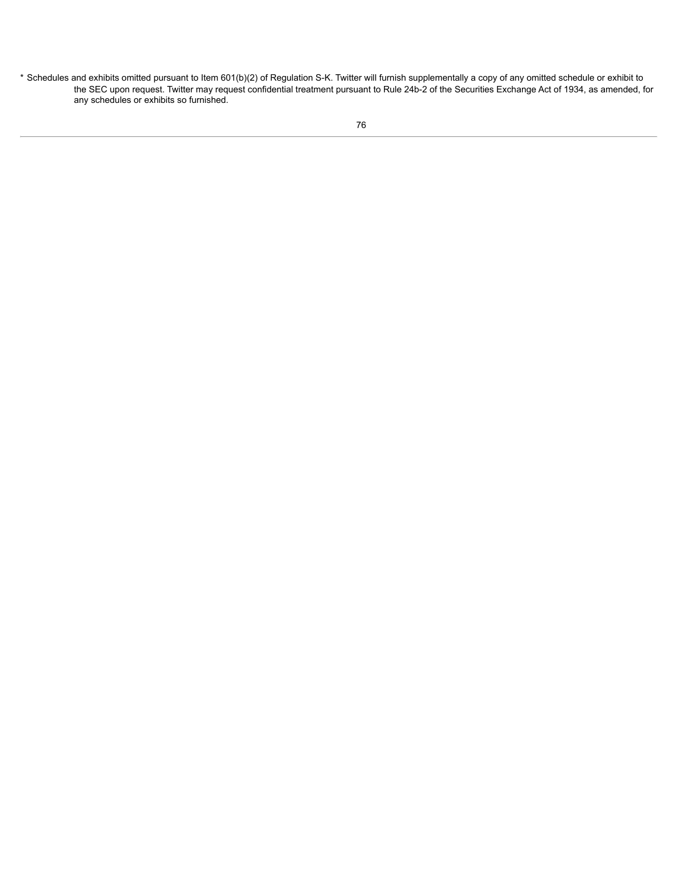\* Schedules and exhibits omitted pursuant to Item 601(b)(2) of Regulation S-K. Twitter will furnish supplementally a copy of any omitted schedule or exhibit to the SEC upon request. Twitter may request confidential treatment pursuant to Rule 24b-2 of the Securities Exchange Act of 1934, as amended, for any schedules or exhibits so furnished.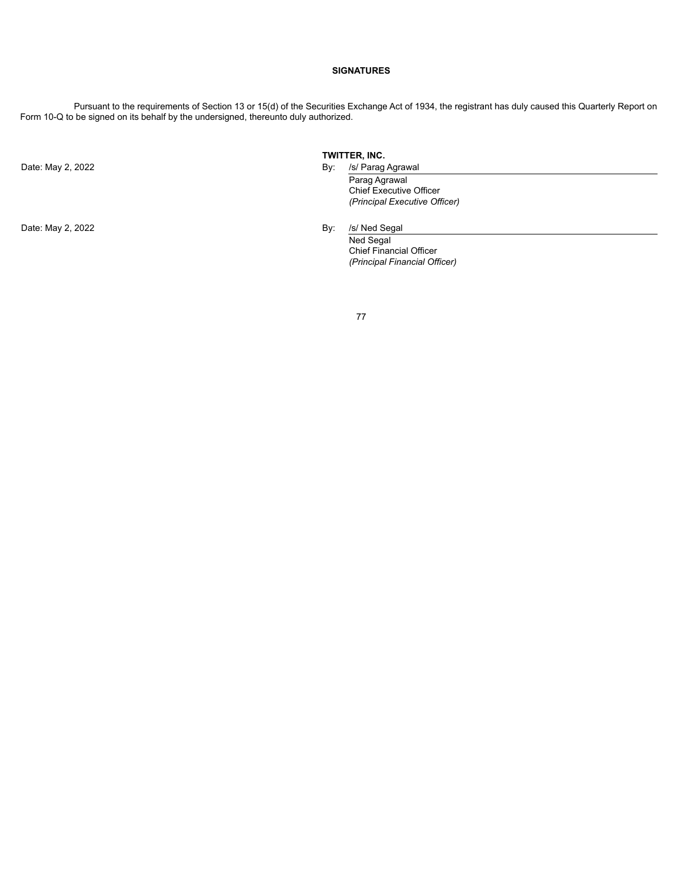### **SIGNATURES**

Pursuant to the requirements of Section 13 or 15(d) of the Securities Exchange Act of 1934, the registrant has duly caused this Quarterly Report on Form 10-Q to be signed on its behalf by the undersigned, thereunto duly authorized.

Date: May 2, 2022 **By:** /s/ Parag Agrawal

Date: May 2, 2022 **By:** /s/ Ned Segal

# **TWITTER, INC.**

Parag Agrawal Chief Executive Officer *(Principal Executive Officer)*

Ned Segal Chief Financial Officer *(Principal Financial Officer)*

77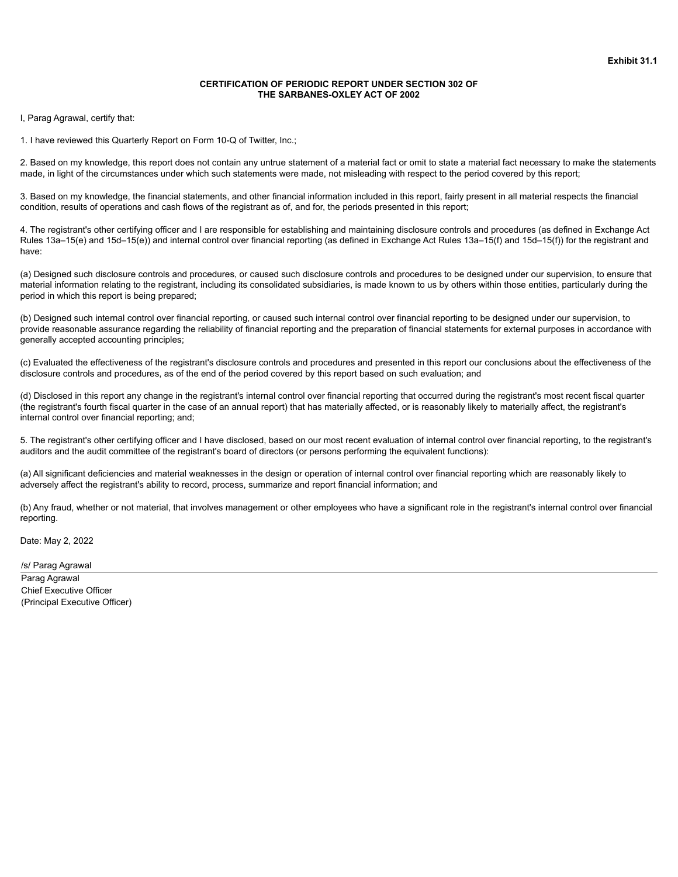#### **CERTIFICATION OF PERIODIC REPORT UNDER SECTION 302 OF THE SARBANES-OXLEY ACT OF 2002**

<span id="page-77-0"></span>I, Parag Agrawal, certify that:

1. I have reviewed this Quarterly Report on Form 10-Q of Twitter, Inc.;

2. Based on my knowledge, this report does not contain any untrue statement of a material fact or omit to state a material fact necessary to make the statements made, in light of the circumstances under which such statements were made, not misleading with respect to the period covered by this report;

3. Based on my knowledge, the financial statements, and other financial information included in this report, fairly present in all material respects the financial condition, results of operations and cash flows of the registrant as of, and for, the periods presented in this report;

4. The registrant's other certifying officer and I are responsible for establishing and maintaining disclosure controls and procedures (as defined in Exchange Act Rules 13a–15(e) and 15d–15(e)) and internal control over financial reporting (as defined in Exchange Act Rules 13a–15(f) and 15d–15(f)) for the registrant and have:

(a) Designed such disclosure controls and procedures, or caused such disclosure controls and procedures to be designed under our supervision, to ensure that material information relating to the registrant, including its consolidated subsidiaries, is made known to us by others within those entities, particularly during the period in which this report is being prepared;

(b) Designed such internal control over financial reporting, or caused such internal control over financial reporting to be designed under our supervision, to provide reasonable assurance regarding the reliability of financial reporting and the preparation of financial statements for external purposes in accordance with generally accepted accounting principles;

(c) Evaluated the effectiveness of the registrant's disclosure controls and procedures and presented in this report our conclusions about the effectiveness of the disclosure controls and procedures, as of the end of the period covered by this report based on such evaluation; and

(d) Disclosed in this report any change in the registrant's internal control over financial reporting that occurred during the registrant's most recent fiscal quarter (the registrant's fourth fiscal quarter in the case of an annual report) that has materially affected, or is reasonably likely to materially affect, the registrant's internal control over financial reporting; and;

5. The registrant's other certifying officer and I have disclosed, based on our most recent evaluation of internal control over financial reporting, to the registrant's auditors and the audit committee of the registrant's board of directors (or persons performing the equivalent functions):

(a) All significant deficiencies and material weaknesses in the design or operation of internal control over financial reporting which are reasonably likely to adversely affect the registrant's ability to record, process, summarize and report financial information; and

(b) Any fraud, whether or not material, that involves management or other employees who have a significant role in the registrant's internal control over financial reporting.

Date: May 2, 2022

/s/ Parag Agrawal Parag Agrawal Chief Executive Officer (Principal Executive Officer)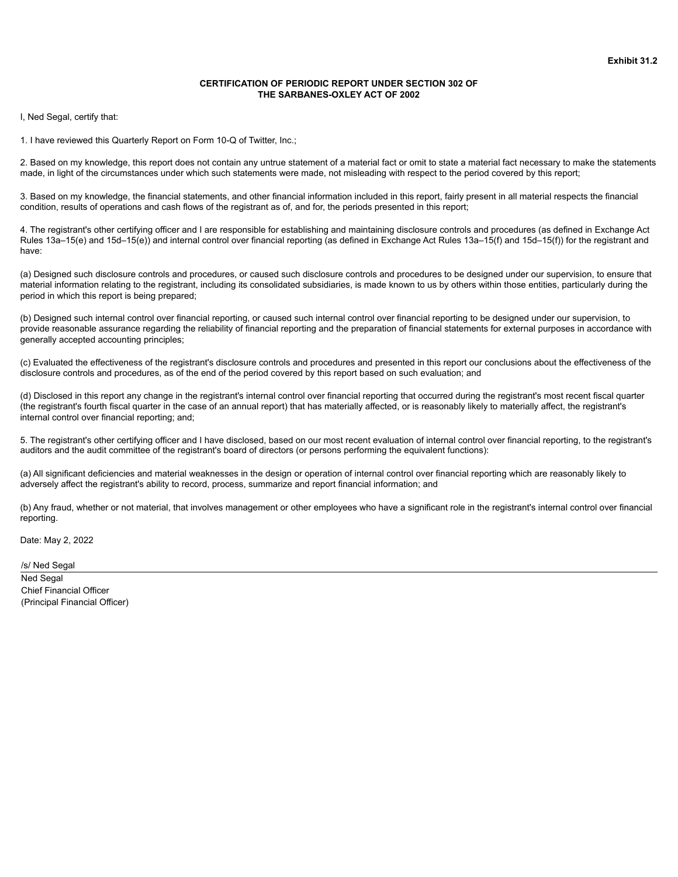### **CERTIFICATION OF PERIODIC REPORT UNDER SECTION 302 OF THE SARBANES-OXLEY ACT OF 2002**

<span id="page-78-0"></span>I, Ned Segal, certify that:

1. I have reviewed this Quarterly Report on Form 10-Q of Twitter, Inc.;

2. Based on my knowledge, this report does not contain any untrue statement of a material fact or omit to state a material fact necessary to make the statements made, in light of the circumstances under which such statements were made, not misleading with respect to the period covered by this report;

3. Based on my knowledge, the financial statements, and other financial information included in this report, fairly present in all material respects the financial condition, results of operations and cash flows of the registrant as of, and for, the periods presented in this report;

4. The registrant's other certifying officer and I are responsible for establishing and maintaining disclosure controls and procedures (as defined in Exchange Act Rules 13a–15(e) and 15d–15(e)) and internal control over financial reporting (as defined in Exchange Act Rules 13a–15(f) and 15d–15(f)) for the registrant and have:

(a) Designed such disclosure controls and procedures, or caused such disclosure controls and procedures to be designed under our supervision, to ensure that material information relating to the registrant, including its consolidated subsidiaries, is made known to us by others within those entities, particularly during the period in which this report is being prepared;

(b) Designed such internal control over financial reporting, or caused such internal control over financial reporting to be designed under our supervision, to provide reasonable assurance regarding the reliability of financial reporting and the preparation of financial statements for external purposes in accordance with generally accepted accounting principles;

(c) Evaluated the effectiveness of the registrant's disclosure controls and procedures and presented in this report our conclusions about the effectiveness of the disclosure controls and procedures, as of the end of the period covered by this report based on such evaluation; and

(d) Disclosed in this report any change in the registrant's internal control over financial reporting that occurred during the registrant's most recent fiscal quarter (the registrant's fourth fiscal quarter in the case of an annual report) that has materially affected, or is reasonably likely to materially affect, the registrant's internal control over financial reporting; and;

5. The registrant's other certifying officer and I have disclosed, based on our most recent evaluation of internal control over financial reporting, to the registrant's auditors and the audit committee of the registrant's board of directors (or persons performing the equivalent functions):

(a) All significant deficiencies and material weaknesses in the design or operation of internal control over financial reporting which are reasonably likely to adversely affect the registrant's ability to record, process, summarize and report financial information; and

(b) Any fraud, whether or not material, that involves management or other employees who have a significant role in the registrant's internal control over financial reporting.

Date: May 2, 2022

/s/ Ned Segal Ned Segal Chief Financial Officer (Principal Financial Officer)